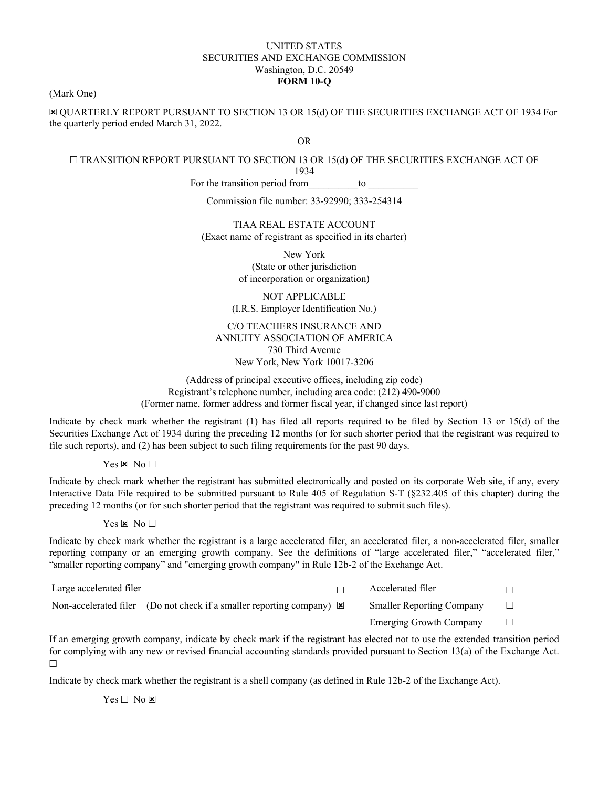#### UNITED STATES SECURITIES AND EXCHANGE COMMISSION Washington, D.C. 20549 **FORM 10-Q**

(Mark One)

☒ QUARTERLY REPORT PURSUANT TO SECTION 13 OR 15(d) OF THE SECURITIES EXCHANGE ACT OF 1934 For the quarterly period ended March 31, 2022.

OR

 $\Box$  TRANSITION REPORT PURSUANT TO SECTION 13 OR 15(d) OF THE SECURITIES EXCHANGE ACT OF

1934

For the transition period from to

Commission file number: 33-92990; 333-254314

TIAA REAL ESTATE ACCOUNT (Exact name of registrant as specified in its charter)

> New York (State or other jurisdiction of incorporation or organization)

NOT APPLICABLE (I.R.S. Employer Identification No.)

#### C/O TEACHERS INSURANCE AND ANNUITY ASSOCIATION OF AMERICA 730 Third Avenue New York, New York 10017-3206

(Address of principal executive offices, including zip code) Registrant's telephone number, including area code: (212) 490-9000 (Former name, former address and former fiscal year, if changed since last report)

Indicate by check mark whether the registrant (1) has filed all reports required to be filed by Section 13 or 15(d) of the Securities Exchange Act of 1934 during the preceding 12 months (or for such shorter period that the registrant was required to file such reports), and (2) has been subject to such filing requirements for the past 90 days.

Yes  $\boxtimes$  No  $\Box$ 

Indicate by check mark whether the registrant has submitted electronically and posted on its corporate Web site, if any, every Interactive Data File required to be submitted pursuant to Rule 405 of Regulation S-T (§232.405 of this chapter) during the preceding 12 months (or for such shorter period that the registrant was required to submit such files).

Yes  $\times$  No  $\Box$ 

Indicate by check mark whether the registrant is a large accelerated filer, an accelerated filer, a non-accelerated filer, smaller reporting company or an emerging growth company. See the definitions of "large accelerated filer," "accelerated filer," "smaller reporting company" and "emerging growth company" in Rule 12b-2 of the Exchange Act.

| Large accelerated filer |                                                                                 | Accelerated filer                |        |
|-------------------------|---------------------------------------------------------------------------------|----------------------------------|--------|
|                         | Non-accelerated filer (Do not check if a smaller reporting company) $\boxtimes$ | <b>Smaller Reporting Company</b> | $\Box$ |
|                         |                                                                                 | <b>Emerging Growth Company</b>   | $\Box$ |

If an emerging growth company, indicate by check mark if the registrant has elected not to use the extended transition period for complying with any new or revised financial accounting standards provided pursuant to Section 13(a) of the Exchange Act. ☐

Indicate by check mark whether the registrant is a shell company (as defined in Rule 12b-2 of the Exchange Act).

Yes □ No ⊠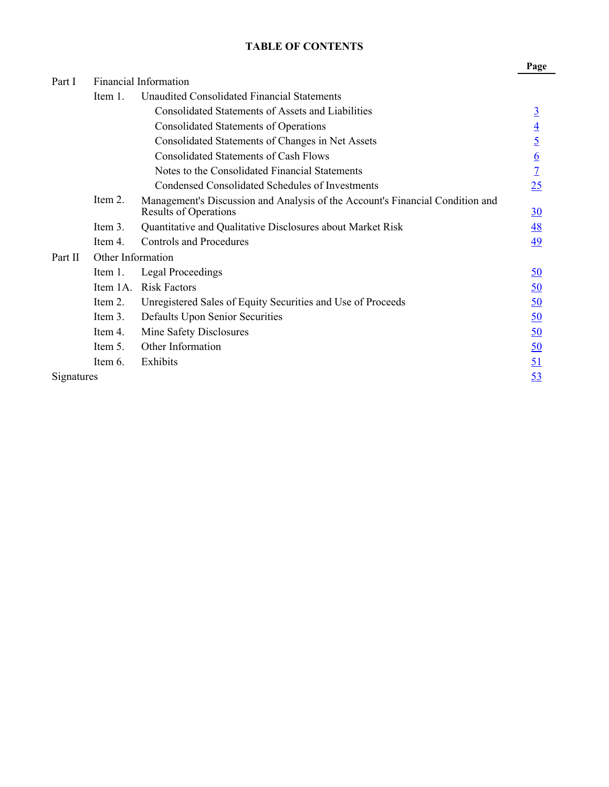## **TABLE OF CONTENTS**

|            |                   |                                                                                                               | $\tilde{\phantom{a}}$ |  |  |  |
|------------|-------------------|---------------------------------------------------------------------------------------------------------------|-----------------------|--|--|--|
| Part I     |                   | Financial Information                                                                                         |                       |  |  |  |
|            | Item $11$         | <b>Unaudited Consolidated Financial Statements</b>                                                            |                       |  |  |  |
|            |                   | <b>Consolidated Statements of Assets and Liabilities</b>                                                      | $\overline{3}$        |  |  |  |
|            |                   | <b>Consolidated Statements of Operations</b>                                                                  | $\overline{4}$        |  |  |  |
|            |                   | Consolidated Statements of Changes in Net Assets                                                              | $\overline{5}$        |  |  |  |
|            |                   | <b>Consolidated Statements of Cash Flows</b>                                                                  | $\underline{6}$       |  |  |  |
|            |                   | Notes to the Consolidated Financial Statements                                                                | $\overline{1}$        |  |  |  |
|            |                   | <b>Condensed Consolidated Schedules of Investments</b>                                                        | 25                    |  |  |  |
|            | Item 2.           | Management's Discussion and Analysis of the Account's Financial Condition and<br><b>Results of Operations</b> | $\underline{30}$      |  |  |  |
|            | Item 3.           | Quantitative and Qualitative Disclosures about Market Risk                                                    | $\frac{48}{5}$        |  |  |  |
|            | Item 4.           | <b>Controls and Procedures</b>                                                                                | 49                    |  |  |  |
| Part II    | Other Information |                                                                                                               |                       |  |  |  |
|            | Item 1.           | <b>Legal Proceedings</b>                                                                                      | <u>50</u>             |  |  |  |
|            | Item 1A.          | <b>Risk Factors</b>                                                                                           | $\underline{50}$      |  |  |  |
|            | Item 2.           | Unregistered Sales of Equity Securities and Use of Proceeds                                                   | $\underline{50}$      |  |  |  |
|            | Item 3.           | Defaults Upon Senior Securities                                                                               | $\underline{50}$      |  |  |  |
|            | Item 4.           | Mine Safety Disclosures                                                                                       | <u>50</u>             |  |  |  |
|            | Item $51$         | Other Information                                                                                             | $\underline{50}$      |  |  |  |
|            | Item $6$ .        | Exhibits                                                                                                      | 51                    |  |  |  |
| Signatures |                   |                                                                                                               | 53                    |  |  |  |

**Page**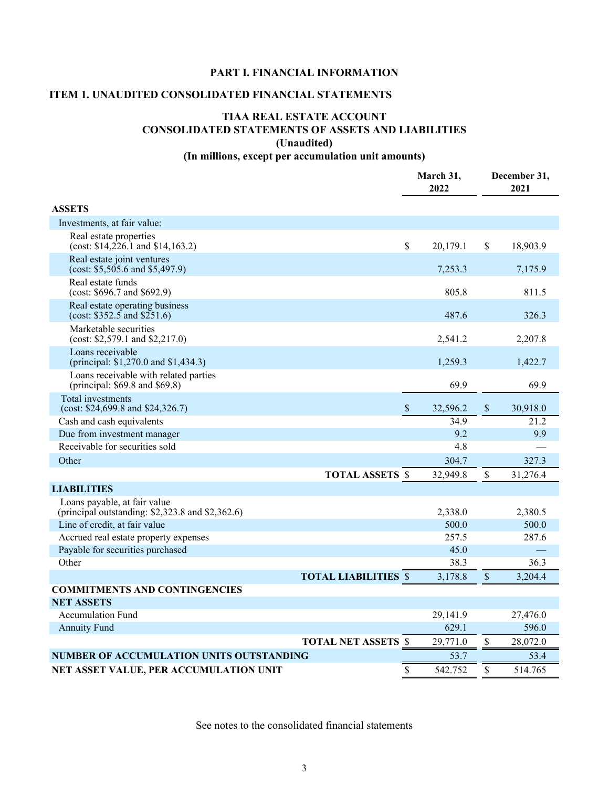#### **PART I. FINANCIAL INFORMATION**

## <span id="page-2-0"></span>**ITEM 1. UNAUDITED CONSOLIDATED FINANCIAL STATEMENTS**

## **TIAA REAL ESTATE ACCOUNT CONSOLIDATED STATEMENTS OF ASSETS AND LIABILITIES (Unaudited)**

## **(In millions, except per accumulation unit amounts)**

|                                                                                     |               | March 31,<br>2022 |             | December 31,<br>2021 |
|-------------------------------------------------------------------------------------|---------------|-------------------|-------------|----------------------|
| <b>ASSETS</b>                                                                       |               |                   |             |                      |
| Investments, at fair value:                                                         |               |                   |             |                      |
| Real estate properties<br>(cost: $$14,226.1$ and $$14,163.2$ )                      | \$            | 20,179.1          | \$          | 18,903.9             |
| Real estate joint ventures<br>(cost: $$5,505.6$ and $$5,497.9$ )                    |               | 7,253.3           |             | 7,175.9              |
| Real estate funds<br>(cost: $$696.7$ and $$692.9$ )                                 |               | 805.8             |             | 811.5                |
| Real estate operating business<br>(cost: $$352.5$ and $$251.6$ )                    |               | 487.6             |             | 326.3                |
| Marketable securities<br>(cost: $$2,579.1$ and $$2,217.0$ )                         |               | 2,541.2           |             | 2,207.8              |
| Loans receivable<br>(principal: \$1,270.0 and \$1,434.3)                            |               | 1,259.3           |             | 1,422.7              |
| Loans receivable with related parties<br>(principal: \$69.8 and \$69.8)             |               | 69.9              |             | 69.9                 |
| Total investments<br>(cost: $$24,699.8$ and $$24,326.7$ )                           | $\mathsf{\$}$ | 32,596.2          | $\mathbb S$ | 30,918.0             |
| Cash and cash equivalents                                                           |               | 34.9              |             | 21.2                 |
| Due from investment manager                                                         |               | 9.2               |             | 9.9                  |
| Receivable for securities sold                                                      |               | 4.8               |             |                      |
| Other                                                                               |               | 304.7             |             | 327.3                |
| <b>TOTAL ASSETS \$</b>                                                              |               | 32,949.8          | $\mathbb S$ | 31,276.4             |
| <b>LIABILITIES</b>                                                                  |               |                   |             |                      |
| Loans payable, at fair value<br>(principal outstanding: $$2,323.8$ and $$2,362.6$ ) |               | 2,338.0           |             | 2,380.5              |
| Line of credit, at fair value                                                       |               | 500.0             |             | 500.0                |
| Accrued real estate property expenses                                               |               | 257.5             |             | 287.6                |
| Payable for securities purchased                                                    |               | 45.0              |             |                      |
| Other                                                                               |               | 38.3              |             | 36.3                 |
| <b>TOTAL LIABILITIES \$</b>                                                         |               | 3,178.8           | $\$$        | 3,204.4              |
| <b>COMMITMENTS AND CONTINGENCIES</b>                                                |               |                   |             |                      |
| <b>NET ASSETS</b>                                                                   |               |                   |             |                      |
| <b>Accumulation Fund</b>                                                            |               | 29,141.9          |             | 27,476.0             |
| <b>Annuity Fund</b>                                                                 |               | 629.1             |             | 596.0                |
| <b>TOTAL NET ASSETS \$</b>                                                          |               | 29,771.0          | \$          | 28,072.0             |
| NUMBER OF ACCUMULATION UNITS OUTSTANDING                                            |               | 53.7              |             | 53.4                 |
| NET ASSET VALUE, PER ACCUMULATION UNIT                                              | \$            | 542.752           | \$          | 514.765              |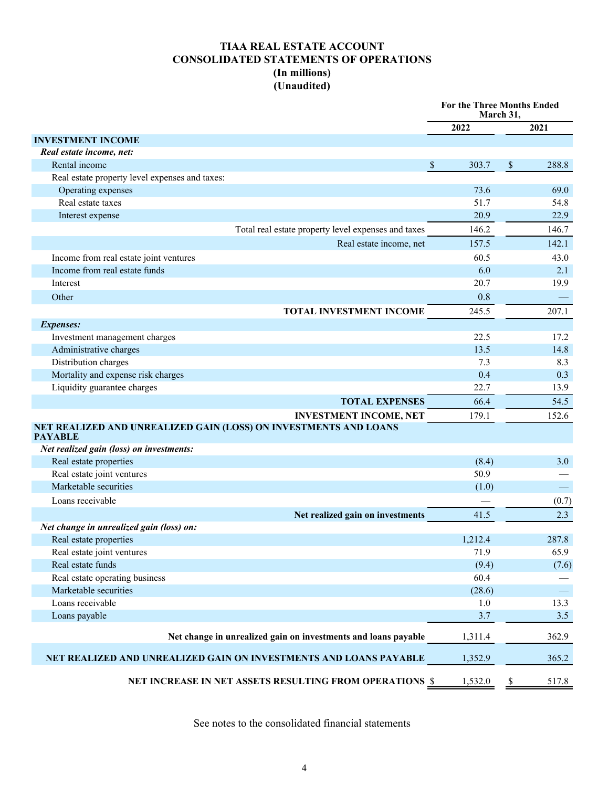## **TIAA REAL ESTATE ACCOUNT CONSOLIDATED STATEMENTS OF OPERATIONS (In millions) (Unaudited)**

<span id="page-3-0"></span>

|                                                                                    |                                                                   | <b>For the Three Months Ended</b><br>March 31, |    |       |
|------------------------------------------------------------------------------------|-------------------------------------------------------------------|------------------------------------------------|----|-------|
|                                                                                    |                                                                   | 2022                                           |    | 2021  |
| <b>INVESTMENT INCOME</b>                                                           |                                                                   |                                                |    |       |
| Real estate income, net:                                                           |                                                                   |                                                |    |       |
| Rental income                                                                      |                                                                   | $\$$<br>303.7                                  | \$ | 288.8 |
| Real estate property level expenses and taxes:                                     |                                                                   |                                                |    |       |
| Operating expenses                                                                 |                                                                   | 73.6                                           |    | 69.0  |
| Real estate taxes                                                                  |                                                                   | 51.7                                           |    | 54.8  |
| Interest expense                                                                   |                                                                   | 20.9                                           |    | 22.9  |
|                                                                                    | Total real estate property level expenses and taxes               | 146.2                                          |    | 146.7 |
|                                                                                    | Real estate income, net                                           | 157.5                                          |    | 142.1 |
| Income from real estate joint ventures                                             |                                                                   | 60.5                                           |    | 43.0  |
| Income from real estate funds                                                      |                                                                   | 6.0                                            |    | 2.1   |
| Interest                                                                           |                                                                   | 20.7                                           |    | 19.9  |
| Other                                                                              |                                                                   | 0.8                                            |    |       |
|                                                                                    | TOTAL INVESTMENT INCOME                                           | 245.5                                          |    | 207.1 |
| <b>Expenses:</b>                                                                   |                                                                   |                                                |    |       |
| Investment management charges                                                      |                                                                   | 22.5                                           |    | 17.2  |
| Administrative charges                                                             |                                                                   | 13.5                                           |    | 14.8  |
| Distribution charges                                                               |                                                                   | 7.3                                            |    | 8.3   |
| Mortality and expense risk charges                                                 |                                                                   | 0.4                                            |    | 0.3   |
| Liquidity guarantee charges                                                        |                                                                   | 22.7                                           |    | 13.9  |
|                                                                                    | <b>TOTAL EXPENSES</b>                                             | 66.4                                           |    | 54.5  |
|                                                                                    | <b>INVESTMENT INCOME, NET</b>                                     | 179.1                                          |    | 152.6 |
| NET REALIZED AND UNREALIZED GAIN (LOSS) ON INVESTMENTS AND LOANS<br><b>PAYABLE</b> |                                                                   |                                                |    |       |
| Net realized gain (loss) on investments:                                           |                                                                   |                                                |    |       |
| Real estate properties                                                             |                                                                   | (8.4)                                          |    | 3.0   |
| Real estate joint ventures                                                         |                                                                   | 50.9                                           |    |       |
| Marketable securities                                                              |                                                                   | (1.0)                                          |    |       |
| Loans receivable                                                                   |                                                                   |                                                |    | (0.7) |
|                                                                                    | Net realized gain on investments                                  | 41.5                                           |    | 2.3   |
| Net change in unrealized gain (loss) on:                                           |                                                                   |                                                |    |       |
| Real estate properties                                                             |                                                                   | 1,212.4                                        |    | 287.8 |
| Real estate joint ventures                                                         |                                                                   | 71.9                                           |    | 65.9  |
| Real estate funds                                                                  |                                                                   | (9.4)                                          |    | (7.6) |
| Real estate operating business                                                     |                                                                   | 60.4                                           |    |       |
| Marketable securities                                                              |                                                                   | (28.6)                                         |    | —     |
| Loans receivable                                                                   |                                                                   | 1.0                                            |    | 13.3  |
| Loans payable                                                                      |                                                                   | 3.7                                            |    | 3.5   |
|                                                                                    | Net change in unrealized gain on investments and loans payable    | 1,311.4                                        |    | 362.9 |
|                                                                                    | NET REALIZED AND UNREALIZED GAIN ON INVESTMENTS AND LOANS PAYABLE | 1,352.9                                        |    | 365.2 |
|                                                                                    | NET INCREASE IN NET ASSETS RESULTING FROM OPERATIONS \$           | 1,532.0                                        |    | 517.8 |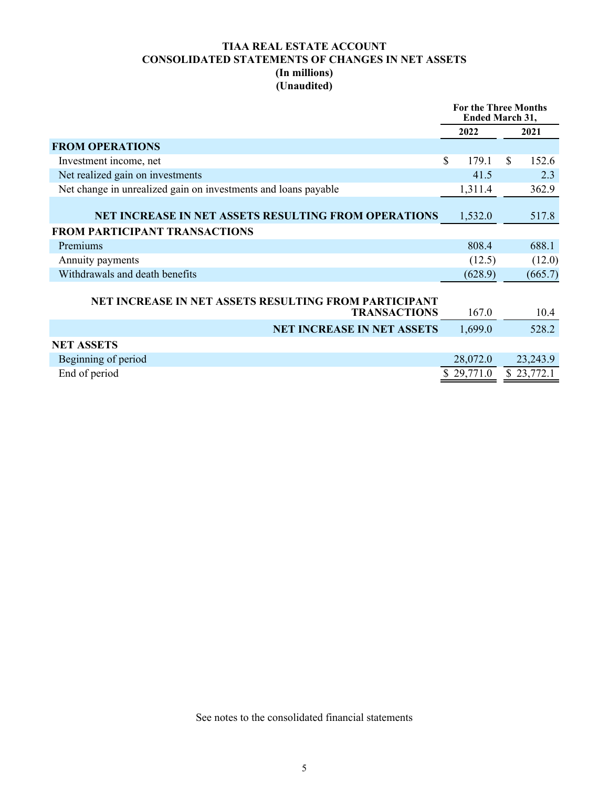## **TIAA REAL ESTATE ACCOUNT CONSOLIDATED STATEMENTS OF CHANGES IN NET ASSETS (In millions) (Unaudited)**

<span id="page-4-0"></span>

|                                                                              | <b>For the Three Months</b><br><b>Ended March 31,</b> |          |    |            |  |  |  |      |
|------------------------------------------------------------------------------|-------------------------------------------------------|----------|----|------------|--|--|--|------|
|                                                                              |                                                       | 2022     |    |            |  |  |  | 2021 |
| <b>FROM OPERATIONS</b>                                                       |                                                       |          |    |            |  |  |  |      |
| Investment income, net                                                       | \$                                                    | 179.1    | S. | 152.6      |  |  |  |      |
| Net realized gain on investments                                             |                                                       | 41.5     |    | 2.3        |  |  |  |      |
| Net change in unrealized gain on investments and loans payable               |                                                       | 1,311.4  |    | 362.9      |  |  |  |      |
| NET INCREASE IN NET ASSETS RESULTING FROM OPERATIONS                         |                                                       | 1,532.0  |    | 517.8      |  |  |  |      |
| <b>FROM PARTICIPANT TRANSACTIONS</b>                                         |                                                       |          |    |            |  |  |  |      |
| Premiums                                                                     |                                                       | 808.4    |    | 688.1      |  |  |  |      |
| Annuity payments                                                             |                                                       | (12.5)   |    | (12.0)     |  |  |  |      |
| Withdrawals and death benefits                                               |                                                       | (628.9)  |    | (665.7)    |  |  |  |      |
| NET INCREASE IN NET ASSETS RESULTING FROM PARTICIPANT<br><b>TRANSACTIONS</b> |                                                       | 167.0    |    | 10.4       |  |  |  |      |
| <b>NET INCREASE IN NET ASSETS</b>                                            |                                                       | 1,699.0  |    | 528.2      |  |  |  |      |
| <b>NET ASSETS</b>                                                            |                                                       |          |    |            |  |  |  |      |
| Beginning of period                                                          |                                                       | 28,072.0 |    | 23,243.9   |  |  |  |      |
| End of period                                                                |                                                       | 29,771.0 |    | \$23,772.1 |  |  |  |      |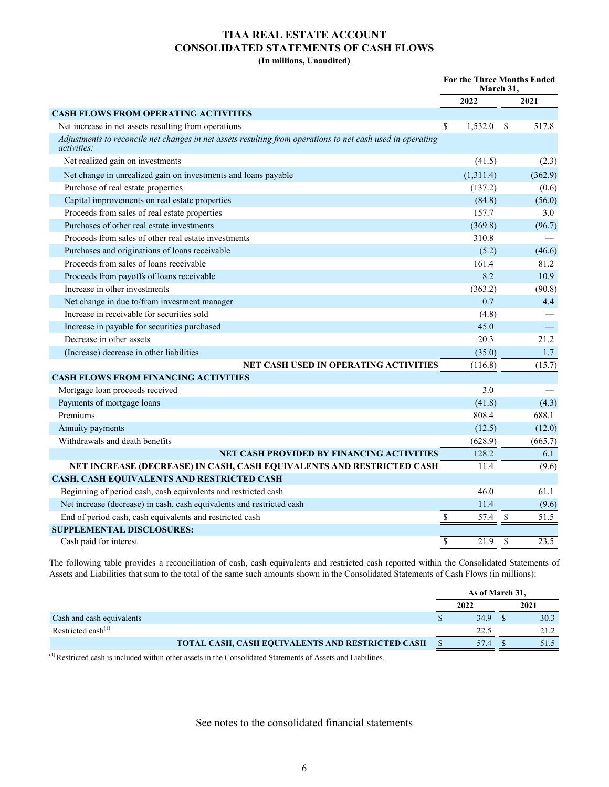#### **TIAA REAL ESTATE ACCOUNT CONSOLIDATED STATEMENTS OF CASH FLOWS (In millions, Unaudited)**

<span id="page-5-0"></span>

|                                                                                                                                  | For the Three Months Ended<br>March 31, |           |               |                   |
|----------------------------------------------------------------------------------------------------------------------------------|-----------------------------------------|-----------|---------------|-------------------|
|                                                                                                                                  |                                         | 2022      |               | 2021              |
| <b>CASH FLOWS FROM OPERATING ACTIVITIES</b>                                                                                      |                                         |           |               |                   |
| Net increase in net assets resulting from operations                                                                             | \$                                      | 1,532.0   | <sup>\$</sup> | 517.8             |
| Adjustments to reconcile net changes in net assets resulting from operations to net cash used in operating<br><i>activities:</i> |                                         |           |               |                   |
| Net realized gain on investments                                                                                                 |                                         | (41.5)    |               | (2.3)             |
| Net change in unrealized gain on investments and loans payable                                                                   |                                         | (1,311.4) |               | (362.9)           |
| Purchase of real estate properties                                                                                               |                                         | (137.2)   |               | (0.6)             |
| Capital improvements on real estate properties                                                                                   |                                         | (84.8)    |               | (56.0)            |
| Proceeds from sales of real estate properties                                                                                    |                                         | 157.7     |               | 3.0               |
| Purchases of other real estate investments                                                                                       |                                         | (369.8)   |               | (96.7)            |
| Proceeds from sales of other real estate investments                                                                             |                                         | 310.8     |               |                   |
| Purchases and originations of loans receivable                                                                                   |                                         | (5.2)     |               | (46.6)            |
| Proceeds from sales of loans receivable                                                                                          |                                         | 161.4     |               | 81.2              |
| Proceeds from payoffs of loans receivable                                                                                        |                                         | 8.2       |               | 10.9              |
| Increase in other investments                                                                                                    |                                         | (363.2)   |               | (90.8)            |
| Net change in due to/from investment manager                                                                                     |                                         | 0.7       |               | 4.4               |
| Increase in receivable for securities sold                                                                                       |                                         | (4.8)     |               |                   |
| Increase in payable for securities purchased                                                                                     |                                         | 45.0      |               |                   |
| Decrease in other assets                                                                                                         |                                         | 20.3      |               | 21.2              |
| (Increase) decrease in other liabilities                                                                                         |                                         | (35.0)    |               | 1.7               |
| NET CASH USED IN OPERATING ACTIVITIES                                                                                            |                                         | (116.8)   |               | (15.7)            |
| <b>CASH FLOWS FROM FINANCING ACTIVITIES</b>                                                                                      |                                         |           |               |                   |
| Mortgage loan proceeds received                                                                                                  |                                         | 3.0       |               |                   |
| Payments of mortgage loans                                                                                                       |                                         | (41.8)    |               | (4.3)             |
| Premiums                                                                                                                         |                                         | 808.4     |               | 688.1             |
| Annuity payments                                                                                                                 |                                         | (12.5)    |               | (12.0)            |
| Withdrawals and death benefits                                                                                                   |                                         | (628.9)   |               | (665.7)           |
| <b>NET CASH PROVIDED BY FINANCING ACTIVITIES</b>                                                                                 |                                         | 128.2     |               | 6.1               |
| NET INCREASE (DECREASE) IN CASH, CASH EQUIVALENTS AND RESTRICTED CASH                                                            |                                         | 11.4      |               | (9.6)             |
| CASH, CASH EQUIVALENTS AND RESTRICTED CASH                                                                                       |                                         |           |               |                   |
| Beginning of period cash, cash equivalents and restricted cash                                                                   |                                         | 46.0      |               | 61.1              |
| Net increase (decrease) in cash, cash equivalents and restricted cash                                                            |                                         | 11.4      |               | (9.6)             |
| End of period cash, cash equivalents and restricted cash                                                                         | $\mathsf{\$}$                           | 57.4      | \$            | 51.5              |
| <b>SUPPLEMENTAL DISCLOSURES:</b>                                                                                                 |                                         |           |               |                   |
| Cash paid for interest                                                                                                           | \$                                      | 21.9      | \$            | $\overline{23.5}$ |

The following table provides a reconciliation of cash, cash equivalents and restricted cash reported within the Consolidated Statements of Assets and Liabilities that sum to the total of the same such amounts shown in the Consolidated Statements of Cash Flows (in millions):

|                           |                                                         | As of March 31, |      |  |      |
|---------------------------|---------------------------------------------------------|-----------------|------|--|------|
|                           |                                                         |                 | 2022 |  | 2021 |
| Cash and cash equivalents |                                                         |                 | 34.9 |  | 30.3 |
| Restricted cash $^{(1)}$  |                                                         |                 | 22.5 |  | 21.2 |
|                           | <b>TOTAL CASH, CASH EQUIVALENTS AND RESTRICTED CASH</b> |                 | 57.4 |  | 51.5 |
|                           |                                                         |                 |      |  |      |

(1) Restricted cash is included within other assets in the Consolidated Statements of Assets and Liabilities.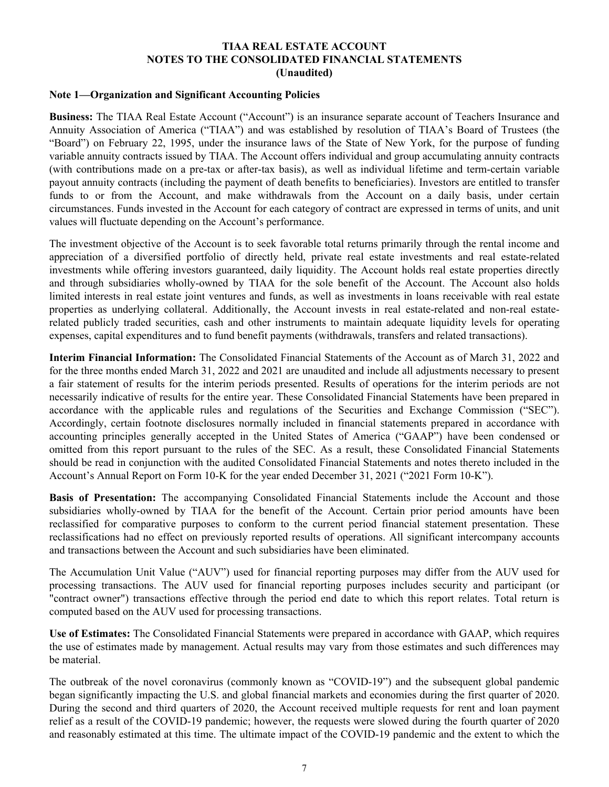#### **TIAA REAL ESTATE ACCOUNT NOTES TO THE CONSOLIDATED FINANCIAL STATEMENTS (Unaudited)**

#### <span id="page-6-0"></span>**Note 1—Organization and Significant Accounting Policies**

**Business:** The TIAA Real Estate Account ("Account") is an insurance separate account of Teachers Insurance and Annuity Association of America ("TIAA") and was established by resolution of TIAA's Board of Trustees (the "Board") on February 22, 1995, under the insurance laws of the State of New York, for the purpose of funding variable annuity contracts issued by TIAA. The Account offers individual and group accumulating annuity contracts (with contributions made on a pre-tax or after-tax basis), as well as individual lifetime and term-certain variable payout annuity contracts (including the payment of death benefits to beneficiaries). Investors are entitled to transfer funds to or from the Account, and make withdrawals from the Account on a daily basis, under certain circumstances. Funds invested in the Account for each category of contract are expressed in terms of units, and unit values will fluctuate depending on the Account's performance.

The investment objective of the Account is to seek favorable total returns primarily through the rental income and appreciation of a diversified portfolio of directly held, private real estate investments and real estate-related investments while offering investors guaranteed, daily liquidity. The Account holds real estate properties directly and through subsidiaries wholly-owned by TIAA for the sole benefit of the Account. The Account also holds limited interests in real estate joint ventures and funds, as well as investments in loans receivable with real estate properties as underlying collateral. Additionally, the Account invests in real estate-related and non-real estaterelated publicly traded securities, cash and other instruments to maintain adequate liquidity levels for operating expenses, capital expenditures and to fund benefit payments (withdrawals, transfers and related transactions).

**Interim Financial Information:** The Consolidated Financial Statements of the Account as of March 31, 2022 and for the three months ended March 31, 2022 and 2021 are unaudited and include all adjustments necessary to present a fair statement of results for the interim periods presented. Results of operations for the interim periods are not necessarily indicative of results for the entire year. These Consolidated Financial Statements have been prepared in accordance with the applicable rules and regulations of the Securities and Exchange Commission ("SEC"). Accordingly, certain footnote disclosures normally included in financial statements prepared in accordance with accounting principles generally accepted in the United States of America ("GAAP") have been condensed or omitted from this report pursuant to the rules of the SEC. As a result, these Consolidated Financial Statements should be read in conjunction with the audited Consolidated Financial Statements and notes thereto included in the Account's Annual Report on Form 10-K for the year ended December 31, 2021 ("2021 Form 10-K").

**Basis of Presentation:** The accompanying Consolidated Financial Statements include the Account and those subsidiaries wholly-owned by TIAA for the benefit of the Account. Certain prior period amounts have been reclassified for comparative purposes to conform to the current period financial statement presentation. These reclassifications had no effect on previously reported results of operations. All significant intercompany accounts and transactions between the Account and such subsidiaries have been eliminated.

The Accumulation Unit Value ("AUV") used for financial reporting purposes may differ from the AUV used for processing transactions. The AUV used for financial reporting purposes includes security and participant (or "contract owner") transactions effective through the period end date to which this report relates. Total return is computed based on the AUV used for processing transactions.

**Use of Estimates:** The Consolidated Financial Statements were prepared in accordance with GAAP, which requires the use of estimates made by management. Actual results may vary from those estimates and such differences may be material.

The outbreak of the novel coronavirus (commonly known as "COVID-19") and the subsequent global pandemic began significantly impacting the U.S. and global financial markets and economies during the first quarter of 2020. During the second and third quarters of 2020, the Account received multiple requests for rent and loan payment relief as a result of the COVID-19 pandemic; however, the requests were slowed during the fourth quarter of 2020 and reasonably estimated at this time. The ultimate impact of the COVID-19 pandemic and the extent to which the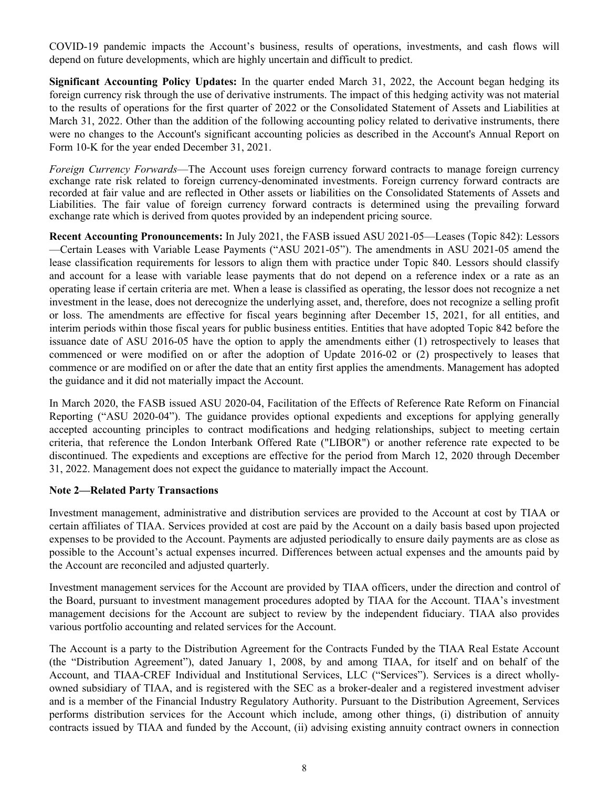COVID-19 pandemic impacts the Account's business, results of operations, investments, and cash flows will depend on future developments, which are highly uncertain and difficult to predict.

**Significant Accounting Policy Updates:** In the quarter ended March 31, 2022, the Account began hedging its foreign currency risk through the use of derivative instruments. The impact of this hedging activity was not material to the results of operations for the first quarter of 2022 or the Consolidated Statement of Assets and Liabilities at March 31, 2022. Other than the addition of the following accounting policy related to derivative instruments, there were no changes to the Account's significant accounting policies as described in the Account's Annual Report on Form 10-K for the year ended December 31, 2021.

*Foreign Currency Forwards*—The Account uses foreign currency forward contracts to manage foreign currency exchange rate risk related to foreign currency-denominated investments. Foreign currency forward contracts are recorded at fair value and are reflected in Other assets or liabilities on the Consolidated Statements of Assets and Liabilities. The fair value of foreign currency forward contracts is determined using the prevailing forward exchange rate which is derived from quotes provided by an independent pricing source.

**Recent Accounting Pronouncements:** In July 2021, the FASB issued ASU 2021-05—Leases (Topic 842): Lessors —Certain Leases with Variable Lease Payments ("ASU 2021-05"). The amendments in ASU 2021-05 amend the lease classification requirements for lessors to align them with practice under Topic 840. Lessors should classify and account for a lease with variable lease payments that do not depend on a reference index or a rate as an operating lease if certain criteria are met. When a lease is classified as operating, the lessor does not recognize a net investment in the lease, does not derecognize the underlying asset, and, therefore, does not recognize a selling profit or loss. The amendments are effective for fiscal years beginning after December 15, 2021, for all entities, and interim periods within those fiscal years for public business entities. Entities that have adopted Topic 842 before the issuance date of ASU 2016-05 have the option to apply the amendments either (1) retrospectively to leases that commenced or were modified on or after the adoption of Update 2016-02 or (2) prospectively to leases that commence or are modified on or after the date that an entity first applies the amendments. Management has adopted the guidance and it did not materially impact the Account.

In March 2020, the FASB issued ASU 2020-04, Facilitation of the Effects of Reference Rate Reform on Financial Reporting ("ASU 2020-04"). The guidance provides optional expedients and exceptions for applying generally accepted accounting principles to contract modifications and hedging relationships, subject to meeting certain criteria, that reference the London Interbank Offered Rate ("LIBOR") or another reference rate expected to be discontinued. The expedients and exceptions are effective for the period from March 12, 2020 through December 31, 2022. Management does not expect the guidance to materially impact the Account.

#### **Note 2—Related Party Transactions**

Investment management, administrative and distribution services are provided to the Account at cost by TIAA or certain affiliates of TIAA. Services provided at cost are paid by the Account on a daily basis based upon projected expenses to be provided to the Account. Payments are adjusted periodically to ensure daily payments are as close as possible to the Account's actual expenses incurred. Differences between actual expenses and the amounts paid by the Account are reconciled and adjusted quarterly.

Investment management services for the Account are provided by TIAA officers, under the direction and control of the Board, pursuant to investment management procedures adopted by TIAA for the Account. TIAA's investment management decisions for the Account are subject to review by the independent fiduciary. TIAA also provides various portfolio accounting and related services for the Account.

The Account is a party to the Distribution Agreement for the Contracts Funded by the TIAA Real Estate Account (the "Distribution Agreement"), dated January 1, 2008, by and among TIAA, for itself and on behalf of the Account, and TIAA-CREF Individual and Institutional Services, LLC ("Services"). Services is a direct whollyowned subsidiary of TIAA, and is registered with the SEC as a broker-dealer and a registered investment adviser and is a member of the Financial Industry Regulatory Authority. Pursuant to the Distribution Agreement, Services performs distribution services for the Account which include, among other things, (i) distribution of annuity contracts issued by TIAA and funded by the Account, (ii) advising existing annuity contract owners in connection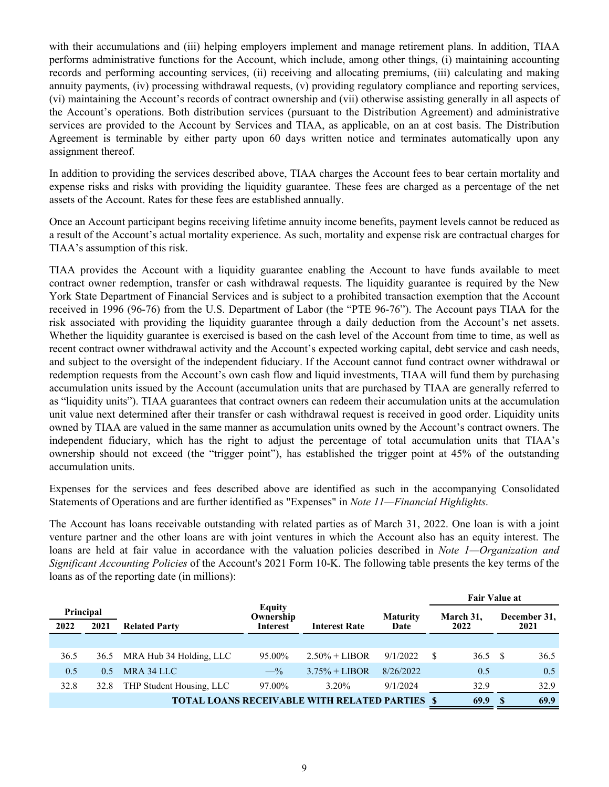with their accumulations and (iii) helping employers implement and manage retirement plans. In addition, TIAA performs administrative functions for the Account, which include, among other things, (i) maintaining accounting records and performing accounting services, (ii) receiving and allocating premiums, (iii) calculating and making annuity payments, (iv) processing withdrawal requests, (v) providing regulatory compliance and reporting services, (vi) maintaining the Account's records of contract ownership and (vii) otherwise assisting generally in all aspects of the Account's operations. Both distribution services (pursuant to the Distribution Agreement) and administrative services are provided to the Account by Services and TIAA, as applicable, on an at cost basis. The Distribution Agreement is terminable by either party upon 60 days written notice and terminates automatically upon any assignment thereof.

In addition to providing the services described above, TIAA charges the Account fees to bear certain mortality and expense risks and risks with providing the liquidity guarantee. These fees are charged as a percentage of the net assets of the Account. Rates for these fees are established annually.

Once an Account participant begins receiving lifetime annuity income benefits, payment levels cannot be reduced as a result of the Account's actual mortality experience. As such, mortality and expense risk are contractual charges for TIAA's assumption of this risk.

TIAA provides the Account with a liquidity guarantee enabling the Account to have funds available to meet contract owner redemption, transfer or cash withdrawal requests. The liquidity guarantee is required by the New York State Department of Financial Services and is subject to a prohibited transaction exemption that the Account received in 1996 (96-76) from the U.S. Department of Labor (the "PTE 96-76"). The Account pays TIAA for the risk associated with providing the liquidity guarantee through a daily deduction from the Account's net assets. Whether the liquidity guarantee is exercised is based on the cash level of the Account from time to time, as well as recent contract owner withdrawal activity and the Account's expected working capital, debt service and cash needs, and subject to the oversight of the independent fiduciary. If the Account cannot fund contract owner withdrawal or redemption requests from the Account's own cash flow and liquid investments, TIAA will fund them by purchasing accumulation units issued by the Account (accumulation units that are purchased by TIAA are generally referred to as "liquidity units"). TIAA guarantees that contract owners can redeem their accumulation units at the accumulation unit value next determined after their transfer or cash withdrawal request is received in good order. Liquidity units owned by TIAA are valued in the same manner as accumulation units owned by the Account's contract owners. The independent fiduciary, which has the right to adjust the percentage of total accumulation units that TIAA's ownership should not exceed (the "trigger point"), has established the trigger point at 45% of the outstanding accumulation units.

Expenses for the services and fees described above are identified as such in the accompanying Consolidated Statements of Operations and are further identified as "Expenses" in *Note 11—Financial Highlights*.

The Account has loans receivable outstanding with related parties as of March 31, 2022. One loan is with a joint venture partner and the other loans are with joint ventures in which the Account also has an equity interest. The loans are held at fair value in accordance with the valuation policies described in *Note 1—Organization and Significant Accounting Policies* of the Account's 2021 Form 10-K. The following table presents the key terms of the loans as of the reporting date (in millions):

|      |           |      |                          |                            |                                                       |                 |      |           | <b>Fair Value at</b> |              |  |  |  |      |
|------|-----------|------|--------------------------|----------------------------|-------------------------------------------------------|-----------------|------|-----------|----------------------|--------------|--|--|--|------|
|      | Principal |      |                          | <b>Equity</b><br>Ownership |                                                       | <b>Maturity</b> |      | March 31, |                      | December 31, |  |  |  |      |
| 2022 |           | 2021 | <b>Related Party</b>     | <b>Interest</b>            | <b>Interest Rate</b>                                  | Date            | 2022 |           |                      |              |  |  |  | 2021 |
|      |           |      |                          |                            |                                                       |                 |      |           |                      |              |  |  |  |      |
|      | 36.5      | 36.5 | MRA Hub 34 Holding, LLC  | $95.00\%$                  | $2.50\% + LIBOR$                                      | 9/1/2022        | -S   | 36.5 S    |                      | 36.5         |  |  |  |      |
|      | 0.5       | 0.5  | MRA 34 LLC               | $-$ %                      | $3.75\% + LIBOR$                                      | 8/26/2022       |      | 0.5       |                      | 0.5          |  |  |  |      |
|      | 32.8      | 32.8 | THP Student Housing, LLC | 97.00%                     | $3.20\%$                                              | 9/1/2024        |      | 32.9      |                      | 32.9         |  |  |  |      |
|      |           |      |                          |                            | <b>TOTAL LOANS RECEIVABLE WITH RELATED PARTIES \$</b> |                 |      | 69.9      |                      | 69.9         |  |  |  |      |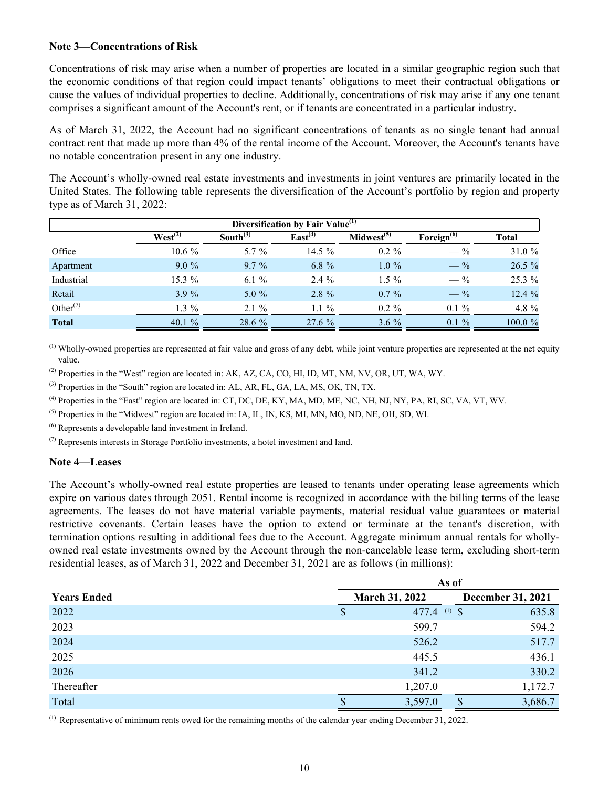## **Note 3—Concentrations of Risk**

Concentrations of risk may arise when a number of properties are located in a similar geographic region such that the economic conditions of that region could impact tenants' obligations to meet their contractual obligations or cause the values of individual properties to decline. Additionally, concentrations of risk may arise if any one tenant comprises a significant amount of the Account's rent, or if tenants are concentrated in a particular industry.

As of March 31, 2022, the Account had no significant concentrations of tenants as no single tenant had annual contract rent that made up more than 4% of the rental income of the Account. Moreover, the Account's tenants have no notable concentration present in any one industry.

The Account's wholly-owned real estate investments and investments in joint ventures are primarily located in the United States. The following table represents the diversification of the Account's portfolio by region and property type as of March 31, 2022:

| Diversification by Fair Value <sup>(1)</sup> |              |                |                     |               |                  |          |  |  |  |
|----------------------------------------------|--------------|----------------|---------------------|---------------|------------------|----------|--|--|--|
|                                              | $West^{(2)}$ | South $^{(3)}$ | $\text{East}^{(4)}$ | Midwest $(5)$ | Foreign $^{(6)}$ | Total    |  |  |  |
| Office                                       | $10.6\%$     | $5.7\%$        | $14.5\%$            | $0.2 \%$      | $-$ %            | 31.0 $%$ |  |  |  |
| Apartment                                    | $9.0\%$      | $9.7\%$        | 6.8 $%$             | $1.0\%$       | $- \frac{9}{6}$  | 26.5 %   |  |  |  |
| Industrial                                   | $15.3\%$     | 6.1 %          | $2.4\%$             | $1.5\%$       | $- \frac{9}{6}$  | 25.3 %   |  |  |  |
| Retail                                       | $3.9\%$      | $5.0 \%$       | $2.8 \%$            | $0.7\%$       | $- \frac{9}{6}$  | 12.4 %   |  |  |  |
| Other $(7)$                                  | $1.3\%$      | $2.1 \%$       | $1.1\%$             | $0.2 \%$      | $0.1 \%$         | 4.8 %    |  |  |  |
| <b>Total</b>                                 | 40.1 $%$     | 28.6 %         | 27.6%               | $3.6\%$       | $0.1 \%$         | 100.0 %  |  |  |  |

<sup>(1)</sup> Wholly-owned properties are represented at fair value and gross of any debt, while joint venture properties are represented at the net equity value.

 $^{(2)}$  Properties in the "West" region are located in: AK, AZ, CA, CO, HI, ID, MT, NM, NV, OR, UT, WA, WY.

<sup>(3)</sup> Properties in the "South" region are located in: AL, AR, FL, GA, LA, MS, OK, TN, TX.

(4) Properties in the "East" region are located in: CT, DC, DE, KY, MA, MD, ME, NC, NH, NJ, NY, PA, RI, SC, VA, VT, WV.

<sup>(5)</sup> Properties in the "Midwest" region are located in: IA, IL, IN, KS, MI, MN, MO, ND, NE, OH, SD, WI.

(6) Represents a developable land investment in Ireland.

 $(7)$  Represents interests in Storage Portfolio investments, a hotel investment and land.

#### **Note 4—Leases**

The Account's wholly-owned real estate properties are leased to tenants under operating lease agreements which expire on various dates through 2051. Rental income is recognized in accordance with the billing terms of the lease agreements. The leases do not have material variable payments, material residual value guarantees or material restrictive covenants. Certain leases have the option to extend or terminate at the tenant's discretion, with termination options resulting in additional fees due to the Account. Aggregate minimum annual rentals for whollyowned real estate investments owned by the Account through the non-cancelable lease term, excluding short-term residential leases, as of March 31, 2022 and December 31, 2021 are as follows (in millions):

|                    | As of |                       |                          |  |  |  |
|--------------------|-------|-----------------------|--------------------------|--|--|--|
| <b>Years Ended</b> |       | <b>March 31, 2022</b> | <b>December 31, 2021</b> |  |  |  |
| 2022               |       | 477.4                 | $(1)$ \$<br>635.8        |  |  |  |
| 2023               |       | 599.7                 | 594.2                    |  |  |  |
| 2024               |       | 526.2                 | 517.7                    |  |  |  |
| 2025               |       | 445.5                 | 436.1                    |  |  |  |
| 2026               |       | 341.2                 | 330.2                    |  |  |  |
| Thereafter         |       | 1,207.0               | 1,172.7                  |  |  |  |
| Total              |       | 3,597.0               | 3,686.7<br>\$            |  |  |  |

(1) Representative of minimum rents owed for the remaining months of the calendar year ending December 31, 2022.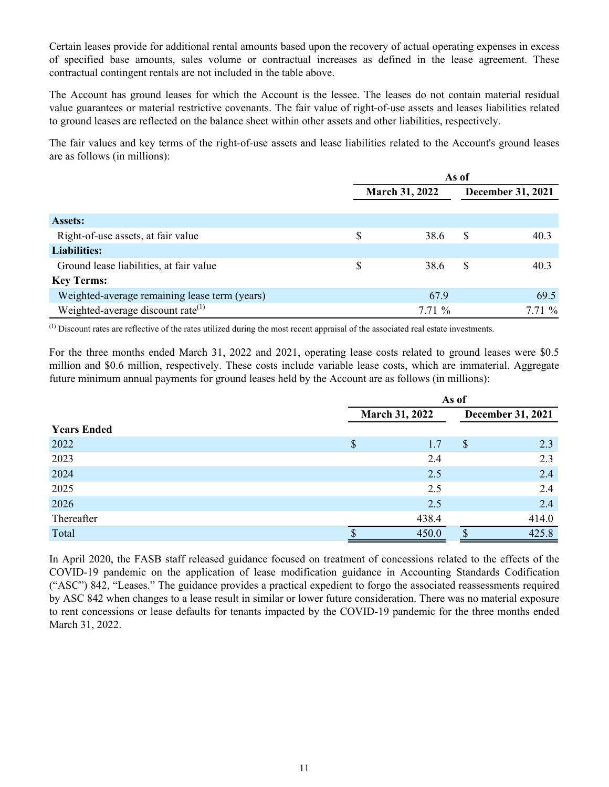Certain leases provide for additional rental amounts based upon the recovery of actual operating expenses in excess of specified base amounts, sales volume or contractual increases as defined in the lease agreement. These contractual contingent rentals are not included in the table above.

The Account has ground leases for which the Account is the lessee. The leases do not contain material residual value guarantees or material restrictive covenants. The fair value of right-of-use assets and leases liabilities related to ground leases are reflected on the balance sheet within other assets and other liabilities, respectively.

The fair values and key terms of the right-of-use assets and lease liabilities related to the Account's ground leases are as follows (in millions):

|                                               |   | As of                 |               |                          |  |  |
|-----------------------------------------------|---|-----------------------|---------------|--------------------------|--|--|
|                                               |   | <b>March 31, 2022</b> |               | <b>December 31, 2021</b> |  |  |
|                                               |   |                       |               |                          |  |  |
| <b>Assets:</b>                                |   |                       |               |                          |  |  |
| Right-of-use assets, at fair value            | S | 38.6                  | <sup>\$</sup> | 40.3                     |  |  |
| <b>Liabilities:</b>                           |   |                       |               |                          |  |  |
| Ground lease liabilities, at fair value       |   | 38.6                  | \$.           | 40.3                     |  |  |
| <b>Key Terms:</b>                             |   |                       |               |                          |  |  |
| Weighted-average remaining lease term (years) |   | 67.9                  |               | 69.5                     |  |  |
| Weighted-average discount rate $^{(1)}$       |   | 7.71%                 |               | 7.71%                    |  |  |

 $<sup>(1)</sup>$  Discount rates are reflective of the rates utilized during the most recent appraisal of the associated real estate investments.</sup>

For the three months ended March 31, 2022 and 2021, operating lease costs related to ground leases were \$0.5 million and \$0.6 million, respectively. These costs include variable lease costs, which are immaterial. Aggregate future minimum annual payments for ground leases held by the Account are as follows (in millions):

|                    | As of                 |       |                          |       |  |  |
|--------------------|-----------------------|-------|--------------------------|-------|--|--|
|                    | <b>March 31, 2022</b> |       | <b>December 31, 2021</b> |       |  |  |
| <b>Years Ended</b> |                       |       |                          |       |  |  |
| 2022               | \$                    | 1.7   | \$                       | 2.3   |  |  |
| 2023               |                       | 2.4   |                          | 2.3   |  |  |
| 2024               |                       | 2.5   |                          | 2.4   |  |  |
| 2025               |                       | 2.5   |                          | 2.4   |  |  |
| 2026               |                       | 2.5   |                          | 2.4   |  |  |
| Thereafter         |                       | 438.4 |                          | 414.0 |  |  |
| Total              |                       | 450.0 | <b>C</b>                 | 425.8 |  |  |

In April 2020, the FASB staff released guidance focused on treatment of concessions related to the effects of the COVID-19 pandemic on the application of lease modification guidance in Accounting Standards Codification ("ASC") 842, "Leases." The guidance provides a practical expedient to forgo the associated reassessments required by ASC 842 when changes to a lease result in similar or lower future consideration. There was no material exposure to rent concessions or lease defaults for tenants impacted by the COVID-19 pandemic for the three months ended March 31, 2022.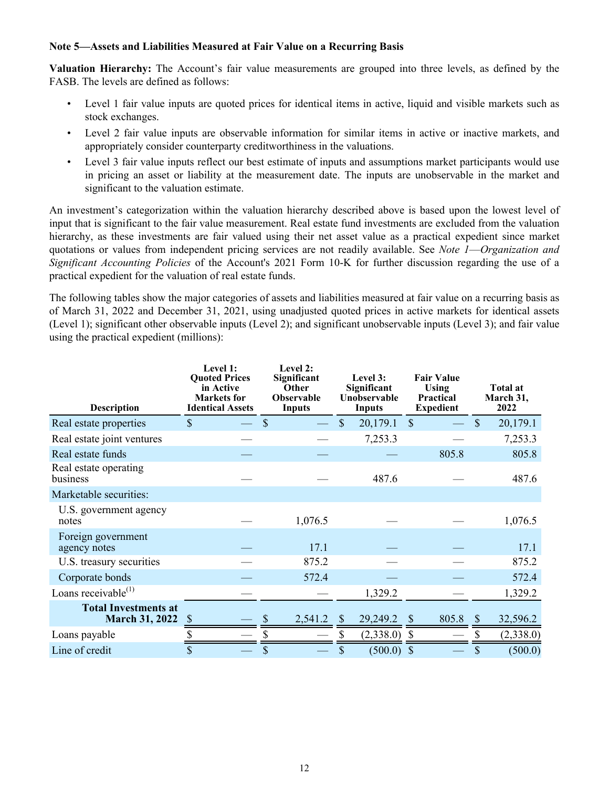### **Note 5—Assets and Liabilities Measured at Fair Value on a Recurring Basis**

**Valuation Hierarchy:** The Account's fair value measurements are grouped into three levels, as defined by the FASB. The levels are defined as follows:

- Level 1 fair value inputs are quoted prices for identical items in active, liquid and visible markets such as stock exchanges.
- Level 2 fair value inputs are observable information for similar items in active or inactive markets, and appropriately consider counterparty creditworthiness in the valuations.
- Level 3 fair value inputs reflect our best estimate of inputs and assumptions market participants would use in pricing an asset or liability at the measurement date. The inputs are unobservable in the market and significant to the valuation estimate.

An investment's categorization within the valuation hierarchy described above is based upon the lowest level of input that is significant to the fair value measurement. Real estate fund investments are excluded from the valuation hierarchy, as these investments are fair valued using their net asset value as a practical expedient since market quotations or values from independent pricing services are not readily available. See *Note 1*—*Organization and Significant Accounting Policies* of the Account's 2021 Form 10-K for further discussion regarding the use of a practical expedient for the valuation of real estate funds.

The following tables show the major categories of assets and liabilities measured at fair value on a recurring basis as of March 31, 2022 and December 31, 2021, using unadjusted quoted prices in active markets for identical assets (Level 1); significant other observable inputs (Level 2); and significant unobservable inputs (Level 3); and fair value using the practical expedient (millions):

| <b>Description</b>                                   | Level 1:<br><b>Quoted Prices</b><br>in Active<br><b>Markets for</b><br><b>Identical Assets</b> |  |               | Level 2:<br>Significant<br>Other<br><b>Observable</b><br><b>Inputs</b> |    | Level 3:<br>Significant<br>Unobservable<br><b>Inputs</b> |              | <b>Fair Value</b><br><b>Using</b><br><b>Practical</b><br><b>Expedient</b> | <b>Total at</b><br>March 31,<br>2022 |           |  |
|------------------------------------------------------|------------------------------------------------------------------------------------------------|--|---------------|------------------------------------------------------------------------|----|----------------------------------------------------------|--------------|---------------------------------------------------------------------------|--------------------------------------|-----------|--|
| Real estate properties                               | \$                                                                                             |  | $\mathcal{S}$ |                                                                        | \$ | 20,179.1                                                 | $\mathbb{S}$ |                                                                           | \$                                   | 20,179.1  |  |
| Real estate joint ventures                           |                                                                                                |  |               |                                                                        |    | 7,253.3                                                  |              |                                                                           |                                      | 7,253.3   |  |
| Real estate funds                                    |                                                                                                |  |               |                                                                        |    |                                                          |              | 805.8                                                                     |                                      | 805.8     |  |
| Real estate operating<br>business                    |                                                                                                |  |               |                                                                        |    | 487.6                                                    |              |                                                                           |                                      | 487.6     |  |
| Marketable securities:                               |                                                                                                |  |               |                                                                        |    |                                                          |              |                                                                           |                                      |           |  |
| U.S. government agency<br>notes                      |                                                                                                |  |               | 1,076.5                                                                |    |                                                          |              |                                                                           |                                      | 1,076.5   |  |
| Foreign government<br>agency notes                   |                                                                                                |  |               | 17.1                                                                   |    |                                                          |              |                                                                           |                                      | 17.1      |  |
| U.S. treasury securities                             |                                                                                                |  |               | 875.2                                                                  |    |                                                          |              |                                                                           |                                      | 875.2     |  |
| Corporate bonds                                      |                                                                                                |  |               | 572.4                                                                  |    |                                                          |              |                                                                           |                                      | 572.4     |  |
| Loans receivable $^{(1)}$                            |                                                                                                |  |               |                                                                        |    | 1,329.2                                                  |              |                                                                           |                                      | 1,329.2   |  |
| <b>Total Investments at</b><br><b>March 31, 2022</b> |                                                                                                |  |               | 2,541.2                                                                |    | 29,249.2                                                 |              | 805.8                                                                     |                                      | 32,596.2  |  |
| Loans payable                                        |                                                                                                |  |               |                                                                        |    | (2,338.0)                                                |              |                                                                           |                                      | (2,338.0) |  |
| Line of credit                                       | \$                                                                                             |  | \$            |                                                                        | S  | $(500.0)$ \$                                             |              |                                                                           |                                      | (500.0)   |  |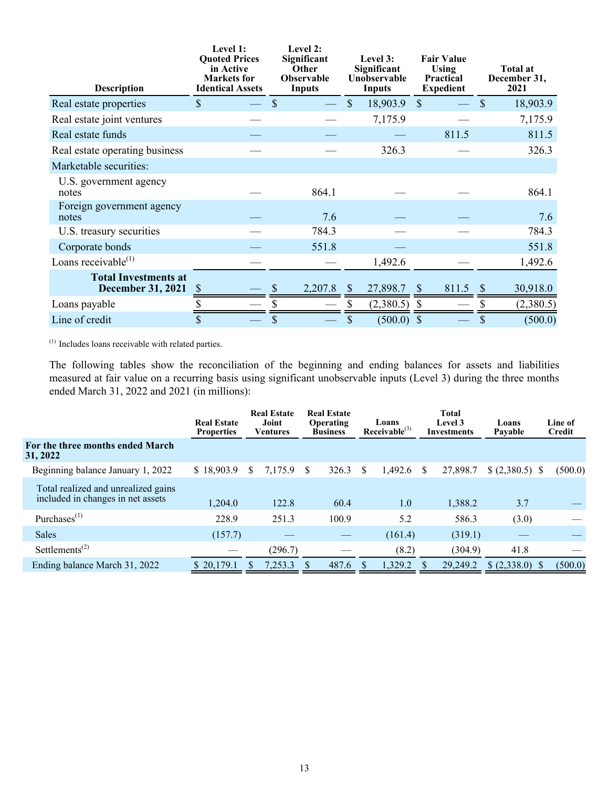| <b>Description</b>                                      | Level 1:<br><b>Quoted Prices</b><br>in Active<br><b>Markets</b> for<br><b>Identical Assets</b> | Level 2:<br>Significant<br><b>Other</b><br><b>Observable</b><br><b>Inputs</b> | Level 3:<br>Significant<br>Unobservable<br><b>Inputs</b> | <b>Fair Value</b><br><b>Using</b><br>Practical<br><b>Expedient</b> | <b>Total at</b><br>December 31,<br>2021 |
|---------------------------------------------------------|------------------------------------------------------------------------------------------------|-------------------------------------------------------------------------------|----------------------------------------------------------|--------------------------------------------------------------------|-----------------------------------------|
| Real estate properties                                  | $\mathbb{S}$                                                                                   | \$                                                                            | \$<br>18,903.9                                           | $\mathcal{S}$                                                      | $\mathbb{S}$<br>18,903.9                |
| Real estate joint ventures                              |                                                                                                |                                                                               | 7,175.9                                                  |                                                                    | 7,175.9                                 |
| Real estate funds                                       |                                                                                                |                                                                               |                                                          | 811.5                                                              | 811.5                                   |
| Real estate operating business                          |                                                                                                |                                                                               | 326.3                                                    |                                                                    | 326.3                                   |
| Marketable securities:                                  |                                                                                                |                                                                               |                                                          |                                                                    |                                         |
| U.S. government agency<br>notes                         |                                                                                                | 864.1                                                                         |                                                          |                                                                    | 864.1                                   |
| Foreign government agency<br>notes                      |                                                                                                | 7.6                                                                           |                                                          |                                                                    | 7.6                                     |
| U.S. treasury securities                                |                                                                                                | 784.3                                                                         |                                                          |                                                                    | 784.3                                   |
| Corporate bonds                                         |                                                                                                | 551.8                                                                         |                                                          |                                                                    | 551.8                                   |
| Loans receivable $^{(1)}$                               |                                                                                                |                                                                               | 1,492.6                                                  |                                                                    | 1,492.6                                 |
| <b>Total Investments at</b><br><b>December 31, 2021</b> | $\boldsymbol{\mathsf{S}}$                                                                      | 2,207.8                                                                       | $\boldsymbol{\mathsf{S}}$<br>27,898.7                    | <sup>\$</sup><br>811.5                                             | 30,918.0<br>-S                          |
| Loans payable                                           |                                                                                                |                                                                               | (2,380.5)                                                | \$                                                                 | (2,380.5)                               |
| Line of credit                                          | \$                                                                                             | \$                                                                            | \$<br>$(500.0)$ \$                                       |                                                                    | \$<br>(500.0)                           |

(1) Includes loans receivable with related parties.

The following tables show the reconciliation of the beginning and ending balances for assets and liabilities measured at fair value on a recurring basis using significant unobservable inputs (Level 3) during the three months ended March 31, 2022 and 2021 (in millions):

|                                                                          | <b>Real Estate</b><br><b>Properties</b> |    | <b>Real Estate</b><br>Joint<br><b>Ventures</b> |    | <b>Real Estate</b><br>Operating<br><b>Business</b> |   | Loans<br>Receivable $^{(3)}$ |   | Total<br>Level 3<br>Investments | Loans<br>Pavable | Line of<br>Credit |         |
|--------------------------------------------------------------------------|-----------------------------------------|----|------------------------------------------------|----|----------------------------------------------------|---|------------------------------|---|---------------------------------|------------------|-------------------|---------|
| For the three months ended March<br>31, 2022                             |                                         |    |                                                |    |                                                    |   |                              |   |                                 |                  |                   |         |
| Beginning balance January 1, 2022                                        | \$18,903.9                              | S. | 7,175.9                                        | -S | 326.3                                              | S | 1,492.6                      | S | 27,898.7                        | $(2,380.5)$ \$   |                   | (500.0) |
| Total realized and unrealized gains<br>included in changes in net assets | 1.204.0                                 |    | 122.8                                          |    | 60.4                                               |   | 1.0                          |   | 1,388.2                         | 3.7              |                   |         |
| Purchases $^{(1)}$                                                       | 228.9                                   |    | 251.3                                          |    | 100.9                                              |   | 5.2                          |   | 586.3                           | (3.0)            |                   |         |
| <b>Sales</b>                                                             | (157.7)                                 |    |                                                |    |                                                    |   | (161.4)                      |   | (319.1)                         |                  |                   |         |
| Settlements <sup><math>(2)</math></sup>                                  |                                         |    | (296.7)                                        |    |                                                    |   | (8.2)                        |   | (304.9)                         | 41.8             |                   |         |
| Ending balance March 31, 2022                                            | \$20,179.1                              |    | 7,253.3                                        |    | 487.6                                              | S | 1,329.2                      |   | 29,249.2                        | $(2,338.0)$ \$   |                   | (500.0) |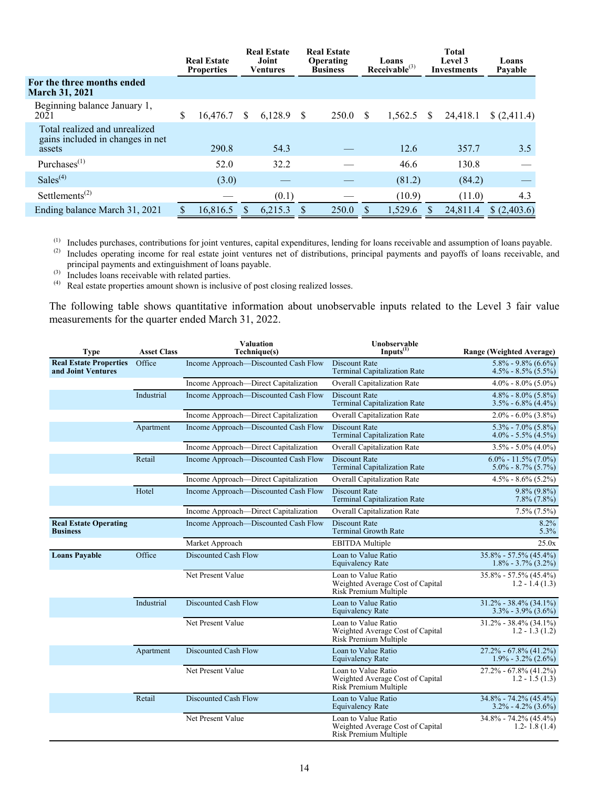|                                                                             | <b>Real Estate</b><br><b>Properties</b> |          |              | <b>Real Estate</b><br>Joint<br><b>Ventures</b> |              | <b>Real Estate</b><br>Operating<br><b>Business</b> | Loans<br>Receivable $^{(3)}$ |         |    | <b>Total</b><br>Level 3<br><b>Investments</b> | Loans<br>Payable |  |
|-----------------------------------------------------------------------------|-----------------------------------------|----------|--------------|------------------------------------------------|--------------|----------------------------------------------------|------------------------------|---------|----|-----------------------------------------------|------------------|--|
| For the three months ended<br><b>March 31, 2021</b>                         |                                         |          |              |                                                |              |                                                    |                              |         |    |                                               |                  |  |
| Beginning balance January 1,<br>2021                                        | S                                       | 16,476.7 | <sup>S</sup> | 6.128.9                                        | <sup>S</sup> | 250.0                                              | -S                           | 1.562.5 | S. | 24,418.1                                      | \$(2,411.4)      |  |
| Total realized and unrealized<br>gains included in changes in net<br>assets |                                         | 290.8    |              | 54.3                                           |              |                                                    |                              | 12.6    |    | 357.7                                         | 3.5              |  |
| Purchases $^{(1)}$                                                          |                                         | 52.0     |              | 32.2                                           |              |                                                    |                              | 46.6    |    | 130.8                                         |                  |  |
| Sales <sup>(4)</sup>                                                        |                                         | (3.0)    |              |                                                |              |                                                    |                              | (81.2)  |    | (84.2)                                        |                  |  |
| Settlements <sup><math>(2)</math></sup>                                     |                                         |          |              | (0.1)                                          |              |                                                    |                              | (10.9)  |    | (11.0)                                        | 4.3              |  |
| Ending balance March 31, 2021                                               | <b>S</b>                                | 16,816.5 |              | 6.215.3                                        | \$.          | 250.0                                              | <b>S</b>                     | 1,529.6 |    | 24.811.4                                      | (2,403.6)        |  |

(1) Includes purchases, contributions for joint ventures, capital expenditures, lending for loans receivable and assumption of loans payable.<br>(2) Includes operating income for real estate joint ventures net of distributio

Includes operating income for real estate joint ventures net of distributions, principal payments and payoffs of loans receivable, and principal payments and extinguishment of loans payable.

(3) Includes loans receivable with related parties.<br>  $^{(4)}$  Real estate properties amount shown is inclusi

Real estate properties amount shown is inclusive of post closing realized losses.

The following table shows quantitative information about unobservable inputs related to the Level 3 fair value measurements for the quarter ended March 31, 2022.

| <b>Type</b>                                         | <b>Asset Class</b> | <b>Valuation</b><br>Technique(s)      | <b>Unobservable</b><br>Inputs $^{(1)}$                                           | Range (Weighted Average)                              |
|-----------------------------------------------------|--------------------|---------------------------------------|----------------------------------------------------------------------------------|-------------------------------------------------------|
| <b>Real Estate Properties</b><br>and Joint Ventures | Office             | Income Approach—Discounted Cash Flow  | <b>Discount Rate</b><br><b>Terminal Capitalization Rate</b>                      | $5.8\% - 9.8\%$ (6.6%)<br>$4.5\% - 8.5\%$ (5.5%)      |
|                                                     |                    | Income Approach—Direct Capitalization | <b>Overall Capitalization Rate</b>                                               | $4.0\% - 8.0\%$ (5.0%)                                |
|                                                     | Industrial         | Income Approach—Discounted Cash Flow  | <b>Discount Rate</b><br><b>Terminal Capitalization Rate</b>                      | $4.8\% - 8.0\%$ (5.8%)<br>$3.5\% - 6.8\% (4.4\%)$     |
|                                                     |                    | Income Approach—Direct Capitalization | <b>Overall Capitalization Rate</b>                                               | $2.0\% - 6.0\%$ (3.8%)                                |
|                                                     | Apartment          | Income Approach—Discounted Cash Flow  | <b>Discount Rate</b><br><b>Terminal Capitalization Rate</b>                      | $5.3\% - 7.0\%$ (5.8%)<br>$4.0\% - 5.5\% (4.5\%)$     |
|                                                     |                    | Income Approach—Direct Capitalization | <b>Overall Capitalization Rate</b>                                               | $3.5\% - 5.0\% (4.0\%)$                               |
|                                                     | Retail             | Income Approach—Discounted Cash Flow  | <b>Discount Rate</b><br><b>Terminal Capitalization Rate</b>                      | $6.0\% - 11.5\%$ (7.0%)<br>$5.0\% - 8.7\%$ (5.7%)     |
|                                                     |                    | Income Approach—Direct Capitalization | <b>Overall Capitalization Rate</b>                                               | $4.5\% - 8.6\%$ (5.2%)                                |
|                                                     | Hotel              | Income Approach—Discounted Cash Flow  | <b>Discount Rate</b><br><b>Terminal Capitalization Rate</b>                      | $9.8\%$ $(9.8\%)$<br>$7.8\%$ $(7.8\%)$                |
|                                                     |                    | Income Approach—Direct Capitalization | <b>Overall Capitalization Rate</b>                                               | $7.5\%$ $(7.5\%)$                                     |
| <b>Real Estate Operating</b><br><b>Business</b>     |                    | Income Approach—Discounted Cash Flow  | <b>Discount Rate</b><br><b>Terminal Growth Rate</b>                              | 8.2%<br>5.3%                                          |
|                                                     |                    | Market Approach                       | <b>EBITDA</b> Multiple                                                           | 25.0x                                                 |
| <b>Loans Payable</b>                                | Office             | Discounted Cash Flow                  | Loan to Value Ratio<br><b>Equivalency Rate</b>                                   | 35.8% - 57.5% (45.4%)<br>$1.8\% - 3.7\%$ (3.2%)       |
|                                                     |                    | Net Present Value                     | Loan to Value Ratio<br>Weighted Average Cost of Capital<br>Risk Premium Multiple | $35.8\% - 57.5\%$ (45.4%)<br>$1.2 - 1.4(1.3)$         |
|                                                     | Industrial         | Discounted Cash Flow                  | Loan to Value Ratio<br><b>Equivalency Rate</b>                                   | $31.2\% - 38.4\%$ (34.1%)<br>$3.3\% - 3.9\% (3.6\%)$  |
|                                                     |                    | Net Present Value                     | Loan to Value Ratio<br>Weighted Average Cost of Capital<br>Risk Premium Multiple | $31.2\% - 38.4\% (34.1\%)$<br>$1.2 - 1.3(1.2)$        |
|                                                     | Apartment          | Discounted Cash Flow                  | Loan to Value Ratio<br><b>Equivalency Rate</b>                                   | $27.2\% - 67.8\% (41.2\%)$<br>$1.9\% - 3.2\% (2.6\%)$ |
|                                                     |                    | Net Present Value                     | Loan to Value Ratio<br>Weighted Average Cost of Capital<br>Risk Premium Multiple | $27.2\% - 67.8\% (41.2\%)$<br>$1.2 - 1.5(1.3)$        |
|                                                     | Retail             | Discounted Cash Flow                  | Loan to Value Ratio<br><b>Equivalency Rate</b>                                   | $34.8\% - 74.2\% (45.4\%)$<br>$3.2\% - 4.2\% (3.6\%)$ |
|                                                     |                    | Net Present Value                     | Loan to Value Ratio<br>Weighted Average Cost of Capital<br>Risk Premium Multiple | $34.8\% - 74.2\% (45.4\%)$<br>1.2 - 1.8 $(1.4)$       |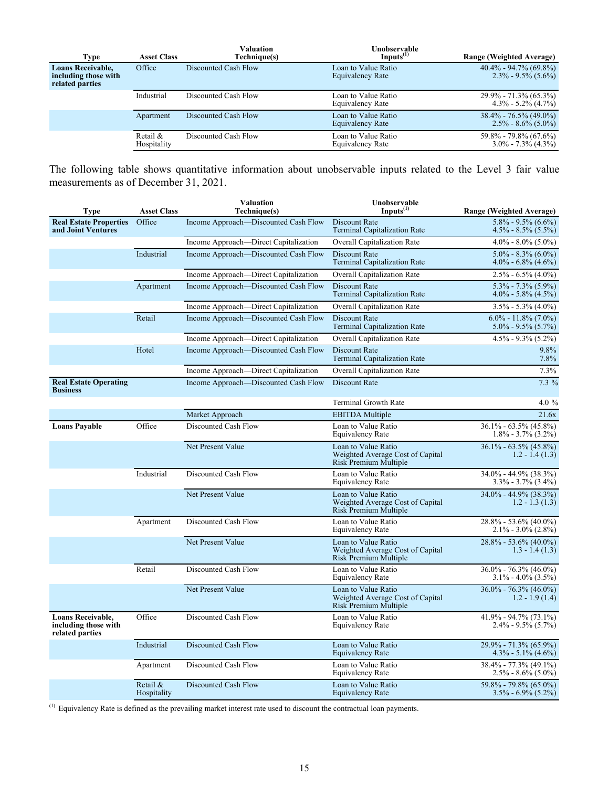| <b>Type</b>                                                         | <b>Asset Class</b>         | <b>Valuation</b><br>Technique(s) | Unobservable<br>Inputs $(1)$            | Range (Weighted Average)                              |
|---------------------------------------------------------------------|----------------------------|----------------------------------|-----------------------------------------|-------------------------------------------------------|
| <b>Loans Receivable,</b><br>including those with<br>related parties | Office                     | Discounted Cash Flow             | Loan to Value Ratio<br>Equivalency Rate | $40.4\% - 94.7\%$ (69.8%)<br>$2.3\% - 9.5\%$ (5.6%)   |
|                                                                     | Industrial                 | Discounted Cash Flow             | Loan to Value Ratio<br>Equivalency Rate | $29.9\% - 71.3\% (65.3\%)$<br>$4.3\% - 5.2\% (4.7\%)$ |
|                                                                     | Apartment                  | Discounted Cash Flow             | Loan to Value Ratio<br>Equivalency Rate | $38.4\% - 76.5\% (49.0\%)$<br>$2.5\% - 8.6\%$ (5.0%)  |
|                                                                     | Retail $\&$<br>Hospitality | Discounted Cash Flow             | Loan to Value Ratio<br>Equivalency Rate | $59.8\% - 79.8\% (67.6\%)$<br>$3.0\% - 7.3\% (4.3\%)$ |

The following table shows quantitative information about unobservable inputs related to the Level 3 fair value measurements as of December 31, 2021.

| <b>Type</b>                                                         | <b>Asset Class</b>      | <b>Valuation</b><br>Technique(s)      | Unobservable<br>Inputs <sup>(1)</sup>                                            | Range (Weighted Average)                              |
|---------------------------------------------------------------------|-------------------------|---------------------------------------|----------------------------------------------------------------------------------|-------------------------------------------------------|
| <b>Real Estate Properties</b><br>and Joint Ventures                 | Office                  | Income Approach—Discounted Cash Flow  | <b>Discount Rate</b><br><b>Terminal Capitalization Rate</b>                      | $5.8\% - 9.5\%$ (6.6%)<br>$4.5\% - 8.5\%$ (5.5%)      |
|                                                                     |                         | Income Approach—Direct Capitalization | Overall Capitalization Rate                                                      | $4.0\% - 8.0\%$ (5.0%)                                |
|                                                                     | Industrial              | Income Approach—Discounted Cash Flow  | Discount Rate<br><b>Terminal Capitalization Rate</b>                             | $5.0\% - 8.3\%$ (6.0%)<br>$4.0\% - 6.8\% (4.6\%)$     |
|                                                                     |                         | Income Approach—Direct Capitalization | Overall Capitalization Rate                                                      | $2.5\% - 6.5\% (4.0\%)$                               |
|                                                                     | Apartment               | Income Approach-Discounted Cash Flow  | Discount Rate<br><b>Terminal Capitalization Rate</b>                             | $5.3\% - 7.3\%$ (5.9%)<br>$4.0\% - 5.8\% (4.5\%)$     |
|                                                                     |                         | Income Approach—Direct Capitalization | <b>Overall Capitalization Rate</b>                                               | $3.5\% - 5.3\% (4.0\%)$                               |
|                                                                     | Retail                  | Income Approach—Discounted Cash Flow  | Discount Rate<br><b>Terminal Capitalization Rate</b>                             | $6.0\% - 11.8\%$ (7.0%)<br>$5.0\% - 9.5\%$ (5.7%)     |
|                                                                     |                         | Income Approach—Direct Capitalization | Overall Capitalization Rate                                                      | $4.5\% - 9.3\% (5.2\%)$                               |
|                                                                     | Hotel                   | Income Approach—Discounted Cash Flow  | Discount Rate<br><b>Terminal Capitalization Rate</b>                             | 9.8%<br>7.8%                                          |
|                                                                     |                         | Income Approach—Direct Capitalization | Overall Capitalization Rate                                                      | 7.3%                                                  |
| <b>Real Estate Operating</b><br><b>Business</b>                     |                         | Income Approach—Discounted Cash Flow  | Discount Rate                                                                    | $7.3\%$                                               |
|                                                                     |                         |                                       | <b>Terminal Growth Rate</b>                                                      | 4.0 %                                                 |
|                                                                     |                         | Market Approach                       | <b>EBITDA</b> Multiple                                                           | 21.6x                                                 |
| <b>Loans Payable</b>                                                | Office                  | Discounted Cash Flow                  | Loan to Value Ratio<br><b>Equivalency Rate</b>                                   | $36.1\% - 63.5\% (45.8\%)$<br>$1.8\% - 3.7\% (3.2\%)$ |
|                                                                     |                         | Net Present Value                     | Loan to Value Ratio<br>Weighted Average Cost of Capital<br>Risk Premium Multiple | $36.1\% - 63.5\% (45.8\%)$<br>$1.2 - 1.4(1.3)$        |
|                                                                     | Industrial              | Discounted Cash Flow                  | Loan to Value Ratio<br>Equivalency Rate                                          | 34.0% - 44.9% (38.3%)<br>$3.3\% - 3.7\%$ (3.4%)       |
|                                                                     |                         | Net Present Value                     | Loan to Value Ratio<br>Weighted Average Cost of Capital<br>Risk Premium Multiple | $34.0\% - 44.9\% (38.3\%)$<br>$1.2 - 1.3(1.3)$        |
|                                                                     | Apartment               | Discounted Cash Flow                  | Loan to Value Ratio<br>Equivalency Rate                                          | 28.8% - 53.6% (40.0%)<br>$2.1\% - 3.0\%$ (2.8%)       |
|                                                                     |                         | Net Present Value                     | Loan to Value Ratio<br>Weighted Average Cost of Capital<br>Risk Premium Multiple | $28.8\% - 53.6\%$ (40.0%)<br>$1.3 - 1.4(1.3)$         |
|                                                                     | Retail                  | Discounted Cash Flow                  | Loan to Value Ratio<br>Equivalency Rate                                          | $36.0\% - 76.3\% (46.0\%)$<br>$3.1\% - 4.0\% (3.5\%)$ |
|                                                                     |                         | Net Present Value                     | Loan to Value Ratio<br>Weighted Average Cost of Capital<br>Risk Premium Multiple | $36.0\% - 76.3\% (46.0\%)$<br>$1.2 - 1.9(1.4)$        |
| <b>Loans Receivable,</b><br>including those with<br>related parties | Office                  | Discounted Cash Flow                  | Loan to Value Ratio<br><b>Equivalency Rate</b>                                   | $41.9\% - 94.7\%$ (73.1%)<br>$2.4\% - 9.5\%$ (5.7%)   |
|                                                                     | Industrial              | Discounted Cash Flow                  | Loan to Value Ratio<br><b>Equivalency Rate</b>                                   | 29.9% - 71.3% (65.9%)<br>$4.3\% - 5.1\% (4.6\%)$      |
|                                                                     | Apartment               | Discounted Cash Flow                  | Loan to Value Ratio<br><b>Equivalency Rate</b>                                   | 38.4% - 77.3% (49.1%)<br>$2.5\% - 8.6\%$ (5.0%)       |
|                                                                     | Retail &<br>Hospitality | Discounted Cash Flow                  | Loan to Value Ratio<br>Equivalency Rate                                          | 59.8% - 79.8% (65.0%)<br>$3.5\% - 6.9\% (5.2\%)$      |

(1) Equivalency Rate is defined as the prevailing market interest rate used to discount the contractual loan payments.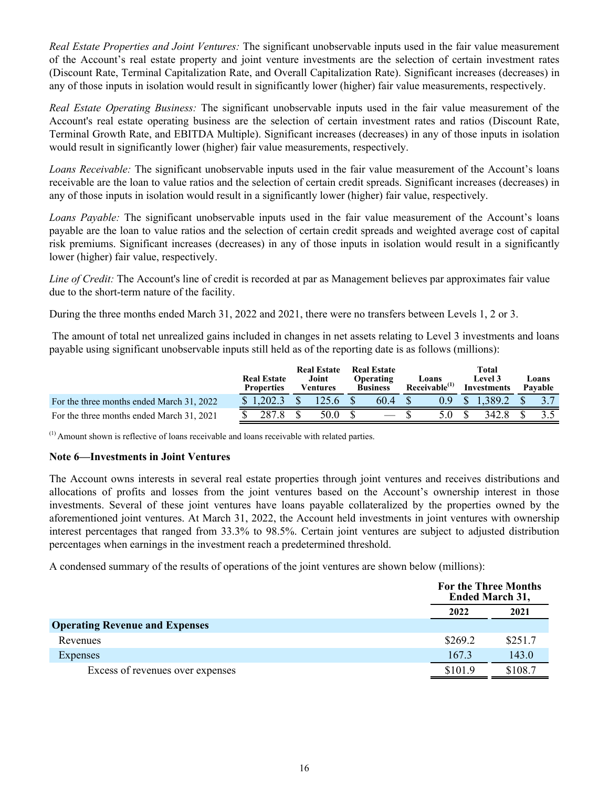*Real Estate Properties and Joint Ventures:* The significant unobservable inputs used in the fair value measurement of the Account's real estate property and joint venture investments are the selection of certain investment rates (Discount Rate, Terminal Capitalization Rate, and Overall Capitalization Rate). Significant increases (decreases) in any of those inputs in isolation would result in significantly lower (higher) fair value measurements, respectively.

*Real Estate Operating Business:* The significant unobservable inputs used in the fair value measurement of the Account's real estate operating business are the selection of certain investment rates and ratios (Discount Rate, Terminal Growth Rate, and EBITDA Multiple). Significant increases (decreases) in any of those inputs in isolation would result in significantly lower (higher) fair value measurements, respectively.

*Loans Receivable:* The significant unobservable inputs used in the fair value measurement of the Account's loans receivable are the loan to value ratios and the selection of certain credit spreads. Significant increases (decreases) in any of those inputs in isolation would result in a significantly lower (higher) fair value, respectively.

*Loans Payable:* The significant unobservable inputs used in the fair value measurement of the Account's loans payable are the loan to value ratios and the selection of certain credit spreads and weighted average cost of capital risk premiums. Significant increases (decreases) in any of those inputs in isolation would result in a significantly lower (higher) fair value, respectively.

*Line of Credit:* The Account's line of credit is recorded at par as Management believes par approximates fair value due to the short-term nature of the facility.

During the three months ended March 31, 2022 and 2021, there were no transfers between Levels 1, 2 or 3.

The amount of total net unrealized gains included in changes in net assets relating to Level 3 investments and loans payable using significant unobservable inputs still held as of the reporting date is as follows (millions):

|                                           | <b>Real Estate</b><br><b>Properties</b> | <b>Real Estate</b><br>Joint<br>Ventures | <b>Real Estate</b><br><b>Operating</b><br><b>Business</b> | Loans<br>$Receivable$ <sup>(1)</sup> | Total<br><b>Level 3</b><br><b>Investments</b> | Loans<br>Pavable |
|-------------------------------------------|-----------------------------------------|-----------------------------------------|-----------------------------------------------------------|--------------------------------------|-----------------------------------------------|------------------|
| For the three months ended March 31, 2022 | 202.5                                   |                                         | 60.4                                                      | 0.9 <sup>°</sup>                     | 3892                                          |                  |
| For the three months ended March 31, 2021 | 287                                     | 50.0                                    |                                                           |                                      | 342 R                                         |                  |

(1) Amount shown is reflective of loans receivable and loans receivable with related parties.

#### **Note 6—Investments in Joint Ventures**

The Account owns interests in several real estate properties through joint ventures and receives distributions and allocations of profits and losses from the joint ventures based on the Account's ownership interest in those investments. Several of these joint ventures have loans payable collateralized by the properties owned by the aforementioned joint ventures. At March 31, 2022, the Account held investments in joint ventures with ownership interest percentages that ranged from 33.3% to 98.5%. Certain joint ventures are subject to adjusted distribution percentages when earnings in the investment reach a predetermined threshold.

A condensed summary of the results of operations of the joint ventures are shown below (millions):

|                                       |              | <b>For the Three Months</b><br><b>Ended March 31,</b> |  |  |
|---------------------------------------|--------------|-------------------------------------------------------|--|--|
|                                       | 2021<br>2022 |                                                       |  |  |
| <b>Operating Revenue and Expenses</b> |              |                                                       |  |  |
| Revenues                              | \$269.2      | \$251.7                                               |  |  |
| <b>Expenses</b>                       | 167.3        | 143.0                                                 |  |  |
| Excess of revenues over expenses      | \$101.9      | \$108.7                                               |  |  |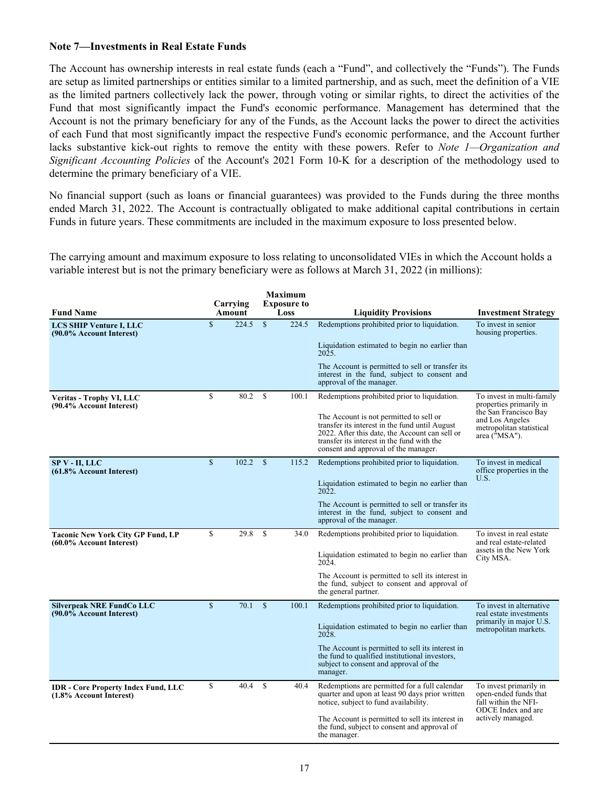### **Note 7—Investments in Real Estate Funds**

The Account has ownership interests in real estate funds (each a "Fund", and collectively the "Funds"). The Funds are setup as limited partnerships or entities similar to a limited partnership, and as such, meet the definition of a VIE as the limited partners collectively lack the power, through voting or similar rights, to direct the activities of the Fund that most significantly impact the Fund's economic performance. Management has determined that the Account is not the primary beneficiary for any of the Funds, as the Account lacks the power to direct the activities of each Fund that most significantly impact the respective Fund's economic performance, and the Account further lacks substantive kick-out rights to remove the entity with these powers. Refer to *Note 1—Organization and Significant Accounting Policies* of the Account's 2021 Form 10-K for a description of the methodology used to determine the primary beneficiary of a VIE.

No financial support (such as loans or financial guarantees) was provided to the Funds during the three months ended March 31, 2022. The Account is contractually obligated to make additional capital contributions in certain Funds in future years. These commitments are included in the maximum exposure to loss presented below.

The carrying amount and maximum exposure to loss relating to unconsolidated VIEs in which the Account holds a variable interest but is not the primary beneficiary were as follows at March 31, 2022 (in millions):

**Maximum** 

| <b>Fund Name</b>                                                      | Carrying<br>Amount |       |               | waannum<br><b>Exposure to</b><br>Loss | <b>Liquidity Provisions</b>                                                                                                                                                                                                       | <b>Investment Strategy</b>                                                            |
|-----------------------------------------------------------------------|--------------------|-------|---------------|---------------------------------------|-----------------------------------------------------------------------------------------------------------------------------------------------------------------------------------------------------------------------------------|---------------------------------------------------------------------------------------|
| <b>LCS SHIP Venture I, LLC</b><br>(90.0% Account Interest)            | $\mathbf S$        | 224.5 | $\mathbf S$   | 224.5                                 | Redemptions prohibited prior to liquidation.                                                                                                                                                                                      | To invest in senior<br>housing properties.                                            |
|                                                                       |                    |       |               |                                       | Liquidation estimated to begin no earlier than<br>2025.                                                                                                                                                                           |                                                                                       |
|                                                                       |                    |       |               |                                       | The Account is permitted to sell or transfer its<br>interest in the fund, subject to consent and<br>approval of the manager.                                                                                                      |                                                                                       |
| Veritas - Trophy VI, LLC<br>(90.4% Account Interest)                  | \$                 | 80.2  | $\mathbf S$   | 100.1                                 | Redemptions prohibited prior to liquidation.                                                                                                                                                                                      | To invest in multi-family<br>properties primarily in                                  |
|                                                                       |                    |       |               |                                       | The Account is not permitted to sell or<br>transfer its interest in the fund until August<br>2022. After this date, the Account can sell or<br>transfer its interest in the fund with the<br>consent and approval of the manager. | the San Francisco Bay<br>and Los Angeles<br>metropolitan statistical<br>area ("MSA"). |
| $SPV - ILLLC$<br>(61.8% Account Interest)                             | $\mathsf{\$}$      | 102.2 | $\mathbf S$   | 115.2                                 | Redemptions prohibited prior to liquidation.                                                                                                                                                                                      | To invest in medical<br>office properties in the                                      |
|                                                                       |                    |       |               |                                       | Liquidation estimated to begin no earlier than<br>2022.                                                                                                                                                                           | U.S.                                                                                  |
|                                                                       |                    |       |               |                                       | The Account is permitted to sell or transfer its<br>interest in the fund, subject to consent and<br>approval of the manager.                                                                                                      |                                                                                       |
| <b>Taconic New York City GP Fund, LP</b><br>(60.0% Account Interest)  | \$                 | 29.8  | $\mathbb{S}$  | 34.0                                  | Redemptions prohibited prior to liquidation.                                                                                                                                                                                      | To invest in real estate<br>and real estate-related                                   |
|                                                                       |                    |       |               |                                       | Liquidation estimated to begin no earlier than<br>2024.                                                                                                                                                                           | assets in the New York<br>City MSA.                                                   |
|                                                                       |                    |       |               |                                       | The Account is permitted to sell its interest in<br>the fund, subject to consent and approval of<br>the general partner.                                                                                                          |                                                                                       |
| Silverpeak NRE FundCo LLC<br>(90.0% Account Interest)                 | $\mathbf{s}$       | 70.1  | $\mathsf{\$}$ | 100.1                                 | Redemptions prohibited prior to liquidation.                                                                                                                                                                                      | To invest in alternative<br>real estate investments                                   |
|                                                                       |                    |       |               |                                       | Liquidation estimated to begin no earlier than<br>2028.                                                                                                                                                                           | primarily in major U.S.<br>metropolitan markets.                                      |
|                                                                       |                    |       |               |                                       | The Account is permitted to sell its interest in<br>the fund to qualified institutional investors,<br>subject to consent and approval of the<br>manager.                                                                          |                                                                                       |
| <b>IDR</b> - Core Property Index Fund, LLC<br>(1.8% Account Interest) | <sup>\$</sup>      | 40.4  | S             | 40.4                                  | Redemptions are permitted for a full calendar<br>quarter and upon at least 90 days prior written<br>notice, subject to fund availability.                                                                                         | To invest primarily in<br>open-ended funds that<br>fall within the NFI-               |
|                                                                       |                    |       |               |                                       | The Account is permitted to sell its interest in<br>the fund, subject to consent and approval of<br>the manager.                                                                                                                  | ODCE Index and are<br>actively managed.                                               |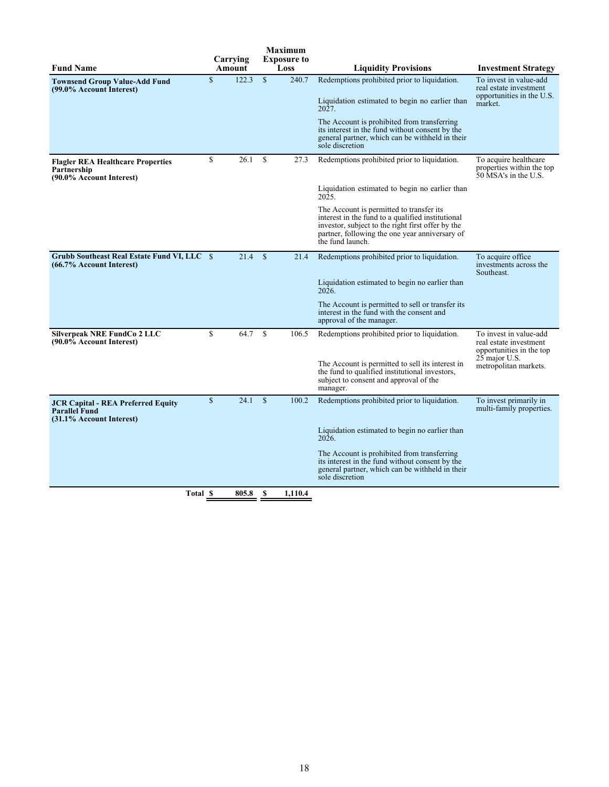|                                                                                               |              | Carrying | <b>Maximum</b><br><b>Exposure to</b> |         |                                                                                                                                                                                                                          |                                                                              |
|-----------------------------------------------------------------------------------------------|--------------|----------|--------------------------------------|---------|--------------------------------------------------------------------------------------------------------------------------------------------------------------------------------------------------------------------------|------------------------------------------------------------------------------|
| <b>Fund Name</b>                                                                              |              | Amount   |                                      | Loss    | <b>Liquidity Provisions</b>                                                                                                                                                                                              | <b>Investment Strategy</b>                                                   |
| <b>Townsend Group Value-Add Fund</b><br>(99.0% Account Interest)                              | $\mathbb{S}$ | 122.3    | $\mathbb{S}$                         | 240.7   | Redemptions prohibited prior to liquidation.                                                                                                                                                                             | To invest in value-add<br>real estate investment                             |
|                                                                                               |              |          |                                      |         | Liquidation estimated to begin no earlier than<br>2027.                                                                                                                                                                  | opportunities in the U.S.<br>market.                                         |
|                                                                                               |              |          |                                      |         | The Account is prohibited from transferring<br>its interest in the fund without consent by the<br>general partner, which can be withheld in their<br>sole discretion                                                     |                                                                              |
| <b>Flagler REA Healthcare Properties</b><br>Partnership<br>(90.0% Account Interest)           | \$           | 26.1     | \$                                   | 27.3    | Redemptions prohibited prior to liquidation.                                                                                                                                                                             | To acquire healthcare<br>properties within the top<br>50 MSA's in the U.S.   |
|                                                                                               |              |          |                                      |         | Liquidation estimated to begin no earlier than<br>2025.                                                                                                                                                                  |                                                                              |
|                                                                                               |              |          |                                      |         | The Account is permitted to transfer its<br>interest in the fund to a qualified institutional<br>investor, subject to the right first offer by the<br>partner, following the one year anniversary of<br>the fund launch. |                                                                              |
| <b>Grubb Southeast Real Estate Fund VI, LLC \$</b><br>(66.7% Account Interest)                |              | 21.4     | $\mathbf{s}$                         | 21.4    | Redemptions prohibited prior to liquidation.                                                                                                                                                                             | To acquire office<br>investments across the<br>Southeast.                    |
|                                                                                               |              |          |                                      |         | Liquidation estimated to begin no earlier than<br>2026.                                                                                                                                                                  |                                                                              |
|                                                                                               |              |          |                                      |         | The Account is permitted to sell or transfer its<br>interest in the fund with the consent and<br>approval of the manager.                                                                                                |                                                                              |
| Silverpeak NRE FundCo 2 LLC<br>(90.0% Account Interest)                                       | $\mathbf S$  | 64.7     | S                                    | 106.5   | Redemptions prohibited prior to liquidation.                                                                                                                                                                             | To invest in value-add<br>real estate investment<br>opportunities in the top |
|                                                                                               |              |          |                                      |         | The Account is permitted to sell its interest in<br>the fund to qualified institutional investors,<br>subject to consent and approval of the<br>manager.                                                                 | 25 major U.S.<br>metropolitan markets.                                       |
| <b>JCR Capital - REA Preferred Equity</b><br><b>Parallel Fund</b><br>(31.1% Account Interest) | $\mathbf S$  | 24.1     | $\mathbf S$                          | 100.2   | Redemptions prohibited prior to liquidation.                                                                                                                                                                             | To invest primarily in<br>multi-family properties.                           |
|                                                                                               |              |          |                                      |         | Liquidation estimated to begin no earlier than<br>2026.                                                                                                                                                                  |                                                                              |
|                                                                                               |              |          |                                      |         | The Account is prohibited from transferring<br>its interest in the fund without consent by the<br>general partner, which can be withheld in their<br>sole discretion                                                     |                                                                              |
| Total \$                                                                                      |              | 805.8    | \$                                   | 1,110.4 |                                                                                                                                                                                                                          |                                                                              |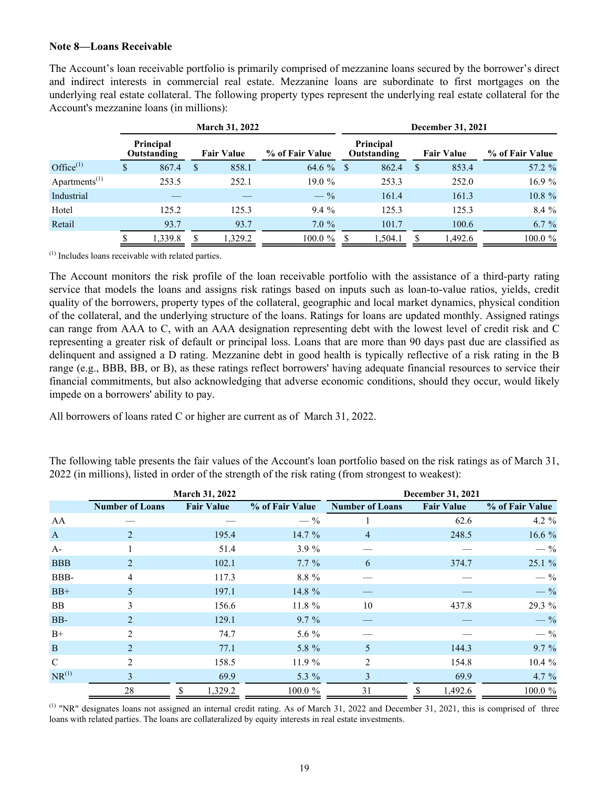#### **Note 8—Loans Receivable**

The Account's loan receivable portfolio is primarily comprised of mezzanine loans secured by the borrower's direct and indirect interests in commercial real estate. Mezzanine loans are subordinate to first mortgages on the underlying real estate collateral. The following property types represent the underlying real estate collateral for the Account's mezzanine loans (in millions):

|                                        |                                               |         |                 | <b>March 31, 2022</b> |                          |      | <b>December 31, 2021</b> |                 |         |          |  |  |
|----------------------------------------|-----------------------------------------------|---------|-----------------|-----------------------|--------------------------|------|--------------------------|-----------------|---------|----------|--|--|
|                                        | Principal<br><b>Fair Value</b><br>Outstanding |         | % of Fair Value |                       | Principal<br>Outstanding |      | <b>Fair Value</b>        | % of Fair Value |         |          |  |  |
| Office $(1)$                           | .b                                            | 867.4   | S               | 858.1                 | 64.6 %                   | - \$ | 862.4                    | S               | 853.4   | 57.2 %   |  |  |
| Apartments <sup><math>(1)</math></sup> |                                               | 253.5   |                 | 252.1                 | 19.0 $%$                 |      | 253.3                    |                 | 252.0   | 16.9%    |  |  |
| Industrial                             |                                               |         |                 |                       | $- \frac{9}{6}$          |      | 161.4                    |                 | 161.3   | 10.8 %   |  |  |
| Hotel                                  |                                               | 125.2   |                 | 125.3                 | $9.4\%$                  |      | 125.3                    |                 | 125.3   | 8.4 %    |  |  |
| Retail                                 |                                               | 93.7    |                 | 93.7                  | $7.0\%$                  |      | 101.7                    |                 | 100.6   | $6.7 \%$ |  |  |
|                                        |                                               | 1,339.8 |                 | 1,329.2               | $100.0 \%$               |      | 1,504.1                  | \$              | 1,492.6 | 100.0 %  |  |  |

(1) Includes loans receivable with related parties.

The Account monitors the risk profile of the loan receivable portfolio with the assistance of a third-party rating service that models the loans and assigns risk ratings based on inputs such as loan-to-value ratios, yields, credit quality of the borrowers, property types of the collateral, geographic and local market dynamics, physical condition of the collateral, and the underlying structure of the loans. Ratings for loans are updated monthly. Assigned ratings can range from AAA to C, with an AAA designation representing debt with the lowest level of credit risk and C representing a greater risk of default or principal loss. Loans that are more than 90 days past due are classified as delinquent and assigned a D rating. Mezzanine debt in good health is typically reflective of a risk rating in the B range (e.g., BBB, BB, or B), as these ratings reflect borrowers' having adequate financial resources to service their financial commitments, but also acknowledging that adverse economic conditions, should they occur, would likely impede on a borrowers' ability to pay.

All borrowers of loans rated C or higher are current as of March 31, 2022.

The following table presents the fair values of the Account's loan portfolio based on the risk ratings as of March 31, 2022 (in millions), listed in order of the strength of the risk rating (from strongest to weakest):

|               |                        | March 31, 2022    |                 |                        | December 31, 2021 |                 |
|---------------|------------------------|-------------------|-----------------|------------------------|-------------------|-----------------|
|               | <b>Number of Loans</b> | <b>Fair Value</b> | % of Fair Value | <b>Number of Loans</b> | <b>Fair Value</b> | % of Fair Value |
| AA            |                        |                   | $-$ %           |                        | 62.6              | 4.2 $%$         |
| $\mathbf{A}$  | 2                      | 195.4             | 14.7%           | $\overline{4}$         | 248.5             | 16.6 %          |
| A-            |                        | 51.4              | 3.9%            |                        |                   | $-$ %           |
| <b>BBB</b>    | $\overline{2}$         | 102.1             | $7.7\%$         | 6                      | 374.7             | 25.1 %          |
| BBB-          | $\overline{4}$         | 117.3             | 8.8 %           |                        |                   | $-$ %           |
| $BB+$         | $\overline{5}$         | 197.1             | 14.8 %          |                        |                   | $-$ %           |
| BB            | 3                      | 156.6             | 11.8 %          | 10                     | 437.8             | 29.3 %          |
| BB-           | $\overline{2}$         | 129.1             | $9.7\%$         |                        |                   | $-$ %           |
| $B+$          | 2                      | 74.7              | 5.6 $%$         |                        |                   | $-$ %           |
| B             | $\overline{2}$         | 77.1              | 5.8 %           | 5                      | 144.3             | 9.7%            |
| $\mathcal{C}$ | 2                      | 158.5             | 11.9 %          | 2                      | 154.8             | $10.4\%$        |
| $NR^{(1)}$    | $\overline{3}$         | 69.9              | 5.3 $%$         | 3                      | 69.9              | 4.7 $%$         |
|               | 28                     | \$<br>1,329.2     | $100.0 \%$      | 31                     | \$<br>1,492.6     | 100.0%          |

<sup>(1)</sup> "NR" designates loans not assigned an internal credit rating. As of March 31, 2022 and December 31, 2021, this is comprised of three loans with related parties. The loans are collateralized by equity interests in real estate investments.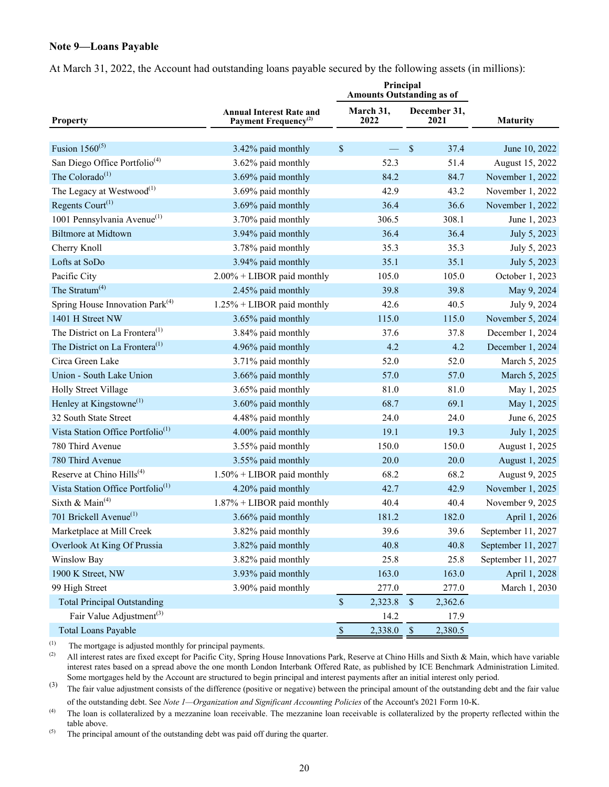#### **Note 9—Loans Payable**

At March 31, 2022, the Account had outstanding loans payable secured by the following assets (in millions):

| <b>Property</b>                               | <b>Annual Interest Rate and</b><br>Payment Frequency <sup>(2)</sup> | March 31,<br>2022         | December 31,<br>2021       | <b>Maturity</b>    |
|-----------------------------------------------|---------------------------------------------------------------------|---------------------------|----------------------------|--------------------|
|                                               |                                                                     |                           |                            |                    |
| Fusion $1560^{(5)}$                           | 3.42% paid monthly                                                  | $\boldsymbol{\mathsf{S}}$ | $\mathbf{\hat{S}}$<br>37.4 | June 10, 2022      |
| San Diego Office Portfolio <sup>(4)</sup>     | 3.62% paid monthly                                                  | 52.3                      | 51.4                       | August 15, 2022    |
| The Colorado <sup>(1)</sup>                   | 3.69% paid monthly                                                  | 84.2                      | 84.7                       | November 1, 2022   |
| The Legacy at Westwood $^{(1)}$               | 3.69% paid monthly                                                  | 42.9                      | 43.2                       | November 1, 2022   |
| Regents Court <sup>(1)</sup>                  | 3.69% paid monthly                                                  | 36.4                      | 36.6                       | November 1, 2022   |
| 1001 Pennsylvania Avenue <sup>(1)</sup>       | 3.70% paid monthly                                                  | 306.5                     | 308.1                      | June 1, 2023       |
| <b>Biltmore</b> at Midtown                    | 3.94% paid monthly                                                  | 36.4                      | 36.4                       | July 5, 2023       |
| Cherry Knoll                                  | 3.78% paid monthly                                                  | 35.3                      | 35.3                       | July 5, 2023       |
| Lofts at SoDo                                 | 3.94% paid monthly                                                  | 35.1                      | 35.1                       | July 5, 2023       |
| Pacific City                                  | 2.00% + LIBOR paid monthly                                          | 105.0                     | 105.0                      | October 1, 2023    |
| The Stratum $(4)$                             | 2.45% paid monthly                                                  | 39.8                      | 39.8                       | May 9, 2024        |
| Spring House Innovation Park <sup>(4)</sup>   | 1.25% + LIBOR paid monthly                                          | 42.6                      | 40.5                       | July 9, 2024       |
| 1401 H Street NW                              | 3.65% paid monthly                                                  | 115.0                     | 115.0                      | November 5, 2024   |
| The District on La Frontera <sup>(1)</sup>    | 3.84% paid monthly                                                  | 37.6                      | 37.8                       | December 1, 2024   |
| The District on La Frontera <sup>(1)</sup>    | 4.96% paid monthly                                                  | 4.2                       | 4.2                        | December 1, 2024   |
| Circa Green Lake                              | 3.71% paid monthly                                                  | 52.0                      | 52.0                       | March 5, 2025      |
| Union - South Lake Union                      | 3.66% paid monthly                                                  | 57.0                      | 57.0                       | March 5, 2025      |
| Holly Street Village                          | 3.65% paid monthly                                                  | 81.0                      | 81.0                       | May 1, 2025        |
| Henley at Kingstowne <sup>(1)</sup>           | 3.60% paid monthly                                                  | 68.7                      | 69.1                       | May 1, 2025        |
| 32 South State Street                         | 4.48% paid monthly                                                  | 24.0                      | 24.0                       | June 6, 2025       |
| Vista Station Office Portfolio <sup>(1)</sup> | 4.00% paid monthly                                                  | 19.1                      | 19.3                       | July 1, 2025       |
| 780 Third Avenue                              | 3.55% paid monthly                                                  | 150.0                     | 150.0                      | August 1, 2025     |
| 780 Third Avenue                              | 3.55% paid monthly                                                  | 20.0                      | 20.0                       | August 1, 2025     |
| Reserve at Chino Hills <sup>(4)</sup>         | 1.50% + LIBOR paid monthly                                          | 68.2                      | 68.2                       | August 9, 2025     |
| Vista Station Office Portfolio <sup>(1)</sup> | 4.20% paid monthly                                                  | 42.7                      | 42.9                       | November 1, 2025   |
| Sixth & Main <sup>(4)</sup>                   | 1.87% + LIBOR paid monthly                                          | 40.4                      | 40.4                       | November 9, 2025   |
| 701 Brickell Avenue <sup>(1)</sup>            | 3.66% paid monthly                                                  | 181.2                     | 182.0                      | April 1, 2026      |
| Marketplace at Mill Creek                     | 3.82% paid monthly                                                  | 39.6                      | 39.6                       | September 11, 2027 |
| Overlook At King Of Prussia                   | 3.82% paid monthly                                                  | 40.8                      | 40.8                       | September 11, 2027 |
| Winslow Bay                                   | 3.82% paid monthly                                                  | 25.8                      | 25.8                       | September 11, 2027 |
| 1900 K Street, NW                             | 3.93% paid monthly                                                  | 163.0                     | 163.0                      | April 1, 2028      |
| 99 High Street                                | 3.90% paid monthly                                                  | 277.0                     | 277.0                      | March 1, 2030      |
| <b>Total Principal Outstanding</b>            |                                                                     | $\mathbb{S}$<br>2,323.8   | $\mathbb S$<br>2,362.6     |                    |
| Fair Value Adjustment <sup>(3)</sup>          |                                                                     | 14.2                      | 17.9                       |                    |
| <b>Total Loans Payable</b>                    |                                                                     | $\mathsf{\$}$<br>2,338.0  | $\mathbb{S}$<br>2,380.5    |                    |

(1) The mortgage is adjusted monthly for principal payments.<br>(2) All interest rates are fixed except for Pacific City, Spring B

All interest rates are fixed except for Pacific City, Spring House Innovations Park, Reserve at Chino Hills and Sixth & Main, which have variable interest rates based on a spread above the one month London Interbank Offered Rate, as published by ICE Benchmark Administration Limited. Some mortgages held by the Account are structured to begin principal and interest payments after an initial interest only period.

(3) The fair value adjustment consists of the difference (positive or negative) between the principal amount of the outstanding debt and the fair value of the outstanding debt. See *Note 1—Organization and Significant Accounting Policies* of the Account's 2021 Form 10-K.

(4) The loan is collateralized by a mezzanine loan receivable. The mezzanine loan receivable is collateralized by the property reflected within the table above.

(5) The principal amount of the outstanding debt was paid off during the quarter.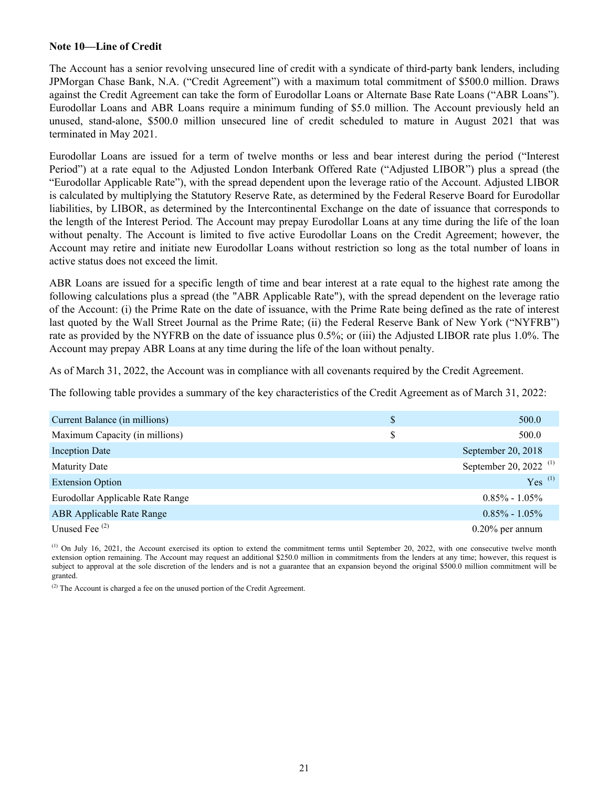#### **Note 10—Line of Credit**

The Account has a senior revolving unsecured line of credit with a syndicate of third-party bank lenders, including JPMorgan Chase Bank, N.A. ("Credit Agreement") with a maximum total commitment of \$500.0 million. Draws against the Credit Agreement can take the form of Eurodollar Loans or Alternate Base Rate Loans ("ABR Loans"). Eurodollar Loans and ABR Loans require a minimum funding of \$5.0 million. The Account previously held an unused, stand-alone, \$500.0 million unsecured line of credit scheduled to mature in August 2021 that was terminated in May 2021.

Eurodollar Loans are issued for a term of twelve months or less and bear interest during the period ("Interest Period") at a rate equal to the Adjusted London Interbank Offered Rate ("Adjusted LIBOR") plus a spread (the "Eurodollar Applicable Rate"), with the spread dependent upon the leverage ratio of the Account. Adjusted LIBOR is calculated by multiplying the Statutory Reserve Rate, as determined by the Federal Reserve Board for Eurodollar liabilities, by LIBOR, as determined by the Intercontinental Exchange on the date of issuance that corresponds to the length of the Interest Period. The Account may prepay Eurodollar Loans at any time during the life of the loan without penalty. The Account is limited to five active Eurodollar Loans on the Credit Agreement; however, the Account may retire and initiate new Eurodollar Loans without restriction so long as the total number of loans in active status does not exceed the limit.

ABR Loans are issued for a specific length of time and bear interest at a rate equal to the highest rate among the following calculations plus a spread (the "ABR Applicable Rate"), with the spread dependent on the leverage ratio of the Account: (i) the Prime Rate on the date of issuance, with the Prime Rate being defined as the rate of interest last quoted by the Wall Street Journal as the Prime Rate; (ii) the Federal Reserve Bank of New York ("NYFRB") rate as provided by the NYFRB on the date of issuance plus 0.5%; or (iii) the Adjusted LIBOR rate plus 1.0%. The Account may prepay ABR Loans at any time during the life of the loan without penalty.

As of March 31, 2022, the Account was in compliance with all covenants required by the Credit Agreement.

The following table provides a summary of the key characteristics of the Credit Agreement as of March 31, 2022:

| \$<br>500.0                       |
|-----------------------------------|
| \$<br>500.0                       |
| September 20, 2018                |
| September 20, 2022 <sup>(1)</sup> |
| $Yes$ <sup>(1)</sup>              |
| $0.85\% - 1.05\%$                 |
| $0.85\% - 1.05\%$                 |
| $0.20\%$ per annum                |
|                                   |

 $<sup>(1)</sup>$  On July 16, 2021, the Account exercised its option to extend the commitment terms until September 20, 2022, with one consecutive twelve month</sup> extension option remaining. The Account may request an additional \$250.0 million in commitments from the lenders at any time; however, this request is subject to approval at the sole discretion of the lenders and is not a guarantee that an expansion beyond the original \$500.0 million commitment will be granted.

 $^{(2)}$  The Account is charged a fee on the unused portion of the Credit Agreement.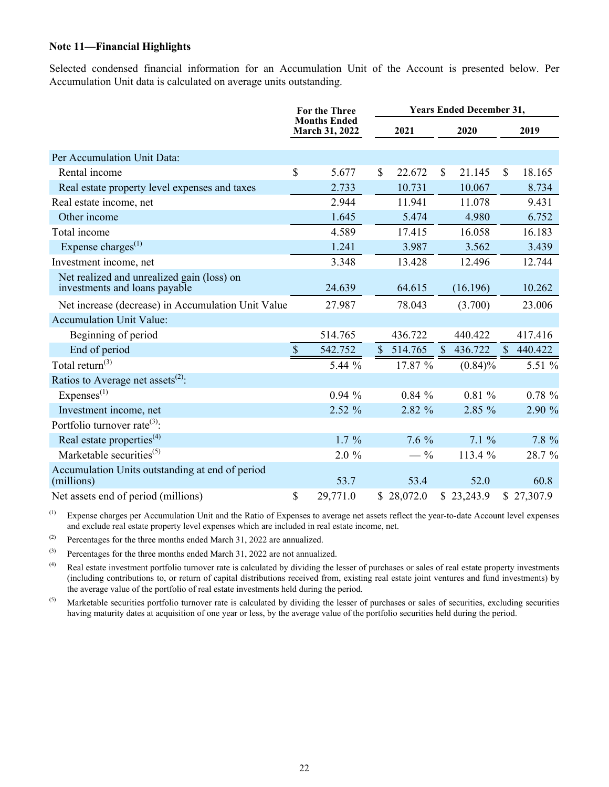#### **Note 11—Financial Highlights**

Selected condensed financial information for an Accumulation Unit of the Account is presented below. Per Accumulation Unit data is calculated on average units outstanding.

|                                                                             | <b>For the Three</b> |                                              |             | <b>Years Ended December 31,</b> |             |            |              |            |
|-----------------------------------------------------------------------------|----------------------|----------------------------------------------|-------------|---------------------------------|-------------|------------|--------------|------------|
|                                                                             |                      | <b>Months Ended</b><br><b>March 31, 2022</b> |             | 2021                            |             | 2020       |              | 2019       |
| Per Accumulation Unit Data:                                                 |                      |                                              |             |                                 |             |            |              |            |
| Rental income                                                               | \$                   | 5.677                                        | \$          | 22.672                          | \$          | 21.145     | \$           | 18.165     |
| Real estate property level expenses and taxes                               |                      | 2.733                                        |             | 10.731                          |             | 10.067     |              | 8.734      |
| Real estate income, net                                                     |                      | 2.944                                        |             | 11.941                          |             | 11.078     |              | 9.431      |
| Other income                                                                |                      | 1.645                                        |             | 5.474                           |             | 4.980      |              | 6.752      |
| Total income                                                                |                      | 4.589                                        |             | 17.415                          |             | 16.058     |              | 16.183     |
| Expense charges <sup>(1)</sup>                                              |                      | 1.241                                        |             | 3.987                           |             | 3.562      |              | 3.439      |
| Investment income, net                                                      |                      | 3.348                                        |             | 13.428                          |             | 12.496     |              | 12.744     |
| Net realized and unrealized gain (loss) on<br>investments and loans payable |                      | 24.639                                       |             | 64.615                          |             | (16.196)   |              | 10.262     |
| Net increase (decrease) in Accumulation Unit Value                          |                      | 27.987                                       |             | 78.043                          |             | (3.700)    |              | 23.006     |
| <b>Accumulation Unit Value:</b>                                             |                      |                                              |             |                                 |             |            |              |            |
| Beginning of period                                                         |                      | 514.765                                      |             | 436.722                         |             | 440.422    |              | 417.416    |
| End of period                                                               | $\mathcal{S}$        | 542.752                                      | $\sqrt{\ }$ | 514.765                         | $\sqrt{\ }$ | 436.722    | $\mathbb{S}$ | 440.422    |
| Total return $^{(3)}$                                                       |                      | 5.44 %                                       |             | 17.87 %                         |             | $(0.84)\%$ |              | 5.51 %     |
| Ratios to Average net assets <sup>(2)</sup> :                               |                      |                                              |             |                                 |             |            |              |            |
| Express <sup>(1)</sup>                                                      |                      | 0.94%                                        |             | $0.84 \%$                       |             | 0.81%      |              | $0.78 \%$  |
| Investment income, net                                                      |                      | 2.52 %                                       |             | 2.82 %                          |             | 2.85 %     |              | 2.90 %     |
| Portfolio turnover rate <sup>(3)</sup> :                                    |                      |                                              |             |                                 |             |            |              |            |
| Real estate properties <sup>(4)</sup>                                       |                      | $1.7\%$                                      |             | $7.6\%$                         |             | $7.1\%$    |              | 7.8 %      |
| Marketable securities $(5)$                                                 |                      | $2.0 \%$                                     |             | $-$ %                           |             | 113.4 %    |              | 28.7 %     |
| Accumulation Units outstanding at end of period<br>(millions)               |                      | 53.7                                         |             | 53.4                            |             | 52.0       |              | 60.8       |
| Net assets end of period (millions)                                         | \$                   | 29,771.0                                     |             | \$28,072.0                      |             | \$23,243.9 |              | \$27,307.9 |

(1) Expense charges per Accumulation Unit and the Ratio of Expenses to average net assets reflect the year-to-date Account level expenses and exclude real estate property level expenses which are included in real estate income, net.

(2) Percentages for the three months ended March 31, 2022 are annualized.

 $(3)$  Percentages for the three months ended March 31, 2022 are not annualized.

(4) Real estate investment portfolio turnover rate is calculated by dividing the lesser of purchases or sales of real estate property investments (including contributions to, or return of capital distributions received from, existing real estate joint ventures and fund investments) by the average value of the portfolio of real estate investments held during the period.

<sup>(5)</sup> Marketable securities portfolio turnover rate is calculated by dividing the lesser of purchases or sales of securities, excluding securities having maturity dates at acquisition of one year or less, by the average value of the portfolio securities held during the period.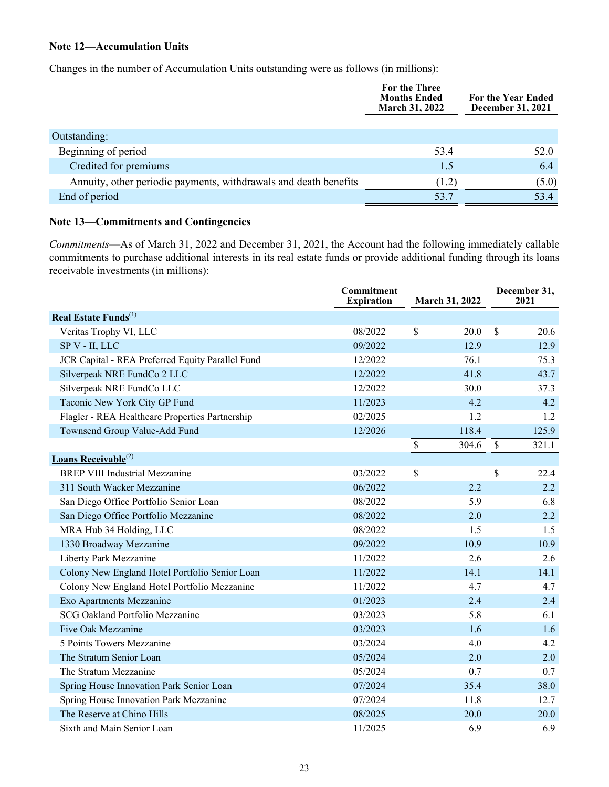## **Note 12—Accumulation Units**

Changes in the number of Accumulation Units outstanding were as follows (in millions):

|                                                                  | For the Three<br><b>Months Ended</b><br><b>March 31, 2022</b> | <b>For the Year Ended</b><br><b>December 31, 2021</b> |
|------------------------------------------------------------------|---------------------------------------------------------------|-------------------------------------------------------|
| Outstanding:                                                     |                                                               |                                                       |
| Beginning of period                                              | 53.4                                                          | 52.0                                                  |
| Credited for premiums                                            | 1.5                                                           | 6.4                                                   |
| Annuity, other periodic payments, withdrawals and death benefits | (1.2)                                                         | (5.0)                                                 |
| End of period                                                    | 53.7                                                          | 53.4                                                  |

## **Note 13—Commitments and Contingencies**

*Commitments*—As of March 31, 2022 and December 31, 2021, the Account had the following immediately callable commitments to purchase additional interests in its real estate funds or provide additional funding through its loans receivable investments (in millions):

|                                                  | Commitment<br><b>Expiration</b> | March 31, 2022        | December 31,<br>2021   |
|--------------------------------------------------|---------------------------------|-----------------------|------------------------|
| Real Estate Funds <sup>(1)</sup>                 |                                 |                       |                        |
| Veritas Trophy VI, LLC                           | 08/2022                         | $\mathsf{\$}$<br>20.0 | \$<br>20.6             |
| SP V - II, LLC                                   | 09/2022                         | 12.9                  | 12.9                   |
| JCR Capital - REA Preferred Equity Parallel Fund | 12/2022                         | 76.1                  | 75.3                   |
| Silverpeak NRE FundCo 2 LLC                      | 12/2022                         | 41.8                  | 43.7                   |
| Silverpeak NRE FundCo LLC                        | 12/2022                         | 30.0                  | 37.3                   |
| Taconic New York City GP Fund                    | 11/2023                         | 4.2                   | 4.2                    |
| Flagler - REA Healthcare Properties Partnership  | 02/2025                         | 1.2                   | 1.2                    |
| Townsend Group Value-Add Fund                    | 12/2026                         | 118.4                 | 125.9                  |
|                                                  |                                 | $\mathbb{S}$<br>304.6 | $\mathcal{S}$<br>321.1 |
| Loans Receivable <sup>(2)</sup>                  |                                 |                       |                        |
| <b>BREP VIII Industrial Mezzanine</b>            | 03/2022                         | \$                    | \$<br>22.4             |
| 311 South Wacker Mezzanine                       | 06/2022                         | 2.2                   | 2.2                    |
| San Diego Office Portfolio Senior Loan           | 08/2022                         | 5.9                   | 6.8                    |
| San Diego Office Portfolio Mezzanine             | 08/2022                         | 2.0                   | 2.2                    |
| MRA Hub 34 Holding, LLC                          | 08/2022                         | 1.5                   | 1.5                    |
| 1330 Broadway Mezzanine                          | 09/2022                         | 10.9                  | 10.9                   |
| Liberty Park Mezzanine                           | 11/2022                         | 2.6                   | 2.6                    |
| Colony New England Hotel Portfolio Senior Loan   | 11/2022                         | 14.1                  | 14.1                   |
| Colony New England Hotel Portfolio Mezzanine     | 11/2022                         | 4.7                   | 4.7                    |
| Exo Apartments Mezzanine                         | 01/2023                         | 2.4                   | 2.4                    |
| <b>SCG Oakland Portfolio Mezzanine</b>           | 03/2023                         | 5.8                   | 6.1                    |
| Five Oak Mezzanine                               | 03/2023                         | 1.6                   | 1.6                    |
| 5 Points Towers Mezzanine                        | 03/2024                         | 4.0                   | 4.2                    |
| The Stratum Senior Loan                          | 05/2024                         | 2.0                   | 2.0                    |
| The Stratum Mezzanine                            | 05/2024                         | 0.7                   | 0.7                    |
| Spring House Innovation Park Senior Loan         | 07/2024                         | 35.4                  | 38.0                   |
| Spring House Innovation Park Mezzanine           | 07/2024                         | 11.8                  | 12.7                   |
| The Reserve at Chino Hills                       | 08/2025                         | 20.0                  | 20.0                   |
| Sixth and Main Senior Loan                       | 11/2025                         | 6.9                   | 6.9                    |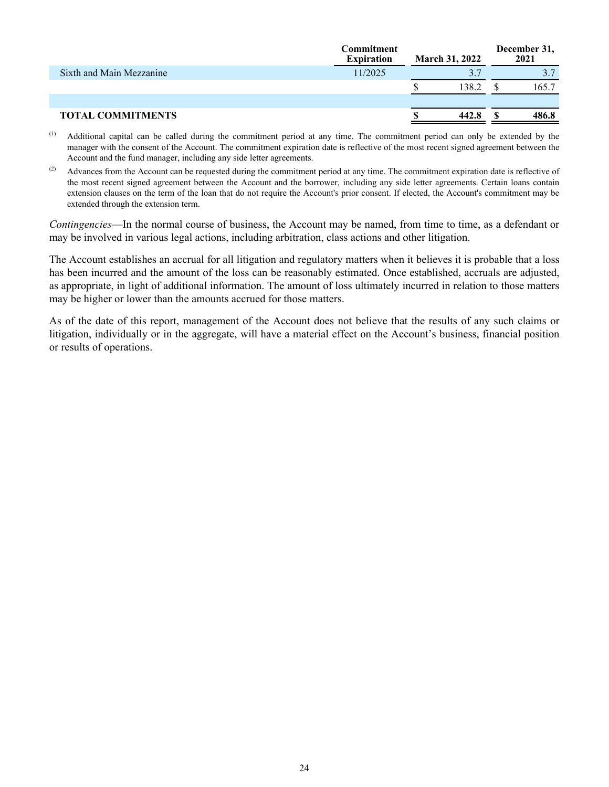|                          | Commitment<br><b>Expiration</b> | <b>March 31, 2022</b> | December 31,<br>2021 |
|--------------------------|---------------------------------|-----------------------|----------------------|
| Sixth and Main Mezzanine | 11/2025                         | 3.7                   |                      |
|                          |                                 | 138.2                 | 165.7                |
|                          |                                 |                       |                      |
| <b>TOTAL COMMITMENTS</b> |                                 | 442.8                 | 486.8                |
|                          |                                 |                       |                      |

(1) Additional capital can be called during the commitment period at any time. The commitment period can only be extended by the manager with the consent of the Account. The commitment expiration date is reflective of the most recent signed agreement between the Account and the fund manager, including any side letter agreements.

(2) Advances from the Account can be requested during the commitment period at any time. The commitment expiration date is reflective of the most recent signed agreement between the Account and the borrower, including any side letter agreements. Certain loans contain extension clauses on the term of the loan that do not require the Account's prior consent. If elected, the Account's commitment may be extended through the extension term.

*Contingencies*—In the normal course of business, the Account may be named, from time to time, as a defendant or may be involved in various legal actions, including arbitration, class actions and other litigation.

The Account establishes an accrual for all litigation and regulatory matters when it believes it is probable that a loss has been incurred and the amount of the loss can be reasonably estimated. Once established, accruals are adjusted, as appropriate, in light of additional information. The amount of loss ultimately incurred in relation to those matters may be higher or lower than the amounts accrued for those matters.

As of the date of this report, management of the Account does not believe that the results of any such claims or litigation, individually or in the aggregate, will have a material effect on the Account's business, financial position or results of operations.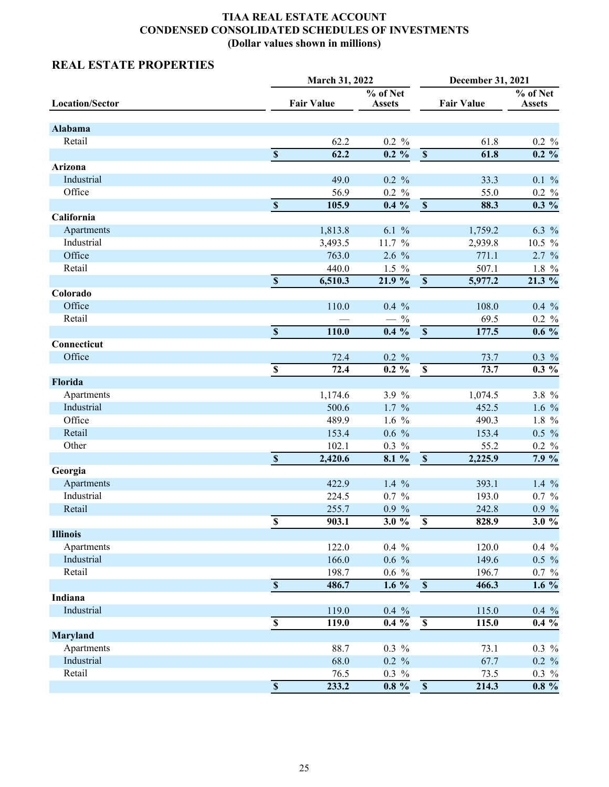# <span id="page-24-0"></span>**REAL ESTATE PROPERTIES**

|                        |                         | March 31, 2022    |                                                  |                         |                   | December 31, 2021         |  |  |
|------------------------|-------------------------|-------------------|--------------------------------------------------|-------------------------|-------------------|---------------------------|--|--|
| <b>Location/Sector</b> |                         | <b>Fair Value</b> | $\overline{\frac{9}{6}}$ of Net<br><b>Assets</b> |                         | <b>Fair Value</b> | % of Net<br><b>Assets</b> |  |  |
| Alabama                |                         |                   |                                                  |                         |                   |                           |  |  |
| Retail                 |                         | 62.2              | $0.2 \%$                                         |                         | 61.8              | 0.2 %                     |  |  |
|                        | $\overline{\$}$         | 62.2              | $0.2\frac{9}{6}$                                 | $\overline{\mathbf{s}}$ | 61.8              | $0.2\frac{9}{6}$          |  |  |
| Arizona                |                         |                   |                                                  |                         |                   |                           |  |  |
| Industrial             |                         | 49.0              | 0.2 %                                            |                         | 33.3              | $0.1\%$                   |  |  |
| Office                 |                         | 56.9              | $0.2 \%$                                         |                         | 55.0              | $0.2 \%$                  |  |  |
|                        | $\overline{\mathbf{s}}$ | 105.9             | $0.4\%$                                          | $\overline{\mathbb{S}}$ | 88.3              | $0.3\%$                   |  |  |
| California             |                         |                   |                                                  |                         |                   |                           |  |  |
| Apartments             |                         | 1,813.8           | 6.1 %                                            |                         | 1,759.2           | 6.3 %                     |  |  |
| Industrial             |                         | 3,493.5           | 11.7 %                                           |                         | 2,939.8           | 10.5 %                    |  |  |
| Office                 |                         | 763.0             | $2.6\%$                                          |                         | 771.1             | $2.7\%$                   |  |  |
| Retail                 |                         | 440.0             | $1.5\%$                                          |                         | 507.1             | $1.8\%$                   |  |  |
|                        | $\overline{\mathbb{S}}$ | 6,510.3           | $21.9\%$                                         | $\overline{\mathbb{S}}$ | 5,977.2           | 21.3 %                    |  |  |
| Colorado               |                         |                   |                                                  |                         |                   |                           |  |  |
| Office                 |                         | 110.0             | $0.4\%$                                          |                         | 108.0             | $0.4\%$                   |  |  |
| Retail                 |                         |                   | $-$ %                                            |                         | 69.5              | $0.2 \frac{9}{6}$         |  |  |
|                        | $\overline{\mathbf{s}}$ | 110.0             | $0.4\%$                                          | $\overline{\mathbf{s}}$ | 177.5             | $0.6\%$                   |  |  |
| Connecticut            |                         |                   |                                                  |                         |                   |                           |  |  |
| Office                 |                         | 72.4              | $0.2 \%$                                         |                         | 73.7              | $0.3\%$                   |  |  |
|                        | $\overline{\mathbb{S}}$ | 72.4              | $0.2\%$                                          | $\overline{\mathbb{S}}$ | 73.7              | $0.3\%$                   |  |  |
| Florida                |                         |                   |                                                  |                         |                   |                           |  |  |
| Apartments             |                         | 1,174.6           | 3.9 %                                            |                         | 1,074.5           | 3.8 %                     |  |  |
| Industrial             |                         | 500.6             | $1.7\%$                                          |                         | 452.5             | 1.6 $%$                   |  |  |
| Office                 |                         | 489.9             | 1.6 $%$                                          |                         | 490.3             | $1.8~\%$                  |  |  |
| Retail                 |                         | 153.4             | $0.6\%$                                          |                         | 153.4             | $0.5\%$                   |  |  |
| Other                  |                         | 102.1             | $0.3\%$                                          |                         | 55.2              | 0.2 %                     |  |  |
|                        | $\overline{\mathbf{s}}$ | 2,420.6           | $8.1\%$                                          | $\overline{\mathbb{S}}$ | 2,225.9           | 7.9 %                     |  |  |
| Georgia                |                         |                   |                                                  |                         |                   |                           |  |  |
| Apartments             |                         | 422.9             | 1.4 $%$                                          |                         | 393.1             | 1.4 $%$                   |  |  |
| Industrial             |                         | 224.5             | 0.7 %                                            |                         | 193.0             | 0.7 %                     |  |  |
| Retail                 |                         | 255.7             | 0.9 %                                            |                         | 242.8             | 0.9 %                     |  |  |
|                        | $\overline{\mathbb{S}}$ | 903.1             | $3.0\%$                                          | $\overline{\mathbf{s}}$ | 828.9             | $3.0\%$                   |  |  |
| <b>Illinois</b>        |                         |                   |                                                  |                         |                   |                           |  |  |
| Apartments             |                         | 122.0             | $0.4\%$                                          |                         | 120.0             | $0.4\%$                   |  |  |
| Industrial             |                         | 166.0             | $0.6\%$                                          |                         | 149.6             | $0.5\%$                   |  |  |
| Retail                 |                         | 198.7             | $0.6\%$                                          |                         | 196.7             | $0.7 \%$                  |  |  |
|                        | $\overline{\mathbb{S}}$ | 486.7             | $1.6\%$                                          | $\overline{\mathbb{S}}$ | 466.3             | $1.6\%$                   |  |  |
| Indiana                |                         |                   |                                                  |                         |                   |                           |  |  |
| Industrial             |                         | 119.0             | $0.4\%$                                          |                         | 115.0             | $0.4\%$                   |  |  |
|                        | $\overline{\mathbb{S}}$ | 119.0             | $0.4\%$                                          | $\overline{\mathbb{S}}$ | 115.0             | $0.4\%$                   |  |  |
| <b>Maryland</b>        |                         |                   |                                                  |                         |                   |                           |  |  |
| Apartments             |                         | 88.7              | $0.3\%$                                          |                         | 73.1              | $0.3\%$                   |  |  |
| Industrial             |                         | 68.0              | $0.2 \%$                                         |                         | 67.7              | $0.2 \%$                  |  |  |
| Retail                 |                         | 76.5              | $0.3\%$                                          |                         | 73.5              | $0.3\%$                   |  |  |
|                        | $\overline{\mathbb{S}}$ | 233.2             | $0.8 \%$                                         | $\overline{\mathbb{S}}$ | 214.3             | $0.8 \%$                  |  |  |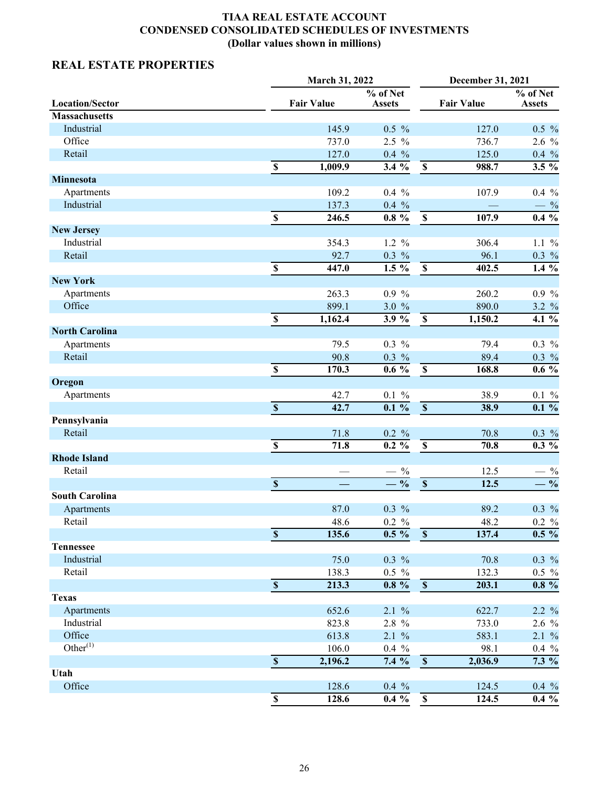# **REAL ESTATE PROPERTIES**

|                        |                         | March 31, 2022    |                           |                         | December 31, 2021 |                           |  |
|------------------------|-------------------------|-------------------|---------------------------|-------------------------|-------------------|---------------------------|--|
| <b>Location/Sector</b> |                         | <b>Fair Value</b> | % of Net<br><b>Assets</b> |                         | <b>Fair Value</b> | % of Net<br><b>Assets</b> |  |
| <b>Massachusetts</b>   |                         |                   |                           |                         |                   |                           |  |
| Industrial             |                         | 145.9             | $0.5\%$                   |                         | 127.0             | $0.5\%$                   |  |
| Office                 |                         | 737.0             | $2.5\%$                   |                         | 736.7             | $2.6\%$                   |  |
| Retail                 |                         | 127.0             | $0.4\%$                   |                         | 125.0             | $0.4\%$                   |  |
|                        | $\overline{\mathbb{S}}$ | 1,009.9           | $3.4\%$                   | $\overline{\mathbb{S}}$ | 988.7             | $3.5 \%$                  |  |
| Minnesota              |                         |                   |                           |                         |                   |                           |  |
| Apartments             |                         | 109.2             | $0.4\%$                   |                         | 107.9             | $0.4\%$                   |  |
| Industrial             |                         | 137.3             | $0.4\%$                   |                         |                   | $-$ %                     |  |
|                        | $\overline{\mathbf{s}}$ | 246.5             | $0.8\%$                   | $\overline{\mathbb{S}}$ | 107.9             | $0.4\%$                   |  |
| <b>New Jersey</b>      |                         |                   |                           |                         |                   |                           |  |
| Industrial             |                         | 354.3             | 1.2 $%$                   |                         | 306.4             | $1.1\%$                   |  |
| Retail                 |                         | 92.7              | $0.3\%$                   |                         | 96.1              | $0.3\%$                   |  |
|                        | $\overline{\mathbb{S}}$ | 447.0             | $1.5\frac{6}{6}$          | $\overline{\mathbb{S}}$ | 402.5             | $1.4\%$                   |  |
| <b>New York</b>        |                         |                   |                           |                         |                   |                           |  |
| Apartments             |                         | 263.3             | $0.9 \%$                  |                         | 260.2             | $0.9\%$                   |  |
| Office                 |                         | 899.1             | 3.0%                      |                         | 890.0             | 3.2 %                     |  |
|                        | $\overline{\mathbf{s}}$ | 1,162.4           | 3.9%                      | $\overline{\mathbb{S}}$ | 1,150.2           | $4.1\%$                   |  |
| <b>North Carolina</b>  |                         |                   |                           |                         |                   |                           |  |
| Apartments             |                         | 79.5              | $0.3\%$                   |                         | 79.4              | $0.3\%$                   |  |
| Retail                 |                         | 90.8              | $0.3\%$                   |                         | 89.4              | $0.3\%$                   |  |
|                        | $\overline{\mathbb{S}}$ | 170.3             | $0.6\%$                   | $\overline{\mathbb{S}}$ | 168.8             | $0.6\%$                   |  |
| Oregon                 |                         |                   |                           |                         |                   |                           |  |
| Apartments             |                         | 42.7              | $0.1\%$                   |                         | 38.9              | $0.1 \%$                  |  |
|                        | $\overline{\mathbf{s}}$ | 42.7              | $0.1\%$                   | $\overline{\mathbf{s}}$ | 38.9              | $0.1\%$                   |  |
| Pennsylvania           |                         |                   |                           |                         |                   |                           |  |
| Retail                 |                         | 71.8              | $0.2 \%$                  |                         | 70.8              | $0.3\%$                   |  |
|                        | $\overline{\mathbb{S}}$ | 71.8              | $0.2\frac{9}{6}$          | $\overline{\mathbb{S}}$ | 70.8              | $0.3\%$                   |  |
| <b>Rhode Island</b>    |                         |                   |                           |                         |                   |                           |  |
| Retail                 |                         |                   |                           |                         |                   |                           |  |
|                        |                         |                   | $-$ %<br>$-$ %            |                         | 12.5              | $-$ %                     |  |
|                        | $\overline{\mathbf{S}}$ |                   |                           | $\overline{\mathbb{S}}$ | 12.5              | $-$ %                     |  |
| <b>South Carolina</b>  |                         |                   |                           |                         |                   |                           |  |
| Apartments             |                         | 87.0              | $0.3\%$                   |                         | 89.2              | $0.3\%$                   |  |
| Retail                 |                         | 48.6              | $0.2 \frac{9}{6}$         |                         | 48.2              | $0.2\%$                   |  |
|                        | $\overline{\mathbf{s}}$ | 135.6             | $0.5\%$                   | $\overline{\mathbf{s}}$ | 137.4             | $0.5\%$                   |  |
| <b>Tennessee</b>       |                         |                   |                           |                         |                   |                           |  |
| Industrial             |                         | 75.0              | $0.3\%$                   |                         | 70.8              | $0.3\%$                   |  |
| Retail                 |                         | 138.3             | $0.5\%$                   |                         | 132.3             | $0.5\%$                   |  |
|                        | $\overline{\mathbb{S}}$ | 213.3             | $0.8 \%$                  | $\mathbb S$             | 203.1             | $0.8 \%$                  |  |
| <b>Texas</b>           |                         |                   |                           |                         |                   |                           |  |
| Apartments             |                         | 652.6             | 2.1%                      |                         | 622.7             | $2.2\%$                   |  |
| Industrial             |                         | 823.8             | 2.8 %                     |                         | 733.0             | $2.6\%$                   |  |
| Office                 |                         | 613.8             | $2.1\%$                   |                         | 583.1             | 2.1%                      |  |
| Other $(1)$            |                         | 106.0             | $0.4\%$                   |                         | 98.1              | $0.4\%$                   |  |
|                        | $\overline{\mathbb{S}}$ | 2,196.2           | $7.4\%$                   | $\overline{\mathbb{S}}$ | 2,036.9           | $7.3\%$                   |  |
| Utah                   |                         |                   |                           |                         |                   |                           |  |
| Office                 |                         | 128.6             | $0.4\%$                   |                         | 124.5             | $0.4\%$                   |  |
|                        | $\mathbb S$             | 128.6             | $0.4\%$                   | $\mathbb S$             | 124.5             | $0.4\%$                   |  |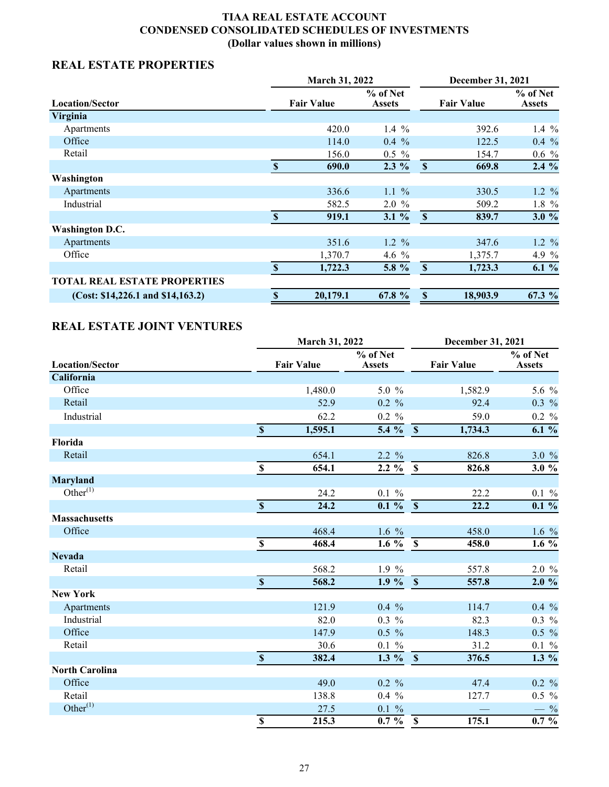## **REAL ESTATE PROPERTIES**

|                           |          |                           | December 31, 2021         |                   |                           |  |
|---------------------------|----------|---------------------------|---------------------------|-------------------|---------------------------|--|
|                           |          | % of Net<br><b>Assets</b> |                           | <b>Fair Value</b> | % of Net<br><b>Assets</b> |  |
|                           |          |                           |                           |                   |                           |  |
|                           | 420.0    | 1.4 $%$                   |                           | 392.6             | 1.4 $%$                   |  |
|                           | 114.0    | $0.4\%$                   |                           | 122.5             | $0.4\%$                   |  |
|                           | 156.0    | $0.5\%$                   |                           | 154.7             | $0.6\%$                   |  |
| $\mathbf S$               | 690.0    | $2.3\%$                   | $\mathbf{s}$              | 669.8             | $2.4\%$                   |  |
|                           |          |                           |                           |                   |                           |  |
|                           | 336.6    | $1.1\%$                   |                           | 330.5             | 1.2 $%$                   |  |
|                           | 582.5    | $2.0 \%$                  |                           | 509.2             | 1.8 %                     |  |
| $\mathbf{\$}$             | 919.1    | 3.1%                      | $\mathbf{s}$              | 839.7             | 3.0%                      |  |
|                           |          |                           |                           |                   |                           |  |
|                           | 351.6    | 1.2 $%$                   |                           | 347.6             | $1.2 \%$                  |  |
|                           | 1,370.7  | 4.6 $%$                   |                           | 1,375.7           | 4.9 $%$                   |  |
| $\boldsymbol{\mathsf{S}}$ | 1,722.3  | 5.8 %                     | $\boldsymbol{\mathsf{S}}$ | 1,723.3           | $6.1 \%$                  |  |
|                           |          |                           |                           |                   |                           |  |
| \$                        | 20,179.1 | 67.8 %                    | \$                        | 18,903.9          | 67.3 %                    |  |
|                           |          | <b>Fair Value</b>         | March 31, 2022            |                   |                           |  |

## **REAL ESTATE JOINT VENTURES**

|                        |                         | March 31, 2022    |                           |                          |                   | <b>December 31, 2021</b>  |  |  |  |
|------------------------|-------------------------|-------------------|---------------------------|--------------------------|-------------------|---------------------------|--|--|--|
| <b>Location/Sector</b> |                         | <b>Fair Value</b> | % of Net<br><b>Assets</b> |                          | <b>Fair Value</b> | % of Net<br><b>Assets</b> |  |  |  |
| California             |                         |                   |                           |                          |                   |                           |  |  |  |
| Office                 |                         | 1,480.0           | 5.0 $%$                   |                          | 1,582.9           | 5.6 %                     |  |  |  |
| Retail                 |                         | 52.9              | 0.2 %                     |                          | 92.4              | $0.3\%$                   |  |  |  |
| Industrial             |                         | 62.2              | $0.2 \%$                  |                          | 59.0              | $0.2 \%$                  |  |  |  |
|                        | $\overline{\mathbf{s}}$ | 1,595.1           | $\overline{5.4\%}$        | $\overline{\mathcal{S}}$ | 1,734.3           | $6.1\%$                   |  |  |  |
| Florida                |                         |                   |                           |                          |                   |                           |  |  |  |
| Retail                 |                         | 654.1             | $2.2\%$                   |                          | 826.8             | 3.0 %                     |  |  |  |
|                        | $\overline{\mathbb{S}}$ | 654.1             | $2.2\%$                   | $\overline{\mathbf{s}}$  | 826.8             | $3.0\%$                   |  |  |  |
| Maryland               |                         |                   |                           |                          |                   |                           |  |  |  |
| Other $(1)$            |                         | 24.2              | $0.1\%$                   |                          | 22.2              | $0.1 \%$                  |  |  |  |
|                        | $\overline{\$}$         | 24.2              | $0.1\%$                   | $\overline{s}$           | $\overline{22.2}$ | $0.1\sqrt[6]{\bullet}$    |  |  |  |
| <b>Massachusetts</b>   |                         |                   |                           |                          |                   |                           |  |  |  |
| Office                 |                         | 468.4             | $1.6\%$                   |                          | 458.0             | 1.6 $%$                   |  |  |  |
|                        | $\overline{\mathbf{s}}$ | 468.4             | $1.6\%$                   | $\overline{\mathbb{S}}$  | 458.0             | $1.6\%$                   |  |  |  |
| <b>Nevada</b>          |                         |                   |                           |                          |                   |                           |  |  |  |
| Retail                 |                         | 568.2             | $1.9 \%$                  |                          | 557.8             | 2.0 %                     |  |  |  |
|                        | $\overline{\$}$         | 568.2             | $1.9\%$                   | $\overline{\mathbb{S}}$  | 557.8             | 2.0%                      |  |  |  |
| <b>New York</b>        |                         |                   |                           |                          |                   |                           |  |  |  |
| Apartments             |                         | 121.9             | $0.4\%$                   |                          | 114.7             | $0.4\%$                   |  |  |  |
| Industrial             |                         | 82.0              | $0.3\%$                   |                          | 82.3              | $0.3\%$                   |  |  |  |
| Office                 |                         | 147.9             | $0.5\%$                   |                          | 148.3             | $0.5\%$                   |  |  |  |
| Retail                 |                         | 30.6              | $0.1\%$                   |                          | 31.2              | $0.1\%$                   |  |  |  |
|                        | $\overline{\$}$         | 382.4             | $1.3\%$                   | $\overline{\mathcal{S}}$ | 376.5             | $1.3\%$                   |  |  |  |
| <b>North Carolina</b>  |                         |                   |                           |                          |                   |                           |  |  |  |
| Office                 |                         | 49.0              | $0.2 \%$                  |                          | 47.4              | $0.2 \%$                  |  |  |  |
| Retail                 |                         | 138.8             | $0.4\%$                   |                          | 127.7             | $0.5\%$                   |  |  |  |
| Other $^{(1)}$         |                         | 27.5              | $0.1\%$                   |                          |                   | $-$ %                     |  |  |  |
|                        | $\overline{\$}$         | 215.3             | $0.7\%$                   | $\overline{\$}$          | 175.1             | $0.7\%$                   |  |  |  |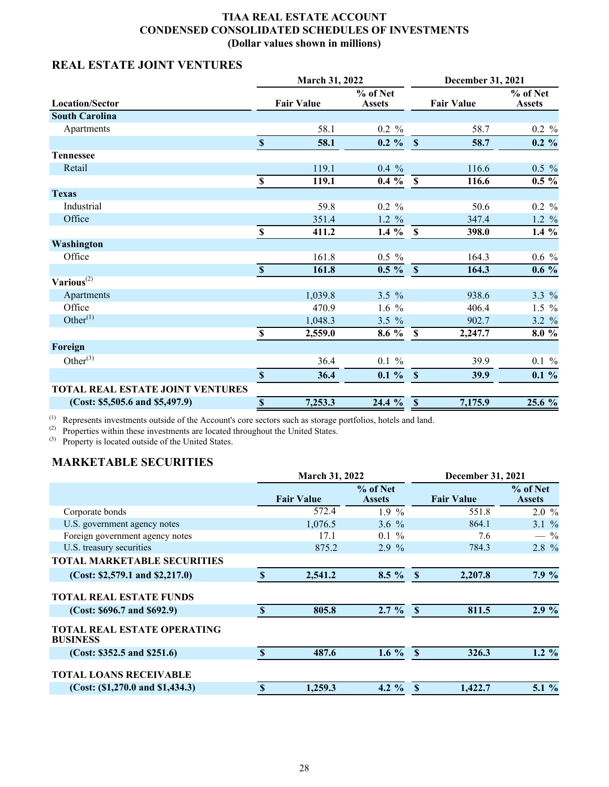## **REAL ESTATE JOINT VENTURES**

|                                          | <b>March 31, 2022</b>     |                   |                           |                    | <b>December 31, 2021</b> |                           |  |  |
|------------------------------------------|---------------------------|-------------------|---------------------------|--------------------|--------------------------|---------------------------|--|--|
| <b>Location/Sector</b>                   |                           | <b>Fair Value</b> | % of Net<br><b>Assets</b> |                    | <b>Fair Value</b>        | % of Net<br><b>Assets</b> |  |  |
| <b>South Carolina</b>                    |                           |                   |                           |                    |                          |                           |  |  |
| Apartments                               |                           | 58.1              | $0.2 \%$                  |                    | 58.7                     | $0.2 \%$                  |  |  |
|                                          | $\mathbf S$               | 58.1              | $0.2 \%$                  | $\mathbf{\hat{s}}$ | 58.7                     | $0.2 \%$                  |  |  |
| <b>Tennessee</b>                         |                           |                   |                           |                    |                          |                           |  |  |
| Retail                                   |                           | 119.1             | $0.4\%$                   |                    | 116.6                    | $0.5\%$                   |  |  |
|                                          | $\mathbb S$               | 119.1             | $0.4\%$                   | $\mathbf S$        | 116.6                    | $0.5 \%$                  |  |  |
| <b>Texas</b>                             |                           |                   |                           |                    |                          |                           |  |  |
| Industrial                               |                           | 59.8              | $0.2 \%$                  |                    | 50.6                     | $0.2 \%$                  |  |  |
| Office                                   |                           | 351.4             | 1.2 $%$                   |                    | 347.4                    | $1.2 \%$                  |  |  |
|                                          | $\boldsymbol{\mathsf{S}}$ | 411.2             | 1.4 $%$                   |                    | 398.0                    | 1.4 $%$                   |  |  |
| Washington                               |                           |                   |                           |                    |                          |                           |  |  |
| Office                                   |                           | 161.8             | $0.5\%$                   |                    | 164.3                    | $0.6\%$                   |  |  |
|                                          | $\overline{\mathbb{S}}$   | 161.8             | $0.5\%$                   | $\mathbf{s}$       | 164.3                    | $0.6\%$                   |  |  |
| $\overline{\mathbf{Various}}^{(2)}$      |                           |                   |                           |                    |                          |                           |  |  |
| Apartments                               |                           | 1,039.8           | $3.5 \%$                  |                    | 938.6                    | $3.3\%$                   |  |  |
| Office                                   |                           | 470.9             | 1.6 $%$                   |                    | 406.4                    | $1.5\%$                   |  |  |
| Other $^{(1)}$                           |                           | 1,048.3           | $3.5\%$                   |                    | 902.7                    | 3.2 %                     |  |  |
|                                          | $\mathbf S$               | 2,559.0           | 8.6 $%$                   | $\mathbf{s}$       | 2,247.7                  | 8.0%                      |  |  |
| Foreign                                  |                           |                   |                           |                    |                          |                           |  |  |
| Other $^{(3)}$                           |                           | 36.4              | $0.1 \%$                  |                    | 39.9                     | $0.1\%$                   |  |  |
|                                          | $\boldsymbol{\mathsf{S}}$ | 36.4              | $0.1 \%$                  | $\mathbf{s}$       | 39.9                     | $0.1 \%$                  |  |  |
| <b>TOTAL REAL ESTATE JOINT VENTURES</b>  |                           |                   |                           |                    |                          |                           |  |  |
| $(Cost: $5,505.6 \text{ and } $5,497.9)$ | $\mathbf S$               | 7,253.3           | $24.4\%$                  | $\mathbf{s}$       | 7,175.9                  | 25.6 %                    |  |  |

 $<sup>(1)</sup>$  Represents investments outside of the Account's core sectors such as storage portfolios, hotels and land.</sup>

 $(2)$  Properties within these investments are located throughout the United States.

(3) Property is located outside of the United States.

## **MARKETABLE SECURITIES**

|                                                       |    | <b>March 31, 2022</b> |                           | <b>December 31, 2021</b> |                   |                           |  |  |  |
|-------------------------------------------------------|----|-----------------------|---------------------------|--------------------------|-------------------|---------------------------|--|--|--|
|                                                       |    | <b>Fair Value</b>     | % of Net<br><b>Assets</b> |                          | <b>Fair Value</b> | % of Net<br><b>Assets</b> |  |  |  |
| Corporate bonds                                       |    | 572.4                 | $1.9\%$                   |                          | 551.8             | $2.0 \%$                  |  |  |  |
| U.S. government agency notes                          |    | 1,076.5               | $3.6\%$                   |                          | 864.1             | $3.1 \%$                  |  |  |  |
| Foreign government agency notes                       |    | 17.1                  | $0.1 \%$                  |                          | 7.6               | $-$ %                     |  |  |  |
| U.S. treasury securities                              |    | 875.2                 | $2.9\%$                   |                          | 784.3             | $2.8\%$                   |  |  |  |
| <b>TOTAL MARKETABLE SECURITIES</b>                    |    |                       |                           |                          |                   |                           |  |  |  |
| $(Cost: $2,579.1 \text{ and } $2,217.0)$              | \$ | 2,541.2               | $8.5\%$                   | - \$                     | 2,207.8           | 7.9 %                     |  |  |  |
| <b>TOTAL REAL ESTATE FUNDS</b>                        |    |                       |                           |                          |                   |                           |  |  |  |
| $(Cost: $696.7 \text{ and } $692.9)$                  | \$ | 805.8                 | $2.7\%$                   | <b>S</b>                 | 811.5             | 2.9%                      |  |  |  |
| <b>TOTAL REAL ESTATE OPERATING</b><br><b>BUSINESS</b> |    |                       |                           |                          |                   |                           |  |  |  |
| (Cost: \$352.5 and \$251.6)                           | S  | 487.6                 | 1.6 $%$                   | <b>S</b>                 | 326.3             | $1.2 \%$                  |  |  |  |
| <b>TOTAL LOANS RECEIVABLE</b>                         |    |                       |                           |                          |                   |                           |  |  |  |
| $(Cost: (\$1,270.0 \text{ and } \$1,434.3)$           | \$ | 1,259.3               | 4.2 $\%$                  | $\mathbf{s}$             | 1,422.7           | $5.1 \%$                  |  |  |  |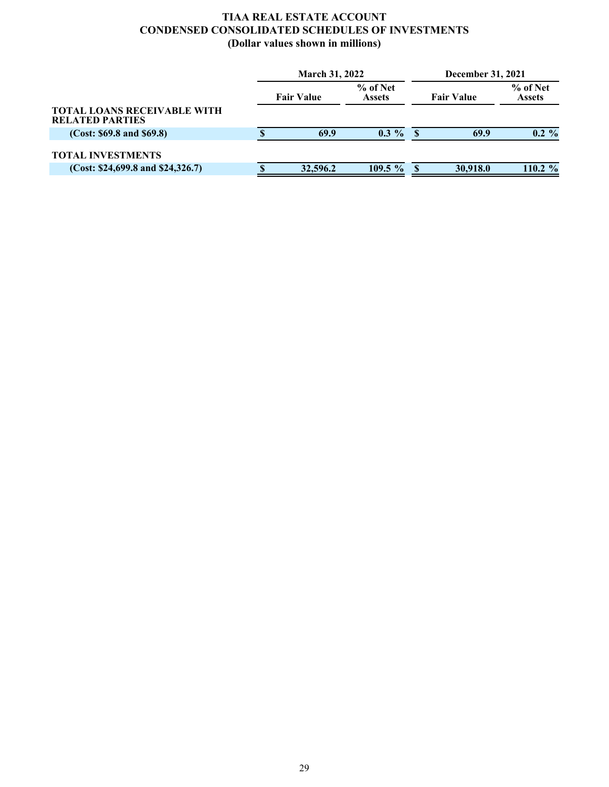|                                                              |   | <b>March 31, 2022</b> |                           | December 31, 2021 |                   |                           |  |  |  |
|--------------------------------------------------------------|---|-----------------------|---------------------------|-------------------|-------------------|---------------------------|--|--|--|
|                                                              |   | <b>Fair Value</b>     | % of Net<br><b>Assets</b> |                   | <b>Fair Value</b> | % of Net<br><b>Assets</b> |  |  |  |
| <b>TOTAL LOANS RECEIVABLE WITH</b><br><b>RELATED PARTIES</b> |   |                       |                           |                   |                   |                           |  |  |  |
| $(Cost: $69.8 \text{ and } $69.8)$                           | œ | 69.9                  | $0.3\%$                   | - \$              | 69.9              | $0.2 \%$                  |  |  |  |
| <b>TOTAL INVESTMENTS</b>                                     |   |                       |                           |                   |                   |                           |  |  |  |
| $(Cost: $24,699.8 \text{ and } $24,326.7)$                   |   | 32,596.2              | $109.5 \%$                |                   | 30,918.0          | $110.2 \%$                |  |  |  |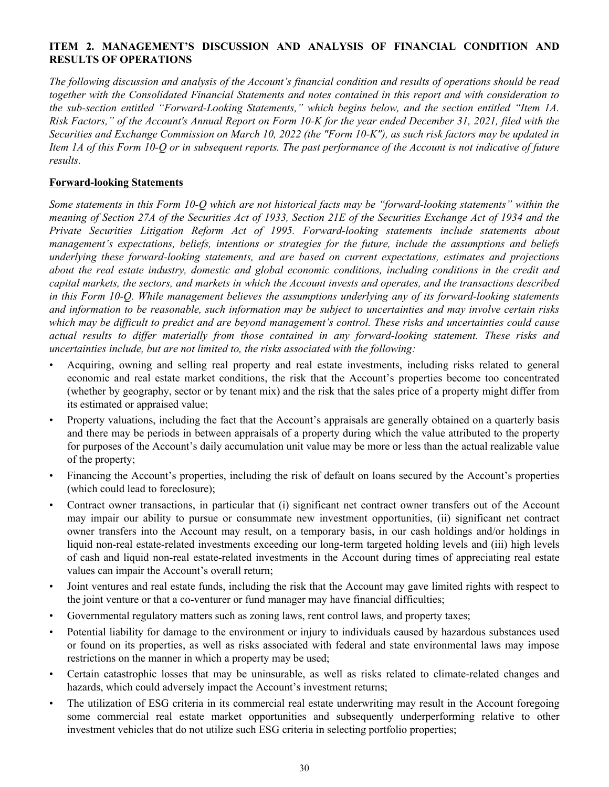## <span id="page-29-0"></span>**ITEM 2. MANAGEMENT'S DISCUSSION AND ANALYSIS OF FINANCIAL CONDITION AND RESULTS OF OPERATIONS**

*The following discussion and analysis of the Account's financial condition and results of operations should be read together with the Consolidated Financial Statements and notes contained in this report and with consideration to the sub-section entitled "Forward-Looking Statements," which begins below, and the section entitled "Item 1A. Risk Factors," of the Account's Annual Report on Form 10-K for the year ended December 31, 2021, filed with the Securities and Exchange Commission on March 10, 2022 (the "Form 10-K"), as such risk factors may be updated in Item 1A of this Form 10-Q or in subsequent reports. The past performance of the Account is not indicative of future results.*

### **Forward-looking Statements**

*Some statements in this Form 10-Q which are not historical facts may be "forward-looking statements" within the meaning of Section 27A of the Securities Act of 1933, Section 21E of the Securities Exchange Act of 1934 and the Private Securities Litigation Reform Act of 1995. Forward-looking statements include statements about management's expectations, beliefs, intentions or strategies for the future, include the assumptions and beliefs underlying these forward-looking statements, and are based on current expectations, estimates and projections about the real estate industry, domestic and global economic conditions, including conditions in the credit and capital markets, the sectors, and markets in which the Account invests and operates, and the transactions described in this Form 10-Q. While management believes the assumptions underlying any of its forward-looking statements and information to be reasonable, such information may be subject to uncertainties and may involve certain risks which may be difficult to predict and are beyond management's control. These risks and uncertainties could cause actual results to differ materially from those contained in any forward-looking statement. These risks and uncertainties include, but are not limited to, the risks associated with the following:*

- Acquiring, owning and selling real property and real estate investments, including risks related to general economic and real estate market conditions, the risk that the Account's properties become too concentrated (whether by geography, sector or by tenant mix) and the risk that the sales price of a property might differ from its estimated or appraised value;
- Property valuations, including the fact that the Account's appraisals are generally obtained on a quarterly basis and there may be periods in between appraisals of a property during which the value attributed to the property for purposes of the Account's daily accumulation unit value may be more or less than the actual realizable value of the property;
- Financing the Account's properties, including the risk of default on loans secured by the Account's properties (which could lead to foreclosure);
- Contract owner transactions, in particular that (i) significant net contract owner transfers out of the Account may impair our ability to pursue or consummate new investment opportunities, (ii) significant net contract owner transfers into the Account may result, on a temporary basis, in our cash holdings and/or holdings in liquid non-real estate-related investments exceeding our long-term targeted holding levels and (iii) high levels of cash and liquid non-real estate-related investments in the Account during times of appreciating real estate values can impair the Account's overall return;
- Joint ventures and real estate funds, including the risk that the Account may gave limited rights with respect to the joint venture or that a co-venturer or fund manager may have financial difficulties;
- Governmental regulatory matters such as zoning laws, rent control laws, and property taxes;
- Potential liability for damage to the environment or injury to individuals caused by hazardous substances used or found on its properties, as well as risks associated with federal and state environmental laws may impose restrictions on the manner in which a property may be used;
- Certain catastrophic losses that may be uninsurable, as well as risks related to climate-related changes and hazards, which could adversely impact the Account's investment returns;
- The utilization of ESG criteria in its commercial real estate underwriting may result in the Account foregoing some commercial real estate market opportunities and subsequently underperforming relative to other investment vehicles that do not utilize such ESG criteria in selecting portfolio properties;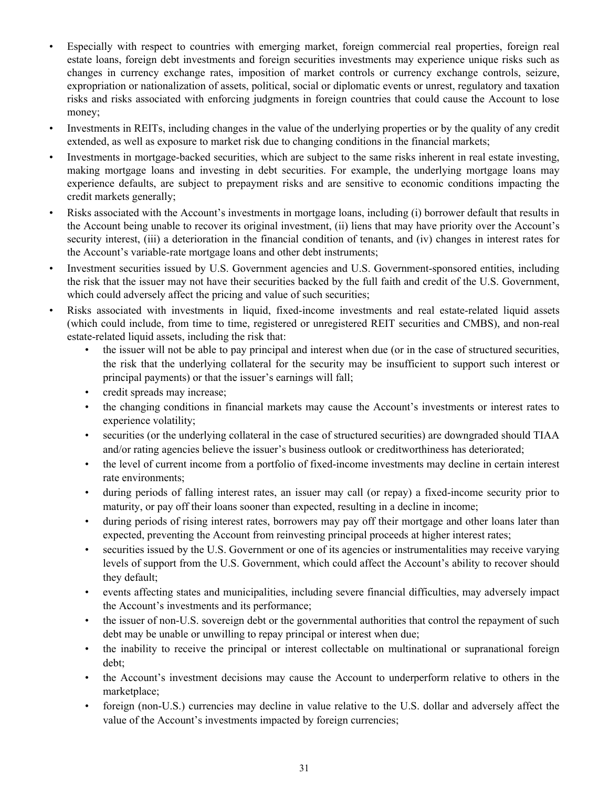- Especially with respect to countries with emerging market, foreign commercial real properties, foreign real estate loans, foreign debt investments and foreign securities investments may experience unique risks such as changes in currency exchange rates, imposition of market controls or currency exchange controls, seizure, expropriation or nationalization of assets, political, social or diplomatic events or unrest, regulatory and taxation risks and risks associated with enforcing judgments in foreign countries that could cause the Account to lose money;
- Investments in REITs, including changes in the value of the underlying properties or by the quality of any credit extended, as well as exposure to market risk due to changing conditions in the financial markets;
- Investments in mortgage-backed securities, which are subject to the same risks inherent in real estate investing, making mortgage loans and investing in debt securities. For example, the underlying mortgage loans may experience defaults, are subject to prepayment risks and are sensitive to economic conditions impacting the credit markets generally;
- Risks associated with the Account's investments in mortgage loans, including (i) borrower default that results in the Account being unable to recover its original investment, (ii) liens that may have priority over the Account's security interest, (iii) a deterioration in the financial condition of tenants, and (iv) changes in interest rates for the Account's variable-rate mortgage loans and other debt instruments;
- Investment securities issued by U.S. Government agencies and U.S. Government-sponsored entities, including the risk that the issuer may not have their securities backed by the full faith and credit of the U.S. Government, which could adversely affect the pricing and value of such securities;
- Risks associated with investments in liquid, fixed-income investments and real estate-related liquid assets (which could include, from time to time, registered or unregistered REIT securities and CMBS), and non-real estate-related liquid assets, including the risk that:
	- the issuer will not be able to pay principal and interest when due (or in the case of structured securities, the risk that the underlying collateral for the security may be insufficient to support such interest or principal payments) or that the issuer's earnings will fall;
	- credit spreads may increase;
	- the changing conditions in financial markets may cause the Account's investments or interest rates to experience volatility;
	- securities (or the underlying collateral in the case of structured securities) are downgraded should TIAA and/or rating agencies believe the issuer's business outlook or creditworthiness has deteriorated;
	- the level of current income from a portfolio of fixed-income investments may decline in certain interest rate environments;
	- during periods of falling interest rates, an issuer may call (or repay) a fixed-income security prior to maturity, or pay off their loans sooner than expected, resulting in a decline in income;
	- during periods of rising interest rates, borrowers may pay off their mortgage and other loans later than expected, preventing the Account from reinvesting principal proceeds at higher interest rates;
	- securities issued by the U.S. Government or one of its agencies or instrumentalities may receive varying levels of support from the U.S. Government, which could affect the Account's ability to recover should they default;
	- events affecting states and municipalities, including severe financial difficulties, may adversely impact the Account's investments and its performance;
	- the issuer of non-U.S. sovereign debt or the governmental authorities that control the repayment of such debt may be unable or unwilling to repay principal or interest when due;
	- the inability to receive the principal or interest collectable on multinational or supranational foreign debt;
	- the Account's investment decisions may cause the Account to underperform relative to others in the marketplace;
	- foreign (non-U.S.) currencies may decline in value relative to the U.S. dollar and adversely affect the value of the Account's investments impacted by foreign currencies;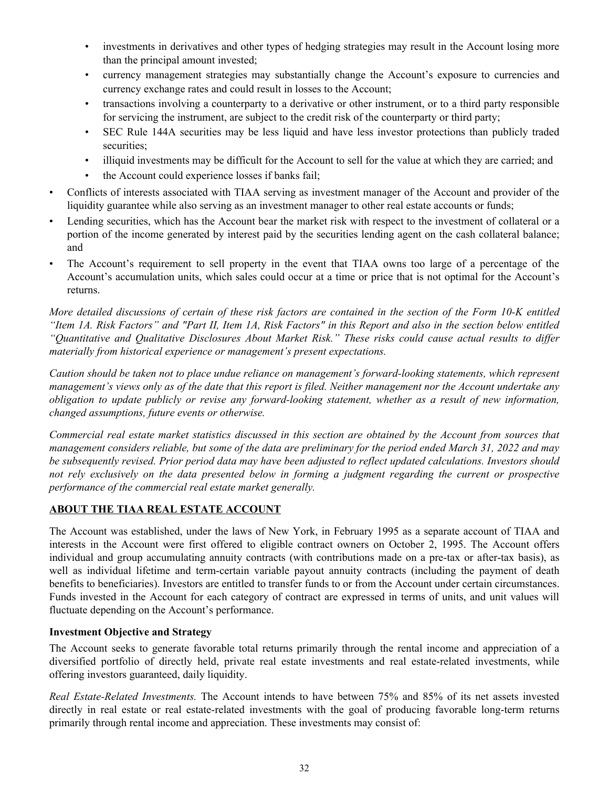- investments in derivatives and other types of hedging strategies may result in the Account losing more than the principal amount invested;
- currency management strategies may substantially change the Account's exposure to currencies and currency exchange rates and could result in losses to the Account;
- transactions involving a counterparty to a derivative or other instrument, or to a third party responsible for servicing the instrument, are subject to the credit risk of the counterparty or third party;
- SEC Rule 144A securities may be less liquid and have less investor protections than publicly traded securities;
- illiquid investments may be difficult for the Account to sell for the value at which they are carried; and
- the Account could experience losses if banks fail;
- Conflicts of interests associated with TIAA serving as investment manager of the Account and provider of the liquidity guarantee while also serving as an investment manager to other real estate accounts or funds;
- Lending securities, which has the Account bear the market risk with respect to the investment of collateral or a portion of the income generated by interest paid by the securities lending agent on the cash collateral balance; and
- The Account's requirement to sell property in the event that TIAA owns too large of a percentage of the Account's accumulation units, which sales could occur at a time or price that is not optimal for the Account's returns.

*More detailed discussions of certain of these risk factors are contained in the section of the Form 10-K entitled "Item 1A. Risk Factors" and "Part II, Item 1A, Risk Factors" in this Report and also in the section below entitled "Quantitative and Qualitative Disclosures About Market Risk." These risks could cause actual results to differ materially from historical experience or management's present expectations.*

*Caution should be taken not to place undue reliance on management's forward-looking statements, which represent management's views only as of the date that this report is filed. Neither management nor the Account undertake any obligation to update publicly or revise any forward-looking statement, whether as a result of new information, changed assumptions, future events or otherwise.*

*Commercial real estate market statistics discussed in this section are obtained by the Account from sources that management considers reliable, but some of the data are preliminary for the period ended March 31, 2022 and may be subsequently revised. Prior period data may have been adjusted to reflect updated calculations. Investors should not rely exclusively on the data presented below in forming a judgment regarding the current or prospective performance of the commercial real estate market generally.*

## **ABOUT THE TIAA REAL ESTATE ACCOUNT**

The Account was established, under the laws of New York, in February 1995 as a separate account of TIAA and interests in the Account were first offered to eligible contract owners on October 2, 1995. The Account offers individual and group accumulating annuity contracts (with contributions made on a pre-tax or after-tax basis), as well as individual lifetime and term-certain variable payout annuity contracts (including the payment of death benefits to beneficiaries). Investors are entitled to transfer funds to or from the Account under certain circumstances. Funds invested in the Account for each category of contract are expressed in terms of units, and unit values will fluctuate depending on the Account's performance.

#### **Investment Objective and Strategy**

The Account seeks to generate favorable total returns primarily through the rental income and appreciation of a diversified portfolio of directly held, private real estate investments and real estate-related investments, while offering investors guaranteed, daily liquidity.

*Real Estate-Related Investments.* The Account intends to have between 75% and 85% of its net assets invested directly in real estate or real estate-related investments with the goal of producing favorable long-term returns primarily through rental income and appreciation. These investments may consist of: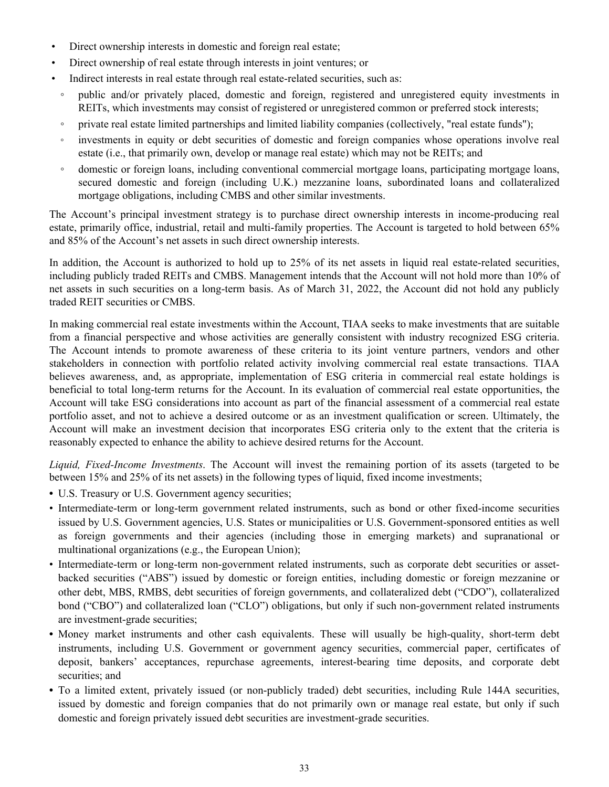- Direct ownership interests in domestic and foreign real estate;
- Direct ownership of real estate through interests in joint ventures; or
- Indirect interests in real estate through real estate-related securities, such as:
	- public and/or privately placed, domestic and foreign, registered and unregistered equity investments in REITs, which investments may consist of registered or unregistered common or preferred stock interests;
	- private real estate limited partnerships and limited liability companies (collectively, "real estate funds");
	- investments in equity or debt securities of domestic and foreign companies whose operations involve real estate (i.e., that primarily own, develop or manage real estate) which may not be REITs; and
	- domestic or foreign loans, including conventional commercial mortgage loans, participating mortgage loans, secured domestic and foreign (including U.K.) mezzanine loans, subordinated loans and collateralized mortgage obligations, including CMBS and other similar investments.

The Account's principal investment strategy is to purchase direct ownership interests in income-producing real estate, primarily office, industrial, retail and multi-family properties. The Account is targeted to hold between 65% and 85% of the Account's net assets in such direct ownership interests.

In addition, the Account is authorized to hold up to 25% of its net assets in liquid real estate-related securities, including publicly traded REITs and CMBS. Management intends that the Account will not hold more than 10% of net assets in such securities on a long-term basis. As of March 31, 2022, the Account did not hold any publicly traded REIT securities or CMBS.

In making commercial real estate investments within the Account, TIAA seeks to make investments that are suitable from a financial perspective and whose activities are generally consistent with industry recognized ESG criteria. The Account intends to promote awareness of these criteria to its joint venture partners, vendors and other stakeholders in connection with portfolio related activity involving commercial real estate transactions. TIAA believes awareness, and, as appropriate, implementation of ESG criteria in commercial real estate holdings is beneficial to total long-term returns for the Account. In its evaluation of commercial real estate opportunities, the Account will take ESG considerations into account as part of the financial assessment of a commercial real estate portfolio asset, and not to achieve a desired outcome or as an investment qualification or screen. Ultimately, the Account will make an investment decision that incorporates ESG criteria only to the extent that the criteria is reasonably expected to enhance the ability to achieve desired returns for the Account.

*Liquid, Fixed-Income Investments*. The Account will invest the remaining portion of its assets (targeted to be between 15% and 25% of its net assets) in the following types of liquid, fixed income investments;

- **•** U.S. Treasury or U.S. Government agency securities;
- Intermediate-term or long-term government related instruments, such as bond or other fixed-income securities issued by U.S. Government agencies, U.S. States or municipalities or U.S. Government-sponsored entities as well as foreign governments and their agencies (including those in emerging markets) and supranational or multinational organizations (e.g., the European Union);
- Intermediate-term or long-term non-government related instruments, such as corporate debt securities or assetbacked securities ("ABS") issued by domestic or foreign entities, including domestic or foreign mezzanine or other debt, MBS, RMBS, debt securities of foreign governments, and collateralized debt ("CDO"), collateralized bond ("CBO") and collateralized loan ("CLO") obligations, but only if such non-government related instruments are investment-grade securities;
- **•** Money market instruments and other cash equivalents. These will usually be high-quality, short-term debt instruments, including U.S. Government or government agency securities, commercial paper, certificates of deposit, bankers' acceptances, repurchase agreements, interest-bearing time deposits, and corporate debt securities: and
- **•** To a limited extent, privately issued (or non-publicly traded) debt securities, including Rule 144A securities, issued by domestic and foreign companies that do not primarily own or manage real estate, but only if such domestic and foreign privately issued debt securities are investment-grade securities.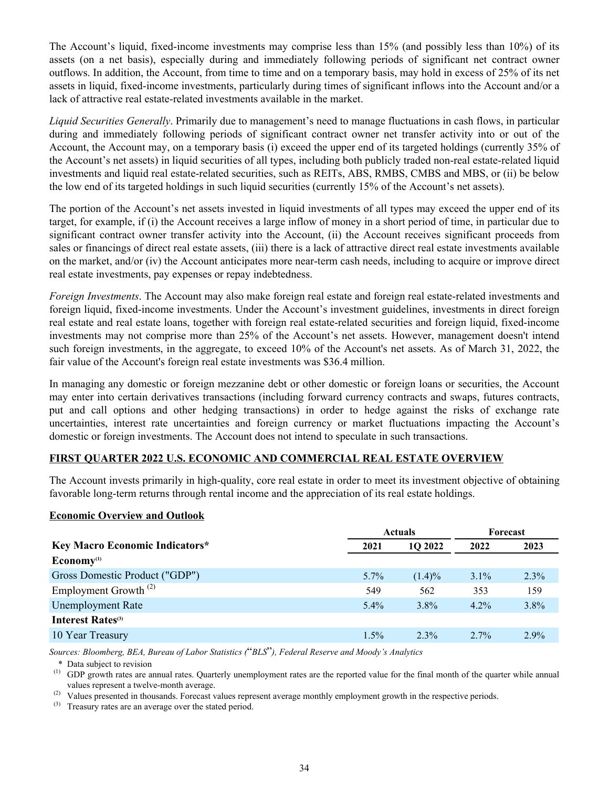The Account's liquid, fixed-income investments may comprise less than 15% (and possibly less than 10%) of its assets (on a net basis), especially during and immediately following periods of significant net contract owner outflows. In addition, the Account, from time to time and on a temporary basis, may hold in excess of 25% of its net assets in liquid, fixed-income investments, particularly during times of significant inflows into the Account and/or a lack of attractive real estate-related investments available in the market.

*Liquid Securities Generally*. Primarily due to management's need to manage fluctuations in cash flows, in particular during and immediately following periods of significant contract owner net transfer activity into or out of the Account, the Account may, on a temporary basis (i) exceed the upper end of its targeted holdings (currently 35% of the Account's net assets) in liquid securities of all types, including both publicly traded non-real estate-related liquid investments and liquid real estate-related securities, such as REITs, ABS, RMBS, CMBS and MBS, or (ii) be below the low end of its targeted holdings in such liquid securities (currently 15% of the Account's net assets).

The portion of the Account's net assets invested in liquid investments of all types may exceed the upper end of its target, for example, if (i) the Account receives a large inflow of money in a short period of time, in particular due to significant contract owner transfer activity into the Account, (ii) the Account receives significant proceeds from sales or financings of direct real estate assets, (iii) there is a lack of attractive direct real estate investments available on the market, and/or (iv) the Account anticipates more near-term cash needs, including to acquire or improve direct real estate investments, pay expenses or repay indebtedness.

*Foreign Investments*. The Account may also make foreign real estate and foreign real estate-related investments and foreign liquid, fixed-income investments. Under the Account's investment guidelines, investments in direct foreign real estate and real estate loans, together with foreign real estate-related securities and foreign liquid, fixed-income investments may not comprise more than 25% of the Account's net assets. However, management doesn't intend such foreign investments, in the aggregate, to exceed 10% of the Account's net assets. As of March 31, 2022, the fair value of the Account's foreign real estate investments was \$36.4 million.

In managing any domestic or foreign mezzanine debt or other domestic or foreign loans or securities, the Account may enter into certain derivatives transactions (including forward currency contracts and swaps, futures contracts, put and call options and other hedging transactions) in order to hedge against the risks of exchange rate uncertainties, interest rate uncertainties and foreign currency or market fluctuations impacting the Account's domestic or foreign investments. The Account does not intend to speculate in such transactions.

#### **FIRST QUARTER 2022 U.S. ECONOMIC AND COMMERCIAL REAL ESTATE OVERVIEW**

The Account invests primarily in high-quality, core real estate in order to meet its investment objective of obtaining favorable long-term returns through rental income and the appreciation of its real estate holdings.

### **Economic Overview and Outlook**

|                                       |         | <b>Actuals</b> |         | Forecast |
|---------------------------------------|---------|----------------|---------|----------|
| <b>Key Macro Economic Indicators*</b> |         | 10 2022        | 2022    | 2023     |
| $E_{\text{conomy}^{(1)}}$             |         |                |         |          |
| Gross Domestic Product ("GDP")        | $5.7\%$ | $(1.4)\%$      | $3.1\%$ | $2.3\%$  |
| Employment Growth <sup>(2)</sup>      | 549     | 562            | 353     | 159      |
| <b>Unemployment Rate</b>              | $5.4\%$ | $3.8\%$        | $4.2\%$ | 3.8%     |
| Interest Rates <sup>(3)</sup>         |         |                |         |          |
| 10 Year Treasury                      | 1.5%    | $2.3\%$        | $2.7\%$ | $2.9\%$  |

*Sources: Bloomberg, BEA, Bureau of Labor Statistics (*"*BLS*"*), Federal Reserve and Moody's Analytics*

\* Data subject to revision

(1) GDP growth rates are annual rates. Quarterly unemployment rates are the reported value for the final month of the quarter while annual values represent a twelve-month average.

<sup>(2)</sup> Values presented in thousands. Forecast values represent average monthly employment growth in the respective periods.

(3) Treasury rates are an average over the stated period.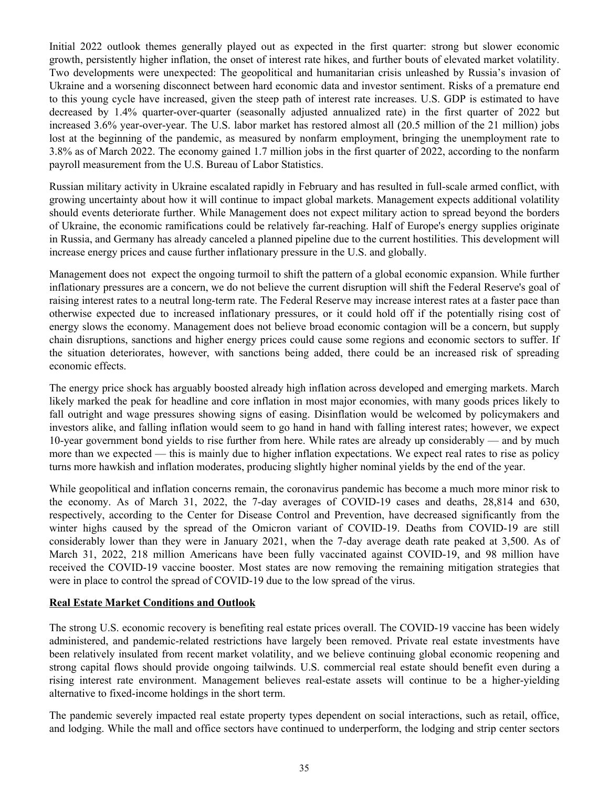Initial 2022 outlook themes generally played out as expected in the first quarter: strong but slower economic growth, persistently higher inflation, the onset of interest rate hikes, and further bouts of elevated market volatility. Two developments were unexpected: The geopolitical and humanitarian crisis unleashed by Russia's invasion of Ukraine and a worsening disconnect between hard economic data and investor sentiment. Risks of a premature end to this young cycle have increased, given the steep path of interest rate increases. U.S. GDP is estimated to have decreased by 1.4% quarter-over-quarter (seasonally adjusted annualized rate) in the first quarter of 2022 but increased 3.6% year-over-year. The U.S. labor market has restored almost all (20.5 million of the 21 million) jobs lost at the beginning of the pandemic, as measured by nonfarm employment, bringing the unemployment rate to 3.8% as of March 2022. The economy gained 1.7 million jobs in the first quarter of 2022, according to the nonfarm payroll measurement from the U.S. Bureau of Labor Statistics.

Russian military activity in Ukraine escalated rapidly in February and has resulted in full-scale armed conflict, with growing uncertainty about how it will continue to impact global markets. Management expects additional volatility should events deteriorate further. While Management does not expect military action to spread beyond the borders of Ukraine, the economic ramifications could be relatively far-reaching. Half of Europe's energy supplies originate in Russia, and Germany has already canceled a planned pipeline due to the current hostilities. This development will increase energy prices and cause further inflationary pressure in the U.S. and globally.

Management does not expect the ongoing turmoil to shift the pattern of a global economic expansion. While further inflationary pressures are a concern, we do not believe the current disruption will shift the Federal Reserve's goal of raising interest rates to a neutral long-term rate. The Federal Reserve may increase interest rates at a faster pace than otherwise expected due to increased inflationary pressures, or it could hold off if the potentially rising cost of energy slows the economy. Management does not believe broad economic contagion will be a concern, but supply chain disruptions, sanctions and higher energy prices could cause some regions and economic sectors to suffer. If the situation deteriorates, however, with sanctions being added, there could be an increased risk of spreading economic effects.

The energy price shock has arguably boosted already high inflation across developed and emerging markets. March likely marked the peak for headline and core inflation in most major economies, with many goods prices likely to fall outright and wage pressures showing signs of easing. Disinflation would be welcomed by policymakers and investors alike, and falling inflation would seem to go hand in hand with falling interest rates; however, we expect 10-year government bond yields to rise further from here. While rates are already up considerably — and by much more than we expected — this is mainly due to higher inflation expectations. We expect real rates to rise as policy turns more hawkish and inflation moderates, producing slightly higher nominal yields by the end of the year.

While geopolitical and inflation concerns remain, the coronavirus pandemic has become a much more minor risk to the economy. As of March 31, 2022, the 7-day averages of COVID-19 cases and deaths, 28,814 and 630, respectively, according to the Center for Disease Control and Prevention, have decreased significantly from the winter highs caused by the spread of the Omicron variant of COVID-19. Deaths from COVID-19 are still considerably lower than they were in January 2021, when the 7-day average death rate peaked at 3,500. As of March 31, 2022, 218 million Americans have been fully vaccinated against COVID-19, and 98 million have received the COVID-19 vaccine booster. Most states are now removing the remaining mitigation strategies that were in place to control the spread of COVID-19 due to the low spread of the virus.

#### **Real Estate Market Conditions and Outlook**

The strong U.S. economic recovery is benefiting real estate prices overall. The COVID-19 vaccine has been widely administered, and pandemic-related restrictions have largely been removed. Private real estate investments have been relatively insulated from recent market volatility, and we believe continuing global economic reopening and strong capital flows should provide ongoing tailwinds. U.S. commercial real estate should benefit even during a rising interest rate environment. Management believes real-estate assets will continue to be a higher-yielding alternative to fixed-income holdings in the short term.

The pandemic severely impacted real estate property types dependent on social interactions, such as retail, office, and lodging. While the mall and office sectors have continued to underperform, the lodging and strip center sectors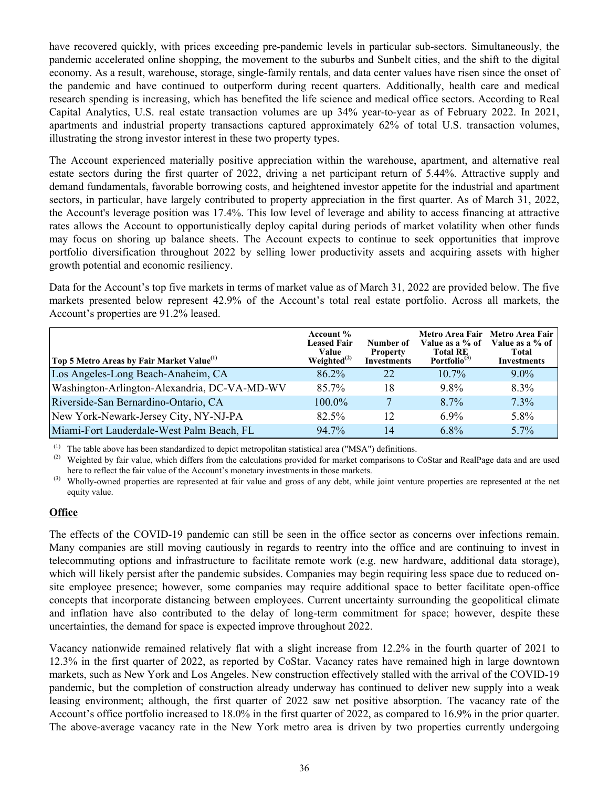have recovered quickly, with prices exceeding pre-pandemic levels in particular sub-sectors. Simultaneously, the pandemic accelerated online shopping, the movement to the suburbs and Sunbelt cities, and the shift to the digital economy. As a result, warehouse, storage, single-family rentals, and data center values have risen since the onset of the pandemic and have continued to outperform during recent quarters. Additionally, health care and medical research spending is increasing, which has benefited the life science and medical office sectors. According to Real Capital Analytics, U.S. real estate transaction volumes are up 34% year-to-year as of February 2022. In 2021, apartments and industrial property transactions captured approximately 62% of total U.S. transaction volumes, illustrating the strong investor interest in these two property types.

The Account experienced materially positive appreciation within the warehouse, apartment, and alternative real estate sectors during the first quarter of 2022, driving a net participant return of 5.44%. Attractive supply and demand fundamentals, favorable borrowing costs, and heightened investor appetite for the industrial and apartment sectors, in particular, have largely contributed to property appreciation in the first quarter. As of March 31, 2022, the Account's leverage position was 17.4%. This low level of leverage and ability to access financing at attractive rates allows the Account to opportunistically deploy capital during periods of market volatility when other funds may focus on shoring up balance sheets. The Account expects to continue to seek opportunities that improve portfolio diversification throughout 2022 by selling lower productivity assets and acquiring assets with higher growth potential and economic resiliency.

Data for the Account's top five markets in terms of market value as of March 31, 2022 are provided below. The five markets presented below represent 42.9% of the Account's total real estate portfolio. Across all markets, the Account's properties are 91.2% leased.

| Top 5 Metro Areas by Fair Market Value <sup>(1)</sup> | Account %<br><b>Leased Fair</b><br>Value<br>Weighted $^{(2)}$ | Number of<br><b>Property</b><br>Investments | Metro Area Fair<br>Value as a % of<br><b>Total RE</b><br>Portfolio <sup>(3)</sup> | <b>Metro Area Fair</b><br>Value as a % of<br>Total<br>Investments |
|-------------------------------------------------------|---------------------------------------------------------------|---------------------------------------------|-----------------------------------------------------------------------------------|-------------------------------------------------------------------|
| Los Angeles-Long Beach-Anaheim, CA                    | $86.2\%$                                                      | 22                                          | $10.7\%$                                                                          | $9.0\%$                                                           |
| Washington-Arlington-Alexandria, DC-VA-MD-WV          | $85.7\%$                                                      | 18                                          | $9.8\%$                                                                           | $8.3\%$                                                           |
| Riverside-San Bernardino-Ontario, CA                  | 100.0%                                                        |                                             | 87%                                                                               | $7.3\%$                                                           |
| New York-Newark-Jersey City, NY-NJ-PA                 | $82.5\%$                                                      | 12                                          | 69%                                                                               | 5.8%                                                              |
| Miami-Fort Lauderdale-West Palm Beach, FL             | 94.7%                                                         | 14                                          | $6.8\%$                                                                           | $5.7\%$                                                           |

(1) The table above has been standardized to depict metropolitan statistical area ("MSA") definitions.

<sup>(2)</sup> Weighted by fair value, which differs from the calculations provided for market comparisons to CoStar and RealPage data and are used here to reflect the fair value of the Account's monetary investments in those markets.

<sup>(3)</sup> Wholly-owned properties are represented at fair value and gross of any debt, while joint venture properties are represented at the net equity value.

#### **Office**

The effects of the COVID-19 pandemic can still be seen in the office sector as concerns over infections remain. Many companies are still moving cautiously in regards to reentry into the office and are continuing to invest in telecommuting options and infrastructure to facilitate remote work (e.g. new hardware, additional data storage), which will likely persist after the pandemic subsides. Companies may begin requiring less space due to reduced onsite employee presence; however, some companies may require additional space to better facilitate open-office concepts that incorporate distancing between employees. Current uncertainty surrounding the geopolitical climate and inflation have also contributed to the delay of long-term commitment for space; however, despite these uncertainties, the demand for space is expected improve throughout 2022.

Vacancy nationwide remained relatively flat with a slight increase from 12.2% in the fourth quarter of 2021 to 12.3% in the first quarter of 2022, as reported by CoStar. Vacancy rates have remained high in large downtown markets, such as New York and Los Angeles. New construction effectively stalled with the arrival of the COVID-19 pandemic, but the completion of construction already underway has continued to deliver new supply into a weak leasing environment; although, the first quarter of 2022 saw net positive absorption. The vacancy rate of the Account's office portfolio increased to 18.0% in the first quarter of 2022, as compared to 16.9% in the prior quarter. The above-average vacancy rate in the New York metro area is driven by two properties currently undergoing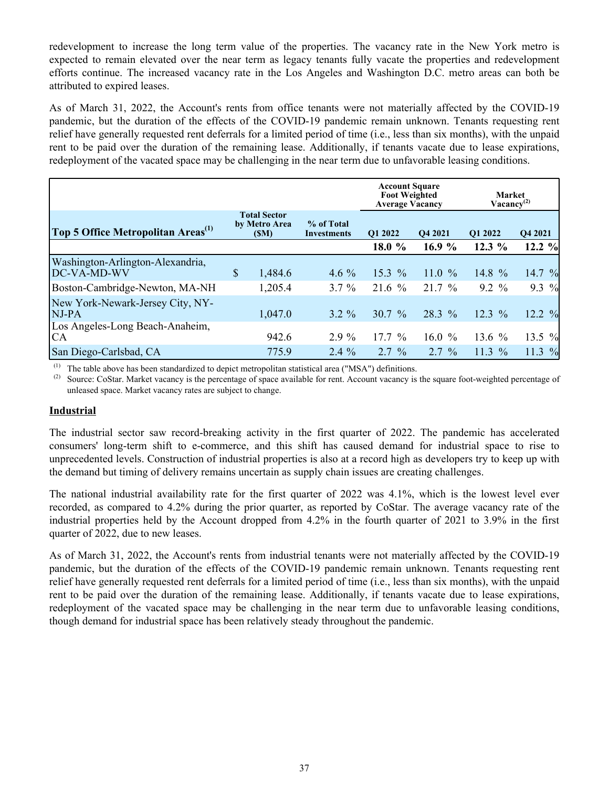redevelopment to increase the long term value of the properties. The vacancy rate in the New York metro is expected to remain elevated over the near term as legacy tenants fully vacate the properties and redevelopment efforts continue. The increased vacancy rate in the Los Angeles and Washington D.C. metro areas can both be attributed to expired leases.

As of March 31, 2022, the Account's rents from office tenants were not materially affected by the COVID-19 pandemic, but the duration of the effects of the COVID-19 pandemic remain unknown. Tenants requesting rent relief have generally requested rent deferrals for a limited period of time (i.e., less than six months), with the unpaid rent to be paid over the duration of the remaining lease. Additionally, if tenants vacate due to lease expirations, redeployment of the vacated space may be challenging in the near term due to unfavorable leasing conditions.

|                                                 |                                              |                           | <b>Account Square</b><br><b>Foot Weighted</b><br><b>Average Vacancy</b> |                     | <b>Market</b><br>Vacancy <sup>(2)</sup> |              |  |  |  |
|-------------------------------------------------|----------------------------------------------|---------------------------|-------------------------------------------------------------------------|---------------------|-----------------------------------------|--------------|--|--|--|
| Top 5 Office Metropolitan Areas <sup>(1)</sup>  | <b>Total Sector</b><br>by Metro Area<br>(SM) | % of Total<br>Investments | O1 2022                                                                 | O <sub>4</sub> 2021 | O1 2022                                 | O4 2021      |  |  |  |
|                                                 |                                              |                           | 18.0 %                                                                  | 16.9 $%$            | $12.3\%$                                | 12.2 %       |  |  |  |
| Washington-Arlington-Alexandria,<br>DC-VA-MD-WV | \$<br>1,484.6                                | 4.6 $\%$                  | 15.3 $%$                                                                | 11.0 $%$            | 14.8 %                                  | 14.7 $%$     |  |  |  |
| Boston-Cambridge-Newton, MA-NH                  | 1,205.4                                      | $3.7\%$                   | 21.6%                                                                   | 21.7 %              | 9.2 %                                   | $9.3 \%$     |  |  |  |
| New York-Newark-Jersey City, NY-<br>NJ-PA       | 1,047.0                                      | $3.2 \%$                  | $30.7 \%$                                                               | 28.3 %              | 12.3 %                                  | 12.2 %       |  |  |  |
| Los Angeles-Long Beach-Anaheim,<br>CA           | 942.6                                        | $2.9\%$                   | 17.7%                                                                   | 16.0 $%$            | 13.6 %                                  | 13.5 $%$     |  |  |  |
| San Diego-Carlsbad, CA                          | 775.9                                        | $2.4\%$                   | $2.7\%$                                                                 | $2.7\%$             | 11.3 $%$                                | 11.3<br>$\%$ |  |  |  |

(1) The table above has been standardized to depict metropolitan statistical area ("MSA") definitions.<br>(2) Source: CoStar, Market vacancy is the percentage of space available for rent. Account vacancy is

Source: CoStar. Market vacancy is the percentage of space available for rent. Account vacancy is the square foot-weighted percentage of unleased space. Market vacancy rates are subject to change.

#### **Industrial**

The industrial sector saw record-breaking activity in the first quarter of 2022. The pandemic has accelerated consumers' long-term shift to e-commerce, and this shift has caused demand for industrial space to rise to unprecedented levels. Construction of industrial properties is also at a record high as developers try to keep up with the demand but timing of delivery remains uncertain as supply chain issues are creating challenges.

The national industrial availability rate for the first quarter of 2022 was 4.1%, which is the lowest level ever recorded, as compared to 4.2% during the prior quarter, as reported by CoStar. The average vacancy rate of the industrial properties held by the Account dropped from 4.2% in the fourth quarter of 2021 to 3.9% in the first quarter of 2022, due to new leases.

As of March 31, 2022, the Account's rents from industrial tenants were not materially affected by the COVID-19 pandemic, but the duration of the effects of the COVID-19 pandemic remain unknown. Tenants requesting rent relief have generally requested rent deferrals for a limited period of time (i.e., less than six months), with the unpaid rent to be paid over the duration of the remaining lease. Additionally, if tenants vacate due to lease expirations, redeployment of the vacated space may be challenging in the near term due to unfavorable leasing conditions, though demand for industrial space has been relatively steady throughout the pandemic.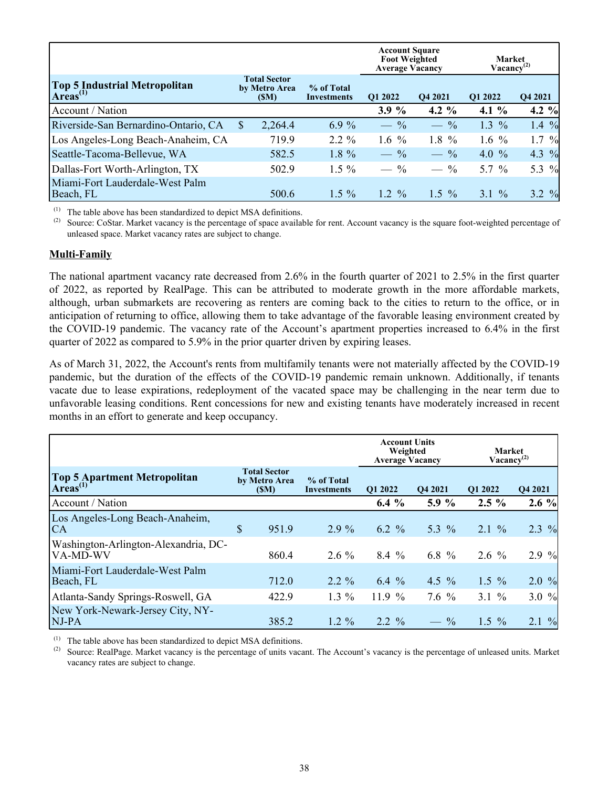|                                                             |              |                                              |                                  | <b>Account Square</b><br><b>Foot Weighted</b><br><b>Average Vacancy</b> |                     | <b>Market</b><br>Vacancy $(2)$ |                     |
|-------------------------------------------------------------|--------------|----------------------------------------------|----------------------------------|-------------------------------------------------------------------------|---------------------|--------------------------------|---------------------|
| <b>Top 5 Industrial Metropolitan</b><br>Area <sup>(1)</sup> |              | <b>Total Sector</b><br>by Metro Area<br>(SM) | % of Total<br><b>Investments</b> | O1 2022                                                                 | O <sub>4</sub> 2021 | O1 2022                        | O <sub>4</sub> 2021 |
| Account / Nation                                            |              |                                              |                                  | 3.9%                                                                    | 4.2 $\%$            | 4.1 $%$                        | 4.2 $%$             |
| Riverside-San Bernardino-Ontario, CA                        | $\mathbb{S}$ | 2,264.4                                      | $6.9\%$                          | $-$ %                                                                   | $-$ %               | 1.3 $%$                        | 1.4 $%$             |
| Los Angeles-Long Beach-Anaheim, CA                          |              | 719.9                                        | $2.2\%$                          | 1.6 $%$                                                                 | $1.8 \%$            | 1.6 $%$                        | $1.7 \%$            |
| Seattle-Tacoma-Bellevue, WA                                 |              | 582.5                                        | $1.8 \%$                         | $-$ %                                                                   | $-$ %               | 4.0 $%$                        | 4.3 $%$             |
| Dallas-Fort Worth-Arlington, TX                             |              | 502.9                                        | $1.5\%$                          | $-$ %                                                                   | $-$ %               | 5.7 $%$                        | 5.3 %               |
| Miami-Fort Lauderdale-West Palm<br>Beach, FL                |              | 500.6                                        | $1.5\%$                          | $12\%$                                                                  | $1.5\%$             | $3.1\%$                        | $3.2 \%$            |

(1) The table above has been standardized to depict MSA definitions.<br>(2) Source:  $CoStart$  Market vacanous is the percentage of space available

Source: CoStar. Market vacancy is the percentage of space available for rent. Account vacancy is the square foot-weighted percentage of unleased space. Market vacancy rates are subject to change.

#### **Multi-Family**

The national apartment vacancy rate decreased from 2.6% in the fourth quarter of 2021 to 2.5% in the first quarter of 2022, as reported by RealPage. This can be attributed to moderate growth in the more affordable markets, although, urban submarkets are recovering as renters are coming back to the cities to return to the office, or in anticipation of returning to office, allowing them to take advantage of the favorable leasing environment created by the COVID-19 pandemic. The vacancy rate of the Account's apartment properties increased to 6.4% in the first quarter of 2022 as compared to 5.9% in the prior quarter driven by expiring leases.

As of March 31, 2022, the Account's rents from multifamily tenants were not materially affected by the COVID-19 pandemic, but the duration of the effects of the COVID-19 pandemic remain unknown. Additionally, if tenants vacate due to lease expirations, redeployment of the vacated space may be challenging in the near term due to unfavorable leasing conditions. Rent concessions for new and existing tenants have moderately increased in recent months in an effort to generate and keep occupancy.

|                                                          |                                              |       |                                  |         | <b>Account Units</b><br>Weighted<br><b>Average Vacancy</b> |          | Market<br>Vacancy <sup>(2)</sup> |
|----------------------------------------------------------|----------------------------------------------|-------|----------------------------------|---------|------------------------------------------------------------|----------|----------------------------------|
| <b>Top 5 Apartment Metropolitan</b><br>Area <sub>1</sub> | <b>Total Sector</b><br>by Metro Area<br>(SM) |       | % of Total<br><b>Investments</b> | O1 2022 | O <sub>4</sub> 2021                                        | O1 2022  | O4 2021                          |
| Account / Nation                                         |                                              |       |                                  | $6.4\%$ | 5.9 %                                                      | $2.5\%$  | $2.6 \%$                         |
| Los Angeles-Long Beach-Anaheim,<br>CA                    | \$                                           | 951.9 | $2.9\%$                          | 6.2 $%$ | 5.3 $%$                                                    | $2.1\%$  | $2.3 \%$                         |
| Washington-Arlington-Alexandria, DC-<br>VA-MD-WV         |                                              | 860.4 | $2.6\%$                          | $8.4\%$ | 6.8 $%$                                                    | $2.6\%$  | $2.9 \%$                         |
| Miami-Fort Lauderdale-West Palm<br>Beach, FL             |                                              | 712.0 | $2.2\%$                          | $6.4\%$ | 4.5 $\%$                                                   | $1.5\%$  | $2.0\%$                          |
| Atlanta-Sandy Springs-Roswell, GA                        |                                              | 422.9 | $1.3\%$                          | 11.9%   | $7.6\%$                                                    | $3.1 \%$ | 3.0%                             |
| New York-Newark-Jersey City, NY-<br>NJ-PA                |                                              | 385.2 | $1.2 \%$                         | $2.2\%$ | $\frac{0}{0}$                                              | $1.5\%$  | $2.1\%$                          |

(1) The table above has been standardized to depict MSA definitions.<br>(2) Source: BeelBage Market usespay is the persentage of units uses

Source: RealPage. Market vacancy is the percentage of units vacant. The Account's vacancy is the percentage of unleased units. Market vacancy rates are subject to change.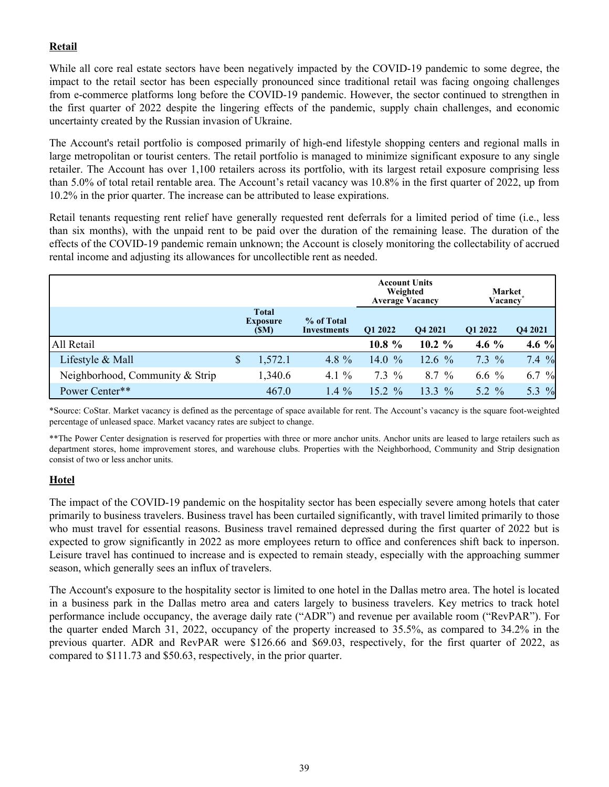## **Retail**

While all core real estate sectors have been negatively impacted by the COVID-19 pandemic to some degree, the impact to the retail sector has been especially pronounced since traditional retail was facing ongoing challenges from e-commerce platforms long before the COVID-19 pandemic. However, the sector continued to strengthen in the first quarter of 2022 despite the lingering effects of the pandemic, supply chain challenges, and economic uncertainty created by the Russian invasion of Ukraine.

The Account's retail portfolio is composed primarily of high-end lifestyle shopping centers and regional malls in large metropolitan or tourist centers. The retail portfolio is managed to minimize significant exposure to any single retailer. The Account has over 1,100 retailers across its portfolio, with its largest retail exposure comprising less than 5.0% of total retail rentable area. The Account's retail vacancy was 10.8% in the first quarter of 2022, up from 10.2% in the prior quarter. The increase can be attributed to lease expirations.

Retail tenants requesting rent relief have generally requested rent deferrals for a limited period of time (i.e., less than six months), with the unpaid rent to be paid over the duration of the remaining lease. The duration of the effects of the COVID-19 pandemic remain unknown; the Account is closely monitoring the collectability of accrued rental income and adjusting its allowances for uncollectible rent as needed.

|                                 |                                         |                                  | <b>Account Units</b><br>Weighted<br><b>Average Vacancy</b> |                     | Market<br>Vacancv |                      |
|---------------------------------|-----------------------------------------|----------------------------------|------------------------------------------------------------|---------------------|-------------------|----------------------|
|                                 | <b>Total</b><br><b>Exposure</b><br>(SM) | % of Total<br><b>Investments</b> | O1 2022                                                    | O <sub>4</sub> 2021 | O1 2022           | Q4 2021              |
| All Retail                      |                                         |                                  | 10.8 %                                                     | $10.2 \%$           | 4.6 $%$           | 4.6 $%$              |
| Lifestyle & Mall                | \$<br>1,572.1                           | 4.8 $%$                          | 14.0 $%$                                                   | 12.6 $%$            | $7.3\%$           | $\frac{0}{0}$<br>7.4 |
| Neighborhood, Community & Strip | 1,340.6                                 | 4.1 $\%$                         | $7.3\%$                                                    | $8.7\%$             | 6.6 $%$           | 6.7 $%$              |
| Power Center**                  | 467.0                                   | $1.4\%$                          | $15.2 \%$                                                  | $13.3\%$            | 5.2 $%$           | $\frac{0}{0}$<br>5.3 |

\*Source: CoStar. Market vacancy is defined as the percentage of space available for rent. The Account's vacancy is the square foot-weighted percentage of unleased space. Market vacancy rates are subject to change.

\*\*The Power Center designation is reserved for properties with three or more anchor units. Anchor units are leased to large retailers such as department stores, home improvement stores, and warehouse clubs. Properties with the Neighborhood, Community and Strip designation consist of two or less anchor units.

## **Hotel**

The impact of the COVID-19 pandemic on the hospitality sector has been especially severe among hotels that cater primarily to business travelers. Business travel has been curtailed significantly, with travel limited primarily to those who must travel for essential reasons. Business travel remained depressed during the first quarter of 2022 but is expected to grow significantly in 2022 as more employees return to office and conferences shift back to inperson. Leisure travel has continued to increase and is expected to remain steady, especially with the approaching summer season, which generally sees an influx of travelers.

The Account's exposure to the hospitality sector is limited to one hotel in the Dallas metro area. The hotel is located in a business park in the Dallas metro area and caters largely to business travelers. Key metrics to track hotel performance include occupancy, the average daily rate ("ADR") and revenue per available room ("RevPAR"). For the quarter ended March 31, 2022, occupancy of the property increased to 35.5%, as compared to 34.2% in the previous quarter. ADR and RevPAR were \$126.66 and \$69.03, respectively, for the first quarter of 2022, as compared to \$111.73 and \$50.63, respectively, in the prior quarter.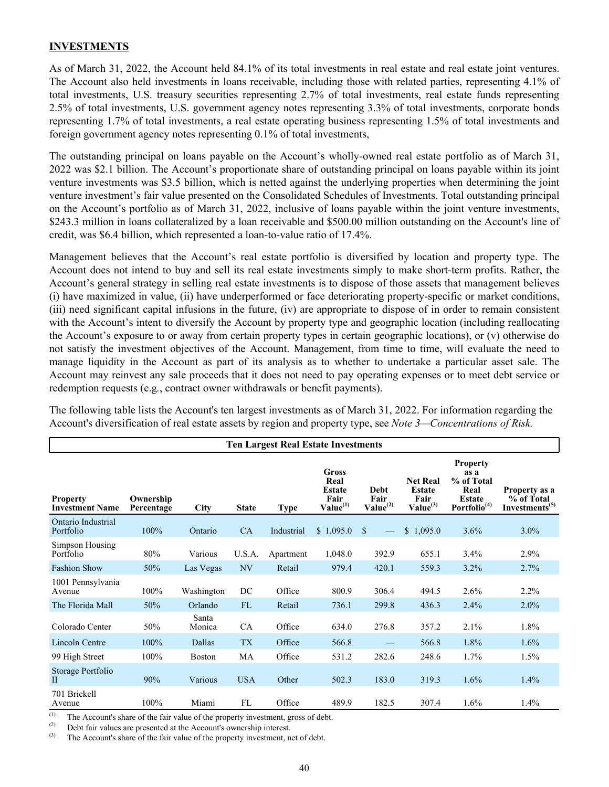## **INVESTMENTS**

As of March 31, 2022, the Account held 84.1% of its total investments in real estate and real estate joint ventures. The Account also held investments in loans receivable, including those with related parties, representing 4.1% of total investments, U.S. treasury securities representing 2.7% of total investments, real estate funds representing 2.5% of total investments, U.S. government agency notes representing 3.3% of total investments, corporate bonds representing 1.7% of total investments, a real estate operating business representing 1.5% of total investments and foreign government agency notes representing 0.1% of total investments,

The outstanding principal on loans payable on the Account's wholly-owned real estate portfolio as of March 31, 2022 was \$2.1 billion. The Account's proportionate share of outstanding principal on loans payable within its joint venture investments was \$3.5 billion, which is netted against the underlying properties when determining the joint venture investment's fair value presented on the Consolidated Schedules of Investments. Total outstanding principal on the Account's portfolio as of March 31, 2022, inclusive of loans payable within the joint venture investments, \$243.3 million in loans collateralized by a loan receivable and \$500.00 million outstanding on the Account's line of credit, was \$6.4 billion, which represented a loan-to-value ratio of 17.4%.

Management believes that the Account's real estate portfolio is diversified by location and property type. The Account does not intend to buy and sell its real estate investments simply to make short-term profits. Rather, the Account's general strategy in selling real estate investments is to dispose of those assets that management believes (i) have maximized in value, (ii) have underperformed or face deteriorating property-specific or market conditions, (iii) need significant capital infusions in the future, (iv) are appropriate to dispose of in order to remain consistent with the Account's intent to diversify the Account by property type and geographic location (including reallocating the Account's exposure to or away from certain property types in certain geographic locations), or (v) otherwise do not satisfy the investment objectives of the Account. Management, from time to time, will evaluate the need to manage liquidity in the Account as part of its analysis as to whether to undertake a particular asset sale. The Account may reinvest any sale proceeds that it does not need to pay operating expenses or to meet debt service or redemption requests (e.g*.*, contract owner withdrawals or benefit payments).

|                                           | <b>Ten Largest Real Estate Investments</b> |                 |              |             |                                                                       |                                             |                                                           |                                                                                             |                                                           |  |  |  |  |  |
|-------------------------------------------|--------------------------------------------|-----------------|--------------|-------------|-----------------------------------------------------------------------|---------------------------------------------|-----------------------------------------------------------|---------------------------------------------------------------------------------------------|-----------------------------------------------------------|--|--|--|--|--|
| <b>Property</b><br><b>Investment Name</b> | Ownership<br>Percentage                    | City            | <b>State</b> | <b>Type</b> | <b>Gross</b><br>Real<br><b>Estate</b><br>Fair<br>Value <sup>(1)</sup> | <b>Debt</b><br>Fair<br>Value <sup>(2)</sup> | <b>Net Real</b><br><b>Estate</b><br>Fair<br>$Value^{(3)}$ | <b>Property</b><br>as a<br>% of Total<br>Real<br><b>Estate</b><br>Port folio <sup>(4)</sup> | Property as a<br>% of Total<br>Investments <sup>(5)</sup> |  |  |  |  |  |
| Ontario Industrial<br>Portfolio           | 100%                                       | Ontario         | CA           | Industrial  | \$1,095.0                                                             | $\mathbf S$                                 | \$1,095.0                                                 | 3.6%                                                                                        | $3.0\%$                                                   |  |  |  |  |  |
| Simpson Housing<br>Portfolio              | 80%                                        | Various         | U.S.A.       | Apartment   | 1,048.0                                                               | 392.9                                       | 655.1                                                     | 3.4%                                                                                        | 2.9%                                                      |  |  |  |  |  |
| <b>Fashion Show</b>                       | 50%                                        | Las Vegas       | NV           | Retail      | 979.4                                                                 | 420.1                                       | 559.3                                                     | $3.2\%$                                                                                     | 2.7%                                                      |  |  |  |  |  |
| 1001 Pennsylvania<br>Avenue               | 100%                                       | Washington      | DC           | Office      | 800.9                                                                 | 306.4                                       | 494.5                                                     | 2.6%                                                                                        | 2.2%                                                      |  |  |  |  |  |
| The Florida Mall                          | 50%                                        | Orlando         | FL           | Retail      | 736.1                                                                 | 299.8                                       | 436.3                                                     | 2.4%                                                                                        | $2.0\%$                                                   |  |  |  |  |  |
| Colorado Center                           | 50%                                        | Santa<br>Monica | <b>CA</b>    | Office      | 634.0                                                                 | 276.8                                       | 357.2                                                     | 2.1%                                                                                        | 1.8%                                                      |  |  |  |  |  |
| <b>Lincoln Centre</b>                     | 100%                                       | Dallas          | <b>TX</b>    | Office      | 566.8                                                                 |                                             | 566.8                                                     | 1.8%                                                                                        | 1.6%                                                      |  |  |  |  |  |
| 99 High Street                            | 100%                                       | <b>Boston</b>   | MA           | Office      | 531.2                                                                 | 282.6                                       | 248.6                                                     | 1.7%                                                                                        | 1.5%                                                      |  |  |  |  |  |
| Storage Portfolio<br>$\mathbf{H}$         | 90%                                        | Various         | <b>USA</b>   | Other       | 502.3                                                                 | 183.0                                       | 319.3                                                     | 1.6%                                                                                        | $1.4\%$                                                   |  |  |  |  |  |
| 701 Brickell<br>Avenue                    | 100%                                       | Miami           | FL           | Office      | 489.9                                                                 | 182.5                                       | 307.4                                                     | 1.6%                                                                                        | $1.4\%$                                                   |  |  |  |  |  |

The following table lists the Account's ten largest investments as of March 31, 2022. For information regarding the Account's diversification of real estate assets by region and property type, see *Note 3—Concentrations of Risk.*

(1) The Account's share of the fair value of the property investment, gross of debt.

(2) Debt fair values are presented at the Account's ownership interest.<br>(3) The Account's share of the fair value of the preparty investment n

The Account's share of the fair value of the property investment, net of debt.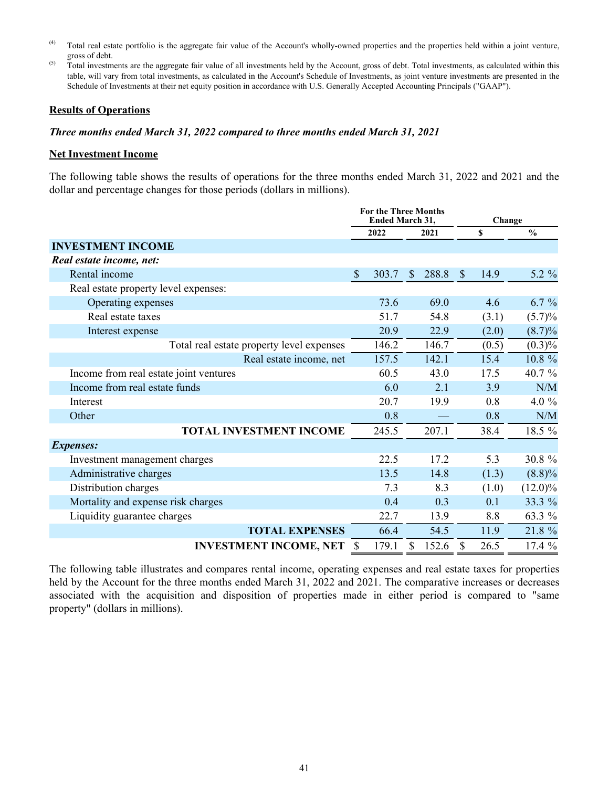- (4) Total real estate portfolio is the aggregate fair value of the Account's wholly-owned properties and the properties held within a joint venture, gross of debt.
- $\overline{5}$  Total investments are the aggregate fair value of all investments held by the Account, gross of debt. Total investments, as calculated within this table, will vary from total investments, as calculated in the Account's Schedule of Investments, as joint venture investments are presented in the Schedule of Investments at their net equity position in accordance with U.S. Generally Accepted Accounting Principals ("GAAP").

#### **Results of Operations**

#### *Three months ended March 31, 2022 compared to three months ended March 31, 2021*

#### **Net Investment Income**

The following table shows the results of operations for the three months ended March 31, 2022 and 2021 and the dollar and percentage changes for those periods (dollars in millions).

|                                           |    | <b>For the Three Months</b><br><b>Ended March 31,</b> |             |               | Change |               |  |
|-------------------------------------------|----|-------------------------------------------------------|-------------|---------------|--------|---------------|--|
|                                           |    | 2022                                                  | 2021        |               | \$     | $\frac{0}{0}$ |  |
| <b>INVESTMENT INCOME</b>                  |    |                                                       |             |               |        |               |  |
| Real estate income, net:                  |    |                                                       |             |               |        |               |  |
| Rental income                             | \$ | 303.7                                                 | \$<br>288.8 | <sup>\$</sup> | 14.9   | 5.2 %         |  |
| Real estate property level expenses:      |    |                                                       |             |               |        |               |  |
| Operating expenses                        |    | 73.6                                                  | 69.0        |               | 4.6    | $6.7 \%$      |  |
| Real estate taxes                         |    | 51.7                                                  | 54.8        |               | (3.1)  | $(5.7)\%$     |  |
| Interest expense                          |    | 20.9                                                  | 22.9        |               | (2.0)  | $(8.7)\%$     |  |
| Total real estate property level expenses |    | 146.2                                                 | 146.7       |               | (0.5)  | $(0.3)\%$     |  |
| Real estate income, net                   |    | 157.5                                                 | 142.1       |               | 15.4   | 10.8 %        |  |
| Income from real estate joint ventures    |    | 60.5                                                  | 43.0        |               | 17.5   | 40.7 %        |  |
| Income from real estate funds             |    | 6.0                                                   | 2.1         |               | 3.9    | N/M           |  |
| Interest                                  |    | 20.7                                                  | 19.9        |               | 0.8    | 4.0 %         |  |
| Other                                     |    | 0.8                                                   |             |               | 0.8    | N/M           |  |
| <b>TOTAL INVESTMENT INCOME</b>            |    | 245.5                                                 | 207.1       |               | 38.4   | 18.5 %        |  |
| <b>Expenses:</b>                          |    |                                                       |             |               |        |               |  |
| Investment management charges             |    | 22.5                                                  | 17.2        |               | 5.3    | 30.8 %        |  |
| Administrative charges                    |    | 13.5                                                  | 14.8        |               | (1.3)  | $(8.8)\%$     |  |
| Distribution charges                      |    | 7.3                                                   | 8.3         |               | (1.0)  | $(12.0)\%$    |  |
| Mortality and expense risk charges        |    | 0.4                                                   | 0.3         |               | 0.1    | 33.3 %        |  |
| Liquidity guarantee charges               |    | 22.7                                                  | 13.9        |               | 8.8    | 63.3 %        |  |
| <b>TOTAL EXPENSES</b>                     |    | 66.4                                                  | 54.5        |               | 11.9   | 21.8 %        |  |
| <b>INVESTMENT INCOME, NET</b>             | S  | 179.1                                                 | \$<br>152.6 | <sup>\$</sup> | 26.5   | 17.4 %        |  |

The following table illustrates and compares rental income, operating expenses and real estate taxes for properties held by the Account for the three months ended March 31, 2022 and 2021. The comparative increases or decreases associated with the acquisition and disposition of properties made in either period is compared to "same property" (dollars in millions).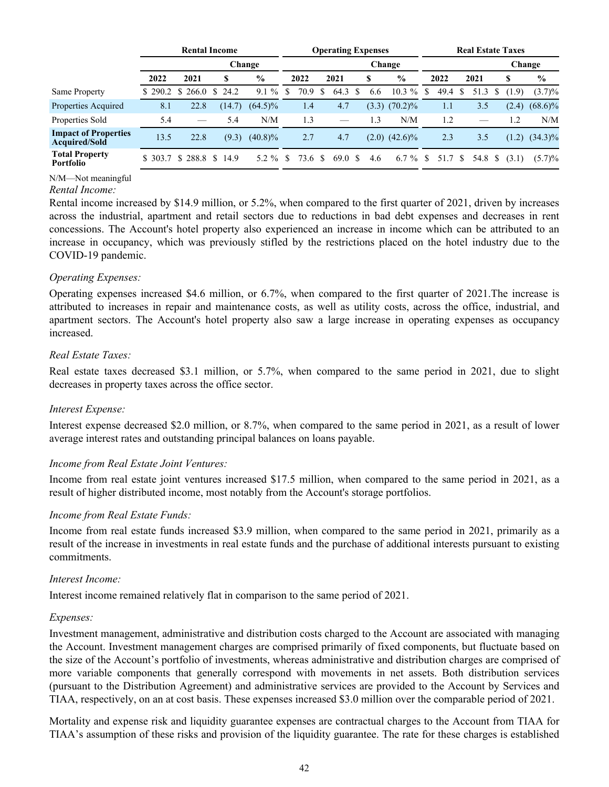|                                                     | <b>Rental Income</b> |         |                       |               | <b>Operating Expenses</b> |        |    |      |    |     |                    | <b>Real Estate Taxes</b> |      |    |         |              |       |               |
|-----------------------------------------------------|----------------------|---------|-----------------------|---------------|---------------------------|--------|----|------|----|-----|--------------------|--------------------------|------|----|---------|--------------|-------|---------------|
|                                                     |                      |         | Change                |               |                           | Change |    |      |    |     |                    |                          |      |    |         |              |       | Change        |
|                                                     | 2022                 | 2021    | S                     | $\frac{0}{0}$ |                           | 2022   |    | 2021 |    | S   | $\frac{6}{6}$      |                          | 2022 |    | 2021    |              | S     | $\frac{0}{0}$ |
| Same Property                                       | \$290.2              | \$266.0 | 24.2<br><sup>\$</sup> | $9.1\%$       |                           | 70.9   | S. | 64.3 | S  | 6.6 | $10.3 \%$          | S                        | 49.4 | S  | 51.3    | <sup>S</sup> | (1.9) | $(3.7)\%$     |
| Properties Acquired                                 | 8.1                  | 22.8    | (14.7)                | $(64.5)\%$    |                           | 1.4    |    | 4.7  |    |     | $(3.3)$ $(70.2)\%$ |                          | 1.1  |    | 3.5     |              | (2.4) | $(68.6)\%$    |
| Properties Sold                                     | 5.4                  |         | 5.4                   | N/M           |                           | 1.3    |    |      |    | 1.3 | N/M                |                          | 1.2  |    |         |              | 1.2   | N/M           |
| <b>Impact of Properties</b><br><b>Acquired/Sold</b> | 13.5                 | 22.8    | (9.3)                 | $(40.8)\%$    |                           | 2.7    |    | 4.7  |    |     | $(2.0)$ $(42.6)\%$ |                          | 2.3  |    | 3.5     |              | (1.2) | $(34.3)\%$    |
| <b>Total Property</b><br>Portfolio                  | \$ 303.7             | \$288.8 | \$14.9                | 5.2 $\%$      |                           | 73.6 S |    | 69.0 | -S | 4.6 | $6.7 \%$           | <sup>S</sup>             | 51.7 | S. | 54.8 \$ |              | (3.1) | (5.7)%        |

## N/M—Not meaningful

#### *Rental Income:*

Rental income increased by \$14.9 million, or 5.2%, when compared to the first quarter of 2021, driven by increases across the industrial, apartment and retail sectors due to reductions in bad debt expenses and decreases in rent concessions. The Account's hotel property also experienced an increase in income which can be attributed to an increase in occupancy, which was previously stifled by the restrictions placed on the hotel industry due to the COVID-19 pandemic.

#### *Operating Expenses:*

Operating expenses increased \$4.6 million, or 6.7%, when compared to the first quarter of 2021.The increase is attributed to increases in repair and maintenance costs, as well as utility costs, across the office, industrial, and apartment sectors. The Account's hotel property also saw a large increase in operating expenses as occupancy increased.

#### *Real Estate Taxes:*

Real estate taxes decreased \$3.1 million, or 5.7%, when compared to the same period in 2021, due to slight decreases in property taxes across the office sector.

#### *Interest Expense:*

Interest expense decreased \$2.0 million, or 8.7%, when compared to the same period in 2021, as a result of lower average interest rates and outstanding principal balances on loans payable.

#### *Income from Real Estate Joint Ventures:*

Income from real estate joint ventures increased \$17.5 million, when compared to the same period in 2021, as a result of higher distributed income, most notably from the Account's storage portfolios.

#### *Income from Real Estate Funds:*

Income from real estate funds increased \$3.9 million, when compared to the same period in 2021, primarily as a result of the increase in investments in real estate funds and the purchase of additional interests pursuant to existing commitments.

#### *Interest Income:*

Interest income remained relatively flat in comparison to the same period of 2021.

#### *Expenses:*

Investment management, administrative and distribution costs charged to the Account are associated with managing the Account. Investment management charges are comprised primarily of fixed components, but fluctuate based on the size of the Account's portfolio of investments, whereas administrative and distribution charges are comprised of more variable components that generally correspond with movements in net assets. Both distribution services (pursuant to the Distribution Agreement) and administrative services are provided to the Account by Services and TIAA, respectively, on an at cost basis. These expenses increased \$3.0 million over the comparable period of 2021.

Mortality and expense risk and liquidity guarantee expenses are contractual charges to the Account from TIAA for TIAA's assumption of these risks and provision of the liquidity guarantee. The rate for these charges is established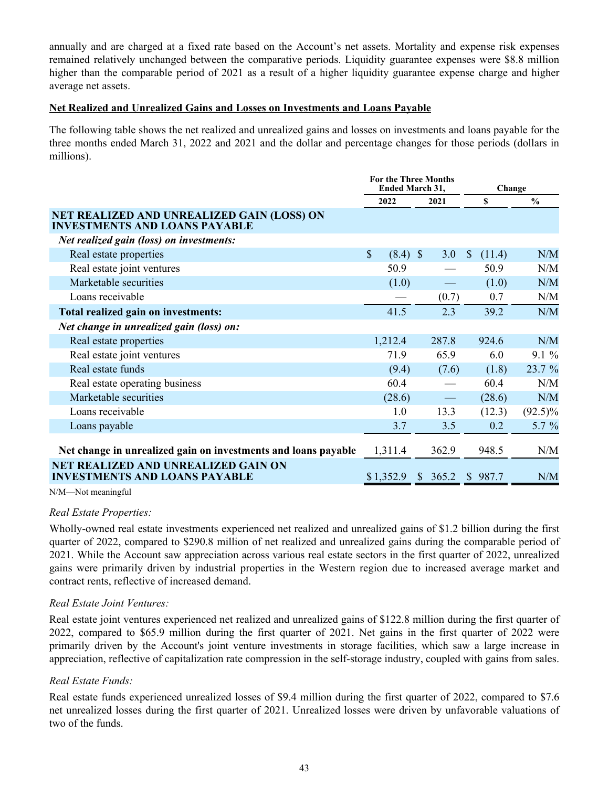annually and are charged at a fixed rate based on the Account's net assets. Mortality and expense risk expenses remained relatively unchanged between the comparative periods. Liquidity guarantee expenses were \$8.8 million higher than the comparable period of 2021 as a result of a higher liquidity guarantee expense charge and higher average net assets.

#### **Net Realized and Unrealized Gains and Losses on Investments and Loans Payable**

The following table shows the net realized and unrealized gains and losses on investments and loans payable for the three months ended March 31, 2022 and 2021 and the dollar and percentage changes for those periods (dollars in millions).

|                                                                                    | <b>For the Three Months</b><br>Ended March 31, |            |  |         |              |         | Change        |
|------------------------------------------------------------------------------------|------------------------------------------------|------------|--|---------|--------------|---------|---------------|
|                                                                                    | 2022                                           |            |  | 2021    |              | S       | $\frac{0}{0}$ |
| NET REALIZED AND UNREALIZED GAIN (LOSS) ON<br><b>INVESTMENTS AND LOANS PAYABLE</b> |                                                |            |  |         |              |         |               |
| Net realized gain (loss) on investments:                                           |                                                |            |  |         |              |         |               |
| Real estate properties                                                             | $\mathbf{\$}$                                  | $(8.4)$ \$ |  | 3.0     | $\mathbb{S}$ | (11.4)  | N/M           |
| Real estate joint ventures                                                         |                                                | 50.9       |  |         |              | 50.9    | N/M           |
| Marketable securities                                                              |                                                | (1.0)      |  |         |              | (1.0)   | N/M           |
| Loans receivable                                                                   |                                                |            |  | (0.7)   |              | 0.7     | N/M           |
| Total realized gain on investments:                                                |                                                | 41.5       |  | 2.3     |              | 39.2    | N/M           |
| Net change in unrealized gain (loss) on:                                           |                                                |            |  |         |              |         |               |
| Real estate properties                                                             |                                                | 1,212.4    |  | 287.8   |              | 924.6   | N/M           |
| Real estate joint ventures                                                         |                                                | 71.9       |  | 65.9    |              | 6.0     | $9.1\%$       |
| Real estate funds                                                                  |                                                | (9.4)      |  | (7.6)   |              | (1.8)   | 23.7 %        |
| Real estate operating business                                                     |                                                | 60.4       |  |         |              | 60.4    | N/M           |
| Marketable securities                                                              |                                                | (28.6)     |  |         |              | (28.6)  | N/M           |
| Loans receivable                                                                   |                                                | 1.0        |  | 13.3    |              | (12.3)  | $(92.5)\%$    |
| Loans payable                                                                      |                                                | 3.7        |  | 3.5     |              | 0.2     | $5.7\%$       |
| Net change in unrealized gain on investments and loans payable                     |                                                | 1,311.4    |  | 362.9   |              | 948.5   | N/M           |
| <b>NET REALIZED AND UNREALIZED GAIN ON</b><br><b>INVESTMENTS AND LOANS PAYABLE</b> | \$1,352.9                                      |            |  | \$365.2 |              | \$987.7 | N/M           |

N/M—Not meaningful

#### *Real Estate Properties:*

Wholly-owned real estate investments experienced net realized and unrealized gains of \$1.2 billion during the first quarter of 2022, compared to \$290.8 million of net realized and unrealized gains during the comparable period of 2021. While the Account saw appreciation across various real estate sectors in the first quarter of 2022, unrealized gains were primarily driven by industrial properties in the Western region due to increased average market and contract rents, reflective of increased demand.

#### *Real Estate Joint Ventures:*

Real estate joint ventures experienced net realized and unrealized gains of \$122.8 million during the first quarter of 2022, compared to \$65.9 million during the first quarter of 2021. Net gains in the first quarter of 2022 were primarily driven by the Account's joint venture investments in storage facilities, which saw a large increase in appreciation, reflective of capitalization rate compression in the self-storage industry, coupled with gains from sales.

#### *Real Estate Funds:*

Real estate funds experienced unrealized losses of \$9.4 million during the first quarter of 2022, compared to \$7.6 net unrealized losses during the first quarter of 2021. Unrealized losses were driven by unfavorable valuations of two of the funds.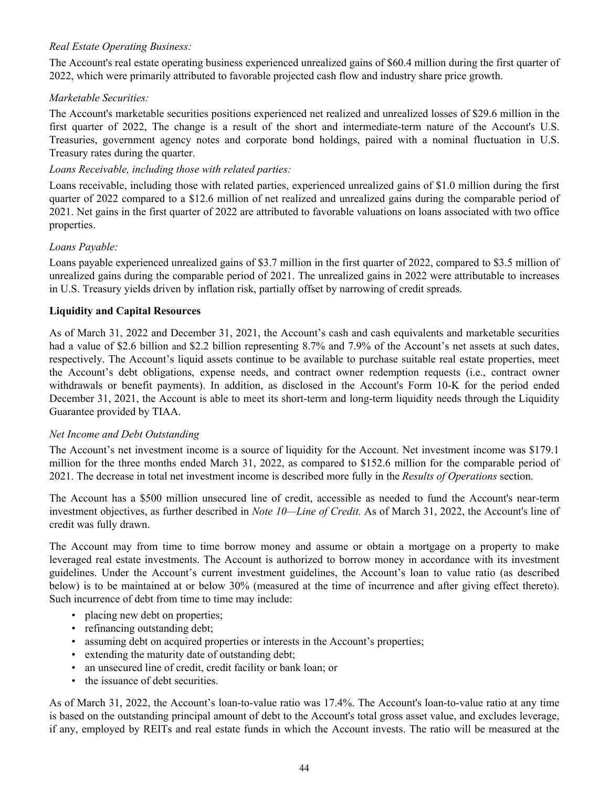## *Real Estate Operating Business:*

The Account's real estate operating business experienced unrealized gains of \$60.4 million during the first quarter of 2022, which were primarily attributed to favorable projected cash flow and industry share price growth.

#### *Marketable Securities:*

The Account's marketable securities positions experienced net realized and unrealized losses of \$29.6 million in the first quarter of 2022, The change is a result of the short and intermediate-term nature of the Account's U.S. Treasuries, government agency notes and corporate bond holdings, paired with a nominal fluctuation in U.S. Treasury rates during the quarter.

### *Loans Receivable, including those with related parties:*

Loans receivable, including those with related parties, experienced unrealized gains of \$1.0 million during the first quarter of 2022 compared to a \$12.6 million of net realized and unrealized gains during the comparable period of 2021. Net gains in the first quarter of 2022 are attributed to favorable valuations on loans associated with two office properties.

### *Loans Payable:*

Loans payable experienced unrealized gains of \$3.7 million in the first quarter of 2022, compared to \$3.5 million of unrealized gains during the comparable period of 2021. The unrealized gains in 2022 were attributable to increases in U.S. Treasury yields driven by inflation risk, partially offset by narrowing of credit spreads.

### **Liquidity and Capital Resources**

As of March 31, 2022 and December 31, 2021, the Account's cash and cash equivalents and marketable securities had a value of \$2.6 billion and \$2.2 billion representing 8.7% and 7.9% of the Account's net assets at such dates, respectively. The Account's liquid assets continue to be available to purchase suitable real estate properties, meet the Account's debt obligations, expense needs, and contract owner redemption requests (i.e., contract owner withdrawals or benefit payments). In addition, as disclosed in the Account's Form 10-K for the period ended December 31, 2021, the Account is able to meet its short-term and long-term liquidity needs through the Liquidity Guarantee provided by TIAA.

#### *Net Income and Debt Outstanding*

The Account's net investment income is a source of liquidity for the Account. Net investment income was \$179.1 million for the three months ended March 31, 2022, as compared to \$152.6 million for the comparable period of 2021. The decrease in total net investment income is described more fully in the *Results of Operations* section.

The Account has a \$500 million unsecured line of credit, accessible as needed to fund the Account's near-term investment objectives, as further described in *Note 10—Line of Credit.* As of March 31, 2022, the Account's line of credit was fully drawn.

The Account may from time to time borrow money and assume or obtain a mortgage on a property to make leveraged real estate investments. The Account is authorized to borrow money in accordance with its investment guidelines. Under the Account's current investment guidelines, the Account's loan to value ratio (as described below) is to be maintained at or below 30% (measured at the time of incurrence and after giving effect thereto). Such incurrence of debt from time to time may include:

- placing new debt on properties;
- refinancing outstanding debt;
- assuming debt on acquired properties or interests in the Account's properties;
- extending the maturity date of outstanding debt;
- an unsecured line of credit, credit facility or bank loan; or
- the issuance of debt securities.

As of March 31, 2022, the Account's loan-to-value ratio was 17.4%. The Account's loan-to-value ratio at any time is based on the outstanding principal amount of debt to the Account's total gross asset value, and excludes leverage, if any, employed by REITs and real estate funds in which the Account invests. The ratio will be measured at the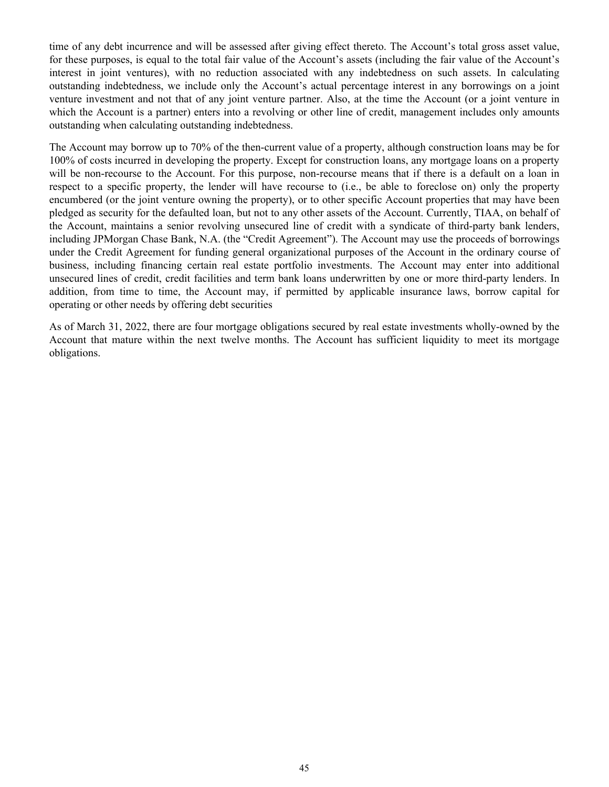time of any debt incurrence and will be assessed after giving effect thereto. The Account's total gross asset value, for these purposes, is equal to the total fair value of the Account's assets (including the fair value of the Account's interest in joint ventures), with no reduction associated with any indebtedness on such assets. In calculating outstanding indebtedness, we include only the Account's actual percentage interest in any borrowings on a joint venture investment and not that of any joint venture partner. Also, at the time the Account (or a joint venture in which the Account is a partner) enters into a revolving or other line of credit, management includes only amounts outstanding when calculating outstanding indebtedness.

The Account may borrow up to 70% of the then-current value of a property, although construction loans may be for 100% of costs incurred in developing the property. Except for construction loans, any mortgage loans on a property will be non-recourse to the Account. For this purpose, non-recourse means that if there is a default on a loan in respect to a specific property, the lender will have recourse to (i.e., be able to foreclose on) only the property encumbered (or the joint venture owning the property), or to other specific Account properties that may have been pledged as security for the defaulted loan, but not to any other assets of the Account. Currently, TIAA, on behalf of the Account, maintains a senior revolving unsecured line of credit with a syndicate of third-party bank lenders, including JPMorgan Chase Bank, N.A. (the "Credit Agreement"). The Account may use the proceeds of borrowings under the Credit Agreement for funding general organizational purposes of the Account in the ordinary course of business, including financing certain real estate portfolio investments. The Account may enter into additional unsecured lines of credit, credit facilities and term bank loans underwritten by one or more third-party lenders. In addition, from time to time, the Account may, if permitted by applicable insurance laws, borrow capital for operating or other needs by offering debt securities

As of March 31, 2022, there are four mortgage obligations secured by real estate investments wholly-owned by the Account that mature within the next twelve months. The Account has sufficient liquidity to meet its mortgage obligations.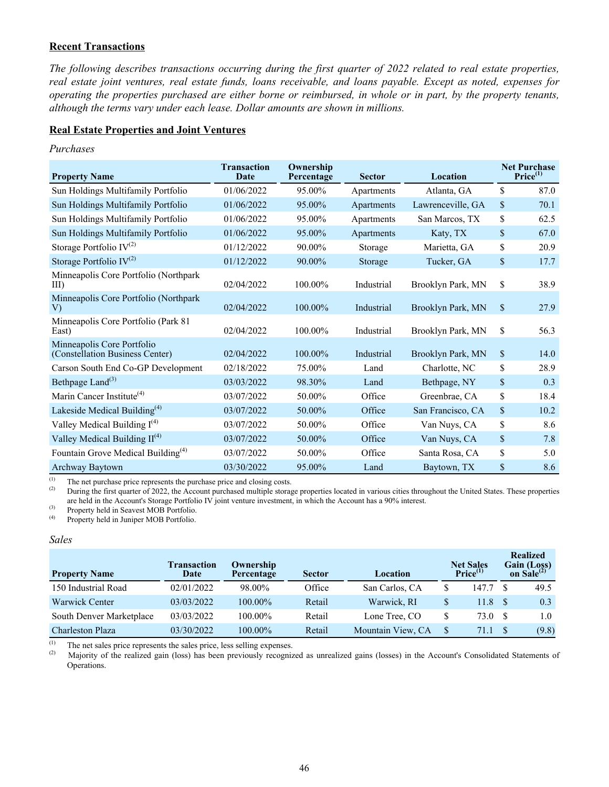#### **Recent Transactions**

*The following describes transactions occurring during the first quarter of 2022 related to real estate properties, real estate joint ventures, real estate funds, loans receivable, and loans payable. Except as noted, expenses for operating the properties purchased are either borne or reimbursed, in whole or in part, by the property tenants, although the terms vary under each lease. Dollar amounts are shown in millions.*

#### **Real Estate Properties and Joint Ventures**

#### *Purchases*

| <b>Property Name</b>                                          | <b>Transaction</b><br>Date | Ownership<br>Percentage | <b>Sector</b> | Location          |             | <b>Net Purchase</b><br>Price <sup>(1)</sup> |
|---------------------------------------------------------------|----------------------------|-------------------------|---------------|-------------------|-------------|---------------------------------------------|
| Sun Holdings Multifamily Portfolio                            | 01/06/2022                 | 95.00%                  | Apartments    | Atlanta, GA       | \$          | 87.0                                        |
| Sun Holdings Multifamily Portfolio                            | 01/06/2022                 | 95.00%                  | Apartments    | Lawrenceville, GA | \$          | 70.1                                        |
| Sun Holdings Multifamily Portfolio                            | 01/06/2022                 | 95.00%                  | Apartments    | San Marcos, TX    | \$          | 62.5                                        |
| Sun Holdings Multifamily Portfolio                            | 01/06/2022                 | 95.00%                  | Apartments    | Katy, TX          | \$          | 67.0                                        |
| Storage Portfolio $IV^{(2)}$                                  | 01/12/2022                 | 90.00%                  | Storage       | Marietta, GA      | \$          | 20.9                                        |
| Storage Portfolio $IV^{(2)}$                                  | 01/12/2022                 | 90.00%                  | Storage       | Tucker, GA        | \$          | 17.7                                        |
| Minneapolis Core Portfolio (Northpark<br>$III$ )              | 02/04/2022                 | 100.00%                 | Industrial    | Brooklyn Park, MN | \$          | 38.9                                        |
| Minneapolis Core Portfolio (Northpark<br>V)                   | 02/04/2022                 | 100.00%                 | Industrial    | Brooklyn Park, MN | $\mathbf S$ | 27.9                                        |
| Minneapolis Core Portfolio (Park 81<br>East)                  | 02/04/2022                 | 100.00%                 | Industrial    | Brooklyn Park, MN | \$          | 56.3                                        |
| Minneapolis Core Portfolio<br>(Constellation Business Center) | 02/04/2022                 | 100.00%                 | Industrial    | Brooklyn Park, MN | \$          | 14.0                                        |
| Carson South End Co-GP Development                            | 02/18/2022                 | 75.00%                  | Land          | Charlotte, NC     | \$          | 28.9                                        |
| Bethpage Land <sup>(3)</sup>                                  | 03/03/2022                 | 98.30%                  | Land          | Bethpage, NY      | $\$$        | 0.3                                         |
| Marin Cancer Institute <sup>(4)</sup>                         | 03/07/2022                 | 50.00%                  | Office        | Greenbrae, CA     | \$          | 18.4                                        |
| Lakeside Medical Building <sup>(4)</sup>                      | 03/07/2022                 | 50.00%                  | Office        | San Francisco, CA | \$          | 10.2                                        |
| Valley Medical Building $I^{(4)}$                             | 03/07/2022                 | 50.00%                  | Office        | Van Nuvs, CA      | \$          | 8.6                                         |
| Valley Medical Building $II^{(4)}$                            | 03/07/2022                 | 50.00%                  | Office        | Van Nuys, CA      | \$          | 7.8                                         |
| Fountain Grove Medical Building <sup>(4)</sup>                | 03/07/2022                 | 50.00%                  | Office        | Santa Rosa, CA    | \$          | 5.0                                         |
| Archway Baytown                                               | 03/30/2022                 | 95.00%                  | Land          | Baytown, TX       | \$          | 8.6                                         |

(1) The net purchase price represents the purchase price and closing costs.<br>(2) During the first quarter of 2022, the Account purchased multiple storage

During the first quarter of 2022, the Account purchased multiple storage properties located in various cities throughout the United States. These properties are held in the Account's Storage Portfolio IV joint venture investment, in which the Account has a 90% interest.

(3) Property held in Seavest MOB Portfolio.<br>
Property held in Juniper MOB Portfolio.

Property held in Juniper MOB Portfolio.

#### *Sales*

| <b>Property Name</b>     | <b>Transaction</b><br>Date | Ownership<br>Percentage | <b>Sector</b> | Location          |   | <b>Net Sales</b><br>Price <sup>(1)</sup> |      | <b>Realized</b><br>Gain (Loss)<br>on Sale <sup>(2)</sup> |
|--------------------------|----------------------------|-------------------------|---------------|-------------------|---|------------------------------------------|------|----------------------------------------------------------|
| 150 Industrial Road      | 02/01/2022                 | 98.00%                  | Office        | San Carlos, CA    | S | 147.7                                    | -S   | 49.5                                                     |
| Warwick Center           | 03/03/2022                 | 100.00%                 | Retail        | Warwick, RI       | S | 11.8                                     |      | 0.3                                                      |
| South Denver Marketplace | 03/03/2022                 | $100.00\%$              | Retail        | Lone Tree, CO     | S | 73.0                                     | - \$ | 1.0                                                      |
| <b>Charleston Plaza</b>  | 03/30/2022                 | 100.00%                 | Retail        | Mountain View, CA |   | 71.1                                     |      | (9.8)                                                    |

(1) The net sales price represents the sales price, less selling expenses.<br>  $\frac{1}{2}$  Majority of the realized gain (loss) has been previously recognized

(2) Majority of the realized gain (loss) has been previously recognized as unrealized gains (losses) in the Account's Consolidated Statements of Operations.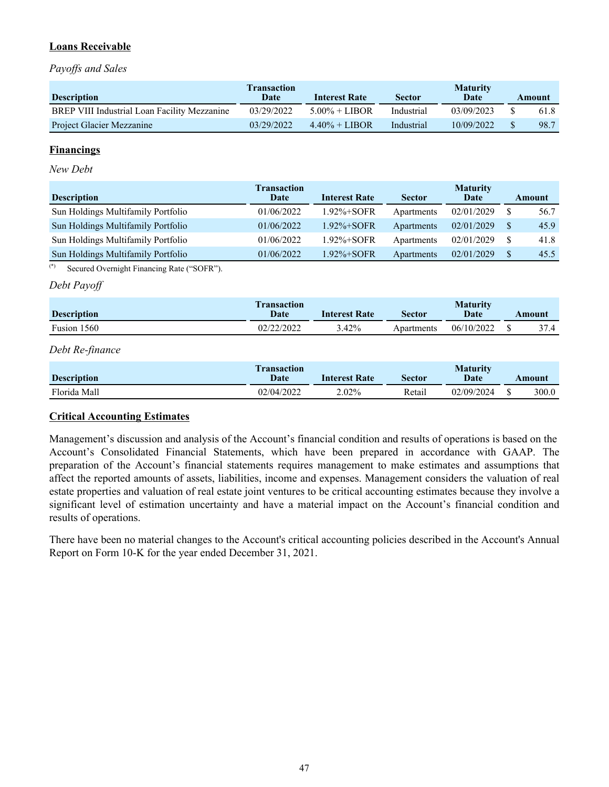## **Loans Receivable**

*Payoffs and Sales*

| <b>Description</b>                           | <b>Transaction</b><br>Date | <b>Interest Rate</b> | Sector     | <b>Maturity</b><br>Date | Amount |
|----------------------------------------------|----------------------------|----------------------|------------|-------------------------|--------|
| BREP VIII Industrial Loan Facility Mezzanine | 03/29/2022                 | $5.00\% + LIBOR$     | Industrial | 03/09/2023              | 61.8   |
| Project Glacier Mezzanine                    | 03/29/2022                 | $4.40\% + LIBOR$     | Industrial | 10/09/2022              | 98.7   |

## **Financings**

*New Debt*

| <b>Description</b>                 | Transaction<br>Date | <b>Interest Rate</b> | <b>Sector</b> | <b>Maturity</b><br>Date | Amount |
|------------------------------------|---------------------|----------------------|---------------|-------------------------|--------|
| Sun Holdings Multifamily Portfolio | 01/06/2022          | $1.92\% + SOFR$      | Apartments    | 02/01/2029              | 56.7   |
| Sun Holdings Multifamily Portfolio | 01/06/2022          | $1.92\% + SOFR$      | Apartments    | 02/01/2029              | 45.9   |
| Sun Holdings Multifamily Portfolio | 01/06/2022          | $1.92\% + SOFR$      | Apartments    | 02/01/2029              | 41.8   |
| Sun Holdings Multifamily Portfolio | 01/06/2022          | $1.92\% + SOFR$      | Apartments    | 02/01/2029              | 45.5   |

(\*) Secured Overnight Financing Rate ("SOFR").

#### *Debt Payoff*

| <b>Description</b> | <b>Transaction</b><br>Date<br><b>Interest Rate</b> |      | Sector     | <b>Maturity</b><br>Date<br>Amount |  |      |  |
|--------------------|----------------------------------------------------|------|------------|-----------------------------------|--|------|--|
| Fusion 1560        | 02/22/2022                                         | 42%. | Apartments | 06/10/2022                        |  | 37.4 |  |

*Debt Re-finance*

| <b>Description</b> | <b>Transaction</b><br><b>Date</b> | <b>Interest Rate</b> | <b>Sector</b> | <b>Maturity</b><br>Date | Amount |
|--------------------|-----------------------------------|----------------------|---------------|-------------------------|--------|
| Florida Mall       | 02/04/2022                        | 2.02%                | Retail        | 02/09/2024              | 300.0  |

## **Critical Accounting Estimates**

Management's discussion and analysis of the Account's financial condition and results of operations is based on the Account's Consolidated Financial Statements, which have been prepared in accordance with GAAP. The preparation of the Account's financial statements requires management to make estimates and assumptions that affect the reported amounts of assets, liabilities, income and expenses. Management considers the valuation of real estate properties and valuation of real estate joint ventures to be critical accounting estimates because they involve a significant level of estimation uncertainty and have a material impact on the Account's financial condition and results of operations.

There have been no material changes to the Account's critical accounting policies described in the Account's Annual Report on Form 10-K for the year ended December 31, 2021.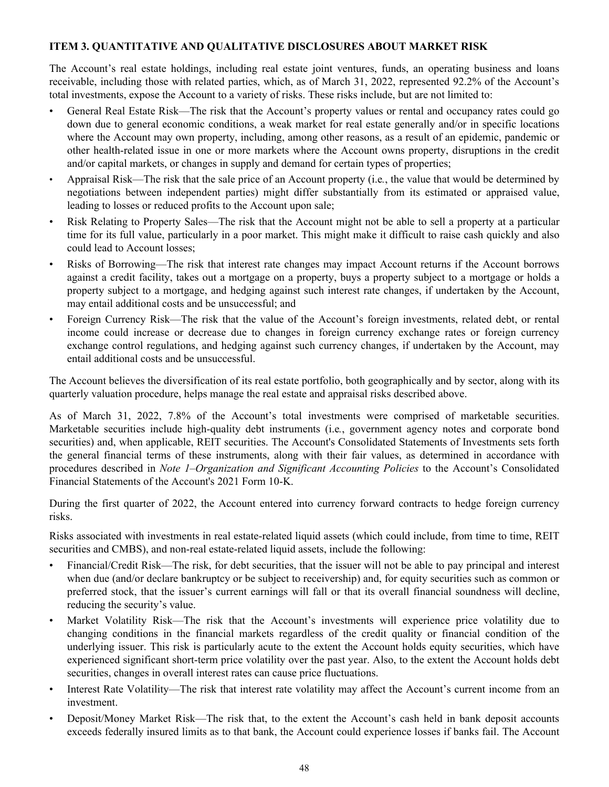## <span id="page-47-0"></span>**ITEM 3. QUANTITATIVE AND QUALITATIVE DISCLOSURES ABOUT MARKET RISK**

The Account's real estate holdings, including real estate joint ventures, funds, an operating business and loans receivable, including those with related parties, which, as of March 31, 2022, represented 92.2% of the Account's total investments, expose the Account to a variety of risks. These risks include, but are not limited to:

- General Real Estate Risk—The risk that the Account's property values or rental and occupancy rates could go down due to general economic conditions, a weak market for real estate generally and/or in specific locations where the Account may own property, including, among other reasons, as a result of an epidemic, pandemic or other health-related issue in one or more markets where the Account owns property, disruptions in the credit and/or capital markets, or changes in supply and demand for certain types of properties;
- Appraisal Risk—The risk that the sale price of an Account property (i.e*.*, the value that would be determined by negotiations between independent parties) might differ substantially from its estimated or appraised value, leading to losses or reduced profits to the Account upon sale;
- Risk Relating to Property Sales—The risk that the Account might not be able to sell a property at a particular time for its full value, particularly in a poor market. This might make it difficult to raise cash quickly and also could lead to Account losses;
- Risks of Borrowing—The risk that interest rate changes may impact Account returns if the Account borrows against a credit facility, takes out a mortgage on a property, buys a property subject to a mortgage or holds a property subject to a mortgage, and hedging against such interest rate changes, if undertaken by the Account, may entail additional costs and be unsuccessful; and
- Foreign Currency Risk—The risk that the value of the Account's foreign investments, related debt, or rental income could increase or decrease due to changes in foreign currency exchange rates or foreign currency exchange control regulations, and hedging against such currency changes, if undertaken by the Account, may entail additional costs and be unsuccessful.

The Account believes the diversification of its real estate portfolio, both geographically and by sector, along with its quarterly valuation procedure, helps manage the real estate and appraisal risks described above.

As of March 31, 2022, 7.8% of the Account's total investments were comprised of marketable securities. Marketable securities include high-quality debt instruments (i.e*.*, government agency notes and corporate bond securities) and, when applicable, REIT securities. The Account's Consolidated Statements of Investments sets forth the general financial terms of these instruments, along with their fair values, as determined in accordance with procedures described in *Note 1–Organization and Significant Accounting Policies* to the Account's Consolidated Financial Statements of the Account's 2021 Form 10-K.

During the first quarter of 2022, the Account entered into currency forward contracts to hedge foreign currency risks.

Risks associated with investments in real estate-related liquid assets (which could include, from time to time, REIT securities and CMBS), and non-real estate-related liquid assets, include the following:

- Financial/Credit Risk—The risk, for debt securities, that the issuer will not be able to pay principal and interest when due (and/or declare bankruptcy or be subject to receivership) and, for equity securities such as common or preferred stock, that the issuer's current earnings will fall or that its overall financial soundness will decline, reducing the security's value.
- Market Volatility Risk—The risk that the Account's investments will experience price volatility due to changing conditions in the financial markets regardless of the credit quality or financial condition of the underlying issuer. This risk is particularly acute to the extent the Account holds equity securities, which have experienced significant short-term price volatility over the past year. Also, to the extent the Account holds debt securities, changes in overall interest rates can cause price fluctuations.
- Interest Rate Volatility—The risk that interest rate volatility may affect the Account's current income from an investment.
- Deposit/Money Market Risk—The risk that, to the extent the Account's cash held in bank deposit accounts exceeds federally insured limits as to that bank, the Account could experience losses if banks fail. The Account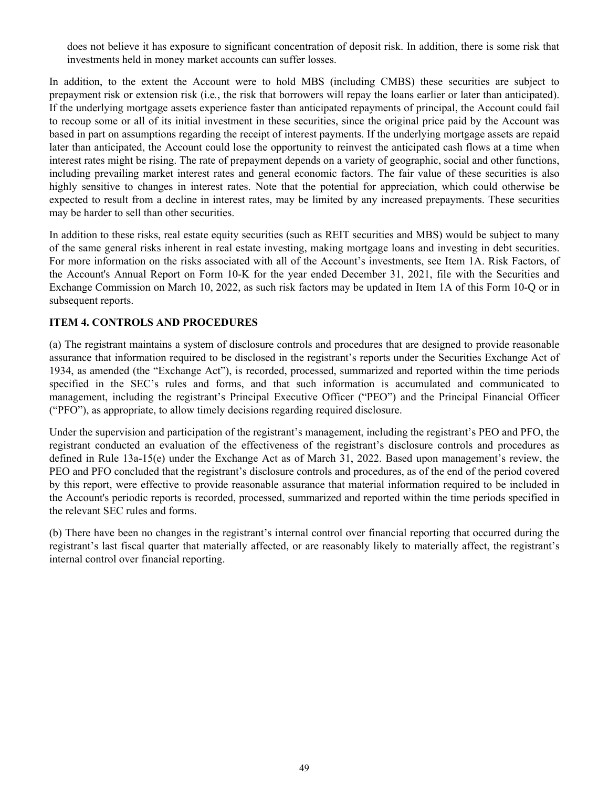<span id="page-48-0"></span>does not believe it has exposure to significant concentration of deposit risk. In addition, there is some risk that investments held in money market accounts can suffer losses.

In addition, to the extent the Account were to hold MBS (including CMBS) these securities are subject to prepayment risk or extension risk (i.e*.*, the risk that borrowers will repay the loans earlier or later than anticipated). If the underlying mortgage assets experience faster than anticipated repayments of principal, the Account could fail to recoup some or all of its initial investment in these securities, since the original price paid by the Account was based in part on assumptions regarding the receipt of interest payments. If the underlying mortgage assets are repaid later than anticipated, the Account could lose the opportunity to reinvest the anticipated cash flows at a time when interest rates might be rising. The rate of prepayment depends on a variety of geographic, social and other functions, including prevailing market interest rates and general economic factors. The fair value of these securities is also highly sensitive to changes in interest rates. Note that the potential for appreciation, which could otherwise be expected to result from a decline in interest rates, may be limited by any increased prepayments. These securities may be harder to sell than other securities.

In addition to these risks, real estate equity securities (such as REIT securities and MBS) would be subject to many of the same general risks inherent in real estate investing, making mortgage loans and investing in debt securities. For more information on the risks associated with all of the Account's investments, see Item 1A. Risk Factors, of the Account's Annual Report on Form 10-K for the year ended December 31, 2021, file with the Securities and Exchange Commission on March 10, 2022, as such risk factors may be updated in Item 1A of this Form 10-Q or in subsequent reports.

## **ITEM 4. CONTROLS AND PROCEDURES**

(a) The registrant maintains a system of disclosure controls and procedures that are designed to provide reasonable assurance that information required to be disclosed in the registrant's reports under the Securities Exchange Act of 1934, as amended (the "Exchange Act"), is recorded, processed, summarized and reported within the time periods specified in the SEC's rules and forms, and that such information is accumulated and communicated to management, including the registrant's Principal Executive Officer ("PEO") and the Principal Financial Officer ("PFO"), as appropriate, to allow timely decisions regarding required disclosure.

Under the supervision and participation of the registrant's management, including the registrant's PEO and PFO, the registrant conducted an evaluation of the effectiveness of the registrant's disclosure controls and procedures as defined in Rule 13a-15(e) under the Exchange Act as of March 31, 2022. Based upon management's review, the PEO and PFO concluded that the registrant's disclosure controls and procedures, as of the end of the period covered by this report, were effective to provide reasonable assurance that material information required to be included in the Account's periodic reports is recorded, processed, summarized and reported within the time periods specified in the relevant SEC rules and forms.

(b) There have been no changes in the registrant's internal control over financial reporting that occurred during the registrant's last fiscal quarter that materially affected, or are reasonably likely to materially affect, the registrant's internal control over financial reporting.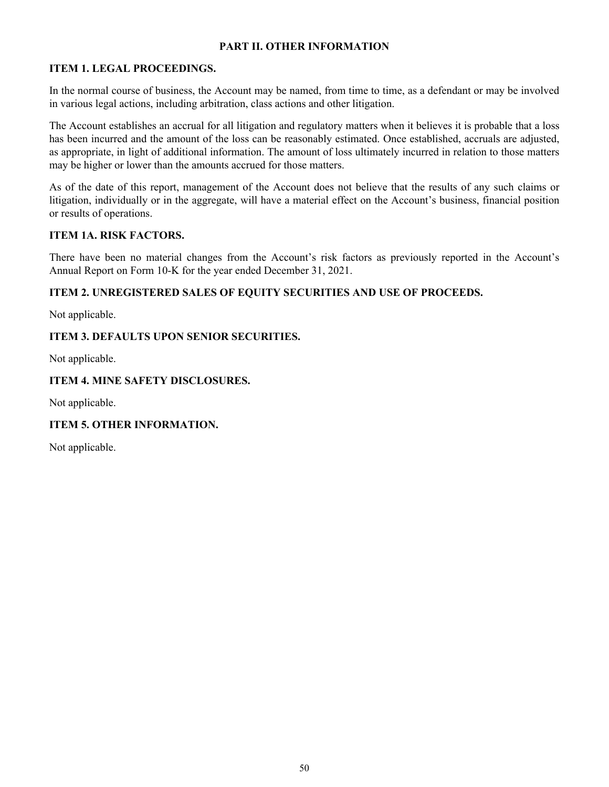## **PART II. OTHER INFORMATION**

## <span id="page-49-0"></span>**ITEM 1. LEGAL PROCEEDINGS.**

In the normal course of business, the Account may be named, from time to time, as a defendant or may be involved in various legal actions, including arbitration, class actions and other litigation.

The Account establishes an accrual for all litigation and regulatory matters when it believes it is probable that a loss has been incurred and the amount of the loss can be reasonably estimated. Once established, accruals are adjusted, as appropriate, in light of additional information. The amount of loss ultimately incurred in relation to those matters may be higher or lower than the amounts accrued for those matters.

As of the date of this report, management of the Account does not believe that the results of any such claims or litigation, individually or in the aggregate, will have a material effect on the Account's business, financial position or results of operations.

## **ITEM 1A. RISK FACTORS.**

There have been no material changes from the Account's risk factors as previously reported in the Account's Annual Report on Form 10-K for the year ended December 31, 2021.

## **ITEM 2. UNREGISTERED SALES OF EQUITY SECURITIES AND USE OF PROCEEDS.**

Not applicable.

## **ITEM 3. DEFAULTS UPON SENIOR SECURITIES.**

Not applicable.

## **ITEM 4. MINE SAFETY DISCLOSURES.**

Not applicable.

## **ITEM 5. OTHER INFORMATION.**

Not applicable.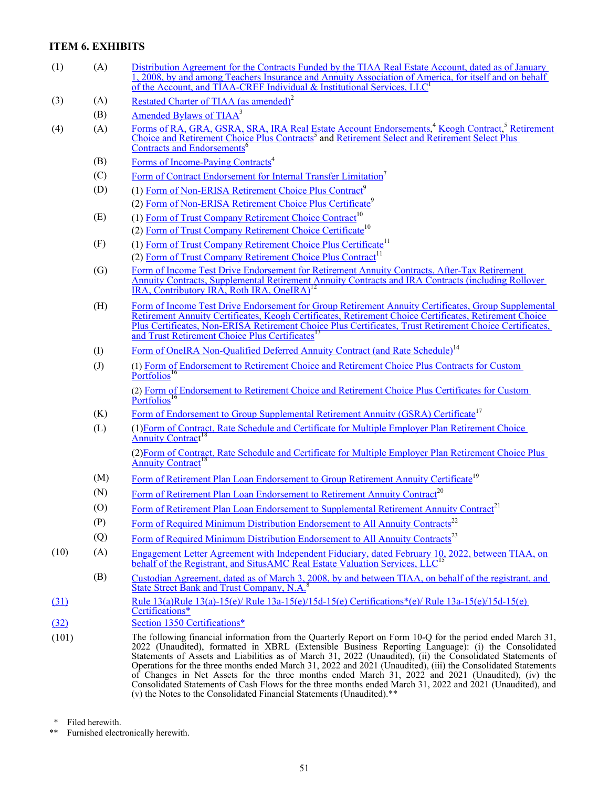## <span id="page-50-0"></span>**ITEM 6. EXHIBITS**

- (1) (A) [Distribution Agreement for the Contracts Funded by the TIAA Real Estate Account, dated as of January](http://www.sec.gov/Archives/edgar/data/946155/000093041313001686/c72835_ex1a.htm)  [1, 2008, by and among Teachers Insurance and Annuity Association of America, for itself and on behalf](http://www.sec.gov/Archives/edgar/data/946155/000093041313001686/c72835_ex1a.htm)  [of the Account, and TIAA-CREF Individual & Institutional Services, LLC](http://www.sec.gov/Archives/edgar/data/946155/000093041313001686/c72835_ex1a.htm)<sup>1</sup>
- (3) (A) [Restated Charter of TIAA \(as amended\)](http://www.sec.gov/Archives/edgar/data/946155/000093041315001888/c80401_ex3a.htm)<sup>2</sup>
	- (B) [Amended Bylaws of TIAA](http://www.sec.gov/Archives/edgar/data/946155/000093041315001888/c80401_ex3b.htm)<sup>3</sup>
- (4) (A) [Forms of RA, GRA, GSRA, SRA, IRA Real Estate Account Endorsements,](http://www.sec.gov/Archives/edgar/data/946155/0000950146-96-000627-index.html)<sup>4</sup> [Keogh Contract,](http://www.sec.gov/Archives/edgar/data/946155/000093041305003249/c35876_ex4.htm)<sup>5</sup> Retirement [Choice and Retirement Choice Plus Contracts](http://www.sec.gov/Archives/edgar/data/946155/000093041305003249/c35876_ex4.htm)<sup>5</sup> and Retirement Select and Retirement Select Plus [Contracts and Endorsements](http://www.sec.gov/Archives/edgar/data/946155/000093041304002268/c31392_ex4-a.txt)
	- (B) [Forms of Income-Paying Contracts](http://www.sec.gov/Archives/edgar/data/946155/0000950146-96-000627-index.html)<sup>4</sup>
	- (C) [Form of Contract Endorsement for Internal Transfer Limitation](http://www.sec.gov/Archives/edgar/data/946155/000093041310005579/c62766_ex-4c.htm)<sup>7</sup>
	- (D) (1) [Form of Non-ERISA Retirement Choice Plus Contract](http://www.sec.gov/Archives/edgar/data/946155/000162828017002745/exhibit4d1.htm)<sup>9</sup>
	- (2) [Form of Non-ERISA Retirement Choice Plus Certificate](http://www.sec.gov/Archives/edgar/data/946155/000162828017002745/exhibit4d2.htm)<sup>9</sup>
	- $(E)$  (1) [Form of Trust Company Retirement Choice Contract](http://www.sec.gov/Archives/edgar/data/946155/000162828017002745/exhibit4e1.htm)<sup>10</sup> (2) [Form of Trust Company Retirement Choice Certificate](http://www.sec.gov/Archives/edgar/data/946155/000162828017002745/exhibit4e2.htm)<sup>10</sup>
	- $(F)$  (1) [Form of Trust Company Retirement Choice Plus Certificate](http://www.sec.gov/Archives/edgar/data/946155/000162828017002745/exhibit4f1.htm)<sup>11</sup> (2) [Form of Trust Company Retirement Choice Plus Contract](http://www.sec.gov/Archives/edgar/data/946155/000162828017002745/exhibit4f2.htm)<sup>11</sup>
	- (G) [Form of Income Test Drive Endorsement for Retirement Annuity Contracts. After-Tax Retirement](http://www.sec.gov/Archives/edgar/data/946155/000162828018003214/exhibit4g123117.htm)  [Annuity Contracts, Supplemental Retirement Annuity Contracts and IRA Contracts \(including Rollover](http://www.sec.gov/Archives/edgar/data/946155/000162828018003214/exhibit4g123117.htm)  [IRA, Contributory IRA, Roth IRA, OneIRA\)](http://www.sec.gov/Archives/edgar/data/946155/000162828018003214/exhibit4g123117.htm)<sup>12</sup>
	- (H) [Form of Income Test Drive Endorsement for Group Retirement Annuity Certificates, Group Supplemental](http://www.sec.gov/Archives/edgar/data/946155/000162828018003214/exhibit4h123117.htm)  Retirement Annuity Certificates, Keogh Certificates, Retirement Choice Certificates, Retirement Choice [Plus Certificates, Non-ERISA Retirement Choice Plus Certificates, Trust Retirement Choice Certificates,](http://www.sec.gov/Archives/edgar/data/946155/000162828018003214/exhibit4h123117.htm)  [and Trust Retirement Choice Plus Certificates](http://www.sec.gov/Archives/edgar/data/946155/000162828018003214/exhibit4h123117.htm)
	- (I) [Form of OneIRA Non-Qualified Deferred Annuity Contract \(and Rate Schedule\)](http://www.sec.gov/Archives/edgar/data/946155/000162828018003214/exhibit4i123117.htm)<sup>14</sup>
	- (J) (1) [Form of Endorsement to Retirement Choice and Retirement Choice Plus Contracts for Custom](http://www.sec.gov/Archives/edgar/data/946155/000162828019002918/exhibit4j1123118.htm)  [Portfolios](http://www.sec.gov/Archives/edgar/data/946155/000162828019002918/exhibit4j1123118.htm)

(2) [Form of Endorsement to Retirement Choice and Retirement Choice Plus Certificates for Custom](http://www.sec.gov/Archives/edgar/data/946155/000162828019002918/exhibit4j2123118.htm)  [Portfolios](http://www.sec.gov/Archives/edgar/data/946155/000162828019002918/exhibit4j2123118.htm)

- (K) [Form of Endorsement to Group Supplemental Retirement Annuity \(GSRA\) Certificate](http://www.sec.gov/Archives/edgar/data/946155/000162828019002918/exhibit4k123118.htm)<sup>17</sup>
- (L) (1[\)Form of Contract, Rate Schedule and Certificate for Multiple Employer Plan Retirement Choice](http://www.sec.gov/Archives/edgar/data/946155/000162828020003434/exhibit4l1123119.htm)  [Annuity Contrac](http://www.sec.gov/Archives/edgar/data/946155/000162828020003434/exhibit4l1123119.htm)t<sup>18</sup> (2[\)Form of Contract, Rate Schedule and Certificate for Multiple Employer Plan Retirement Choice Plus](http://www.sec.gov/Archives/edgar/data/946155/000162828020003434/exhibit4l2123119.htm)

[Annuity Contract](http://www.sec.gov/Archives/edgar/data/946155/000162828020003434/exhibit4l2123119.htm)<sup>18</sup>

- (M) [Form of Retirement Plan Loan Endorsement to Group Retirement Annuity Certificate](http://www.sec.gov/Archives/edgar/data/946155/000162828021004496/exhibit4m.htm)<sup>19</sup>
- (N) [Form of Retirement Plan Loan Endorsement to Retirement Annuity Contract](http://www.sec.gov/Archives/edgar/data/946155/000162828021004496/exhibit4n.htm)<sup>20</sup>
- (O) [Form of Retirement Plan Loan Endorsement to Supplemental Retirement Annuity Contract](http://www.sec.gov/Archives/edgar/data/946155/000162828021004496/exhibit4o.htm)<sup>21</sup>
- (P) [Form of Required Minimum Distribution Endorsement to All Annuity Contracts](http://www.sec.gov/Archives/edgar/data/946155/000162828021004496/exhibit4p.htm)<sup>22</sup>
- $(Q)$  [Form of Required Minimum Distribution Endorsement to All Annuity Contracts](http://www.sec.gov/Archives/edgar/data/946155/000162828021004496/exhibit4q.htm)<sup>23</sup>
- (10) (A) Engagement Letter Agreement with Independent Fiduciary, dated February 10, 2022, between TIAA, on [behalf of the Registrant, and SitusAMC Real Estate Valuation Services, LLC](https://www.sec.gov/Archives/edgar/data/946155/000162828022002826/tiaarea_erisafiduciaryse.htm)<sup>15</sup>
	- (B) Custodian Agreement, dated as of March 3, 2008, by and between TIAA, on behalf of the registrant, and [State Street Bank and Trust Company, N.A.](http://www.sec.gov/Archives/edgar/data/946155/000093041313001652/c71842_ex10-b.htm)<sup>8</sup>
- [\(31\)](exhibit3133122.htm) Rule  $13(a)$ Rule  $13(a) 15(e)$ / Rule  $13a 15(e)$ /15d-15(e) Certifications\*(e)/ Rule  $13a 15(e)$ /15d-15(e) [Certifications\\*](exhibit3133122.htm)
- [\(32\)](exhibit3233122.htm) [Section 1350 Certifications\\*](exhibit3233122.htm)
- (101) The following financial information from the Quarterly Report on Form 10-Q for the period ended March 31, 2022 (Unaudited), formatted in XBRL (Extensible Business Reporting Language): (i) the Consolidated Statements of Assets and Liabilities as of March 31, 2022 (Unaudited), (ii) the Consolidated Statements of Operations for the three months ended March 31, 2022 and 2021 (Unaudited), (iii) the Consolidated Statements of Changes in Net Assets for the three months ended March 31, 2022 and 2021 (Unaudited), (iv) the Consolidated Statements of Cash Flows for the three months ended March 31, 2022 and 2021 (Unaudited), and (v) the Notes to the Consolidated Financial Statements (Unaudited).\*\*

Filed herewith.

Furnished electronically herewith.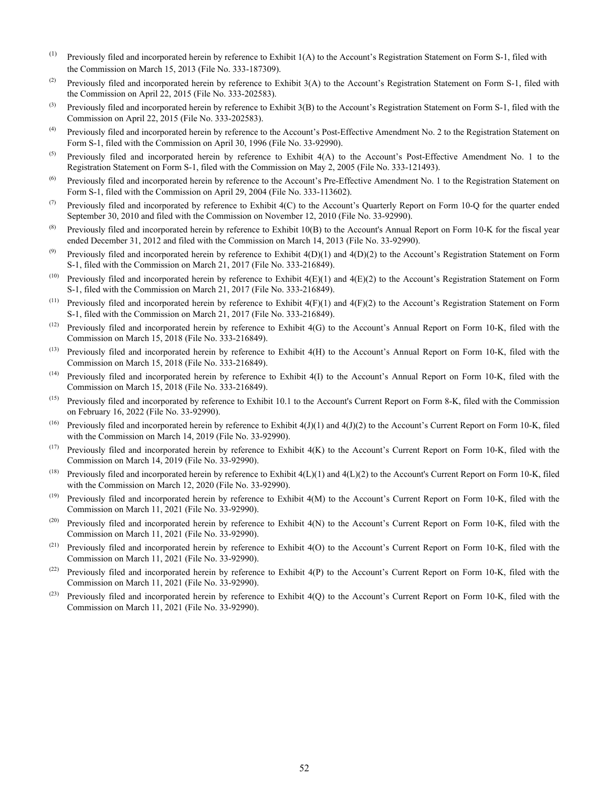- (1) Previously filed and incorporated herein by reference to Exhibit  $1(A)$  to the Account's Registration Statement on Form S-1, filed with the Commission on March 15, 2013 (File No. 333-187309).
- (2) Previously filed and incorporated herein by reference to Exhibit 3(A) to the Account's Registration Statement on Form S-1, filed with the Commission on April 22, 2015 (File No. 333-202583).
- <sup>(3)</sup> Previously filed and incorporated herein by reference to Exhibit 3(B) to the Account's Registration Statement on Form S-1, filed with the Commission on April 22, 2015 (File No. 333-202583).
- (4) Previously filed and incorporated herein by reference to the Account's Post-Effective Amendment No. 2 to the Registration Statement on Form S-1, filed with the Commission on April 30, 1996 (File No. 33-92990).
- <sup>(5)</sup> Previously filed and incorporated herein by reference to Exhibit 4(A) to the Account's Post-Effective Amendment No. 1 to the Registration Statement on Form S-1, filed with the Commission on May 2, 2005 (File No. 333-121493).
- <sup>(6)</sup> Previously filed and incorporated herein by reference to the Account's Pre-Effective Amendment No. 1 to the Registration Statement on Form S-1, filed with the Commission on April 29, 2004 (File No. 333-113602).
- (7) Previously filed and incorporated by reference to Exhibit  $4(C)$  to the Account's Quarterly Report on Form 10-Q for the quarter ended September 30, 2010 and filed with the Commission on November 12, 2010 (File No. 33-92990).
- (8) Previously filed and incorporated herein by reference to Exhibit  $10(B)$  to the Account's Annual Report on Form 10-K for the fiscal year ended December 31, 2012 and filed with the Commission on March 14, 2013 (File No. 33-92990).
- (9) Previously filed and incorporated herein by reference to Exhibit 4(D)(1) and 4(D)(2) to the Account's Registration Statement on Form S-1, filed with the Commission on March 21, 2017 (File No. 333-216849).
- <sup>(10)</sup> Previously filed and incorporated herein by reference to Exhibit  $4(E)(1)$  and  $4(E)(2)$  to the Account's Registration Statement on Form S-1, filed with the Commission on March 21, 2017 (File No. 333-216849).
- <sup>(11)</sup> Previously filed and incorporated herein by reference to Exhibit  $4(F)(1)$  and  $4(F)(2)$  to the Account's Registration Statement on Form S-1, filed with the Commission on March 21, 2017 (File No. 333-216849).
- (12) Previously filed and incorporated herein by reference to Exhibit 4(G) to the Account's Annual Report on Form 10-K, filed with the Commission on March 15, 2018 (File No. 333-216849).
- (13) Previously filed and incorporated herein by reference to Exhibit 4(H) to the Account's Annual Report on Form 10-K, filed with the Commission on March 15, 2018 (File No. 333-216849).
- (14) Previously filed and incorporated herein by reference to Exhibit 4(I) to the Account's Annual Report on Form 10-K, filed with the Commission on March 15, 2018 (File No. 333-216849).
- (15) Previously filed and incorporated by reference to Exhibit 10.1 to the Account's Current Report on Form 8-K, filed with the Commission on February 16, 2022 (File No. 33-92990).
- (16) Previously filed and incorporated herein by reference to Exhibit  $4(J)(1)$  and  $4(J)(2)$  to the Account's Current Report on Form 10-K, filed with the Commission on March 14, 2019 (File No. 33-92990).
- $(17)$  Previously filed and incorporated herein by reference to Exhibit 4(K) to the Account's Current Report on Form 10-K, filed with the Commission on March 14, 2019 (File No. 33-92990).
- <sup>(18)</sup> Previously filed and incorporated herein by reference to Exhibit  $4(L)(1)$  and  $4(L)(2)$  to the Account's Current Report on Form 10-K, filed with the Commission on March 12, 2020 (File No. 33-92990).
- $(19)$  Previously filed and incorporated herein by reference to Exhibit 4(M) to the Account's Current Report on Form 10-K, filed with the Commission on March 11, 2021 (File No. 33-92990).
- (20) Previously filed and incorporated herein by reference to Exhibit 4(N) to the Account's Current Report on Form 10-K, filed with the Commission on March 11, 2021 (File No. 33-92990).
- (21) Previously filed and incorporated herein by reference to Exhibit 4(O) to the Account's Current Report on Form 10-K, filed with the Commission on March 11, 2021 (File No. 33-92990).
- (22) Previously filed and incorporated herein by reference to Exhibit 4(P) to the Account's Current Report on Form 10-K, filed with the Commission on March 11, 2021 (File No. 33-92990).
- (23) Previously filed and incorporated herein by reference to Exhibit 4(Q) to the Account's Current Report on Form 10-K, filed with the Commission on March 11, 2021 (File No. 33-92990).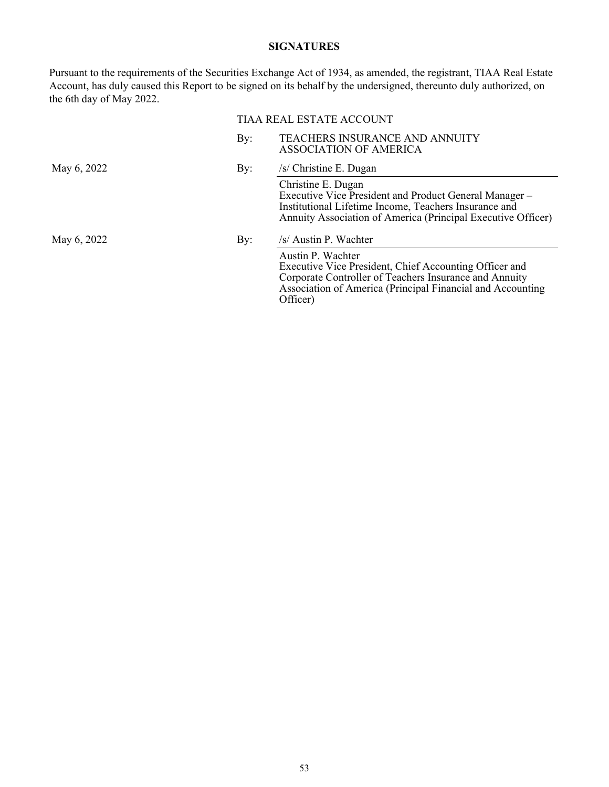### **SIGNATURES**

<span id="page-52-0"></span>Pursuant to the requirements of the Securities Exchange Act of 1934, as amended, the registrant, TIAA Real Estate Account, has duly caused this Report to be signed on its behalf by the undersigned, thereunto duly authorized, on the 6th day of May 2022.

## TIAA REAL ESTATE ACCOUNT By: TEACHERS INSURANCE AND ANNUITY ASSOCIATION OF AMERICA May 6, 2022 By: */s/ Christine E. Dugan* Christine E. Dugan Executive Vice President and Product General Manager – Institutional Lifetime Income, Teachers Insurance and Annuity Association of America (Principal Executive Officer) May 6, 2022 By: /s/ Austin P. Wachter Austin P. Wachter Executive Vice President, Chief Accounting Officer and Corporate Controller of Teachers Insurance and Annuity Association of America (Principal Financial and Accounting Officer)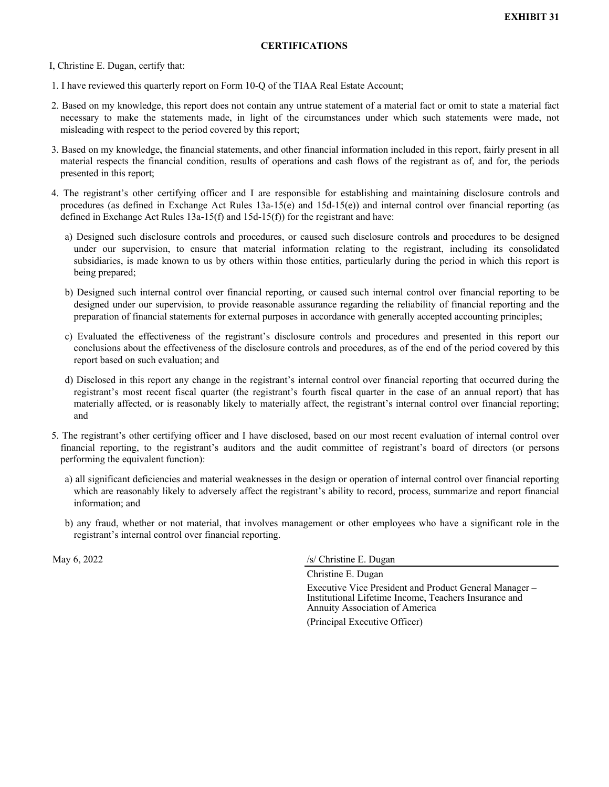#### **CERTIFICATIONS**

I, Christine E. Dugan, certify that:

- 1. I have reviewed this quarterly report on Form 10-Q of the TIAA Real Estate Account;
- 2. Based on my knowledge, this report does not contain any untrue statement of a material fact or omit to state a material fact necessary to make the statements made, in light of the circumstances under which such statements were made, not misleading with respect to the period covered by this report;
- 3. Based on my knowledge, the financial statements, and other financial information included in this report, fairly present in all material respects the financial condition, results of operations and cash flows of the registrant as of, and for, the periods presented in this report;
- 4. The registrant's other certifying officer and I are responsible for establishing and maintaining disclosure controls and procedures (as defined in Exchange Act Rules 13a-15(e) and 15d-15(e)) and internal control over financial reporting (as defined in Exchange Act Rules 13a-15(f) and 15d-15(f)) for the registrant and have:
	- a) Designed such disclosure controls and procedures, or caused such disclosure controls and procedures to be designed under our supervision, to ensure that material information relating to the registrant, including its consolidated subsidiaries, is made known to us by others within those entities, particularly during the period in which this report is being prepared;
	- b) Designed such internal control over financial reporting, or caused such internal control over financial reporting to be designed under our supervision, to provide reasonable assurance regarding the reliability of financial reporting and the preparation of financial statements for external purposes in accordance with generally accepted accounting principles;
	- c) Evaluated the effectiveness of the registrant's disclosure controls and procedures and presented in this report our conclusions about the effectiveness of the disclosure controls and procedures, as of the end of the period covered by this report based on such evaluation; and
	- d) Disclosed in this report any change in the registrant's internal control over financial reporting that occurred during the registrant's most recent fiscal quarter (the registrant's fourth fiscal quarter in the case of an annual report) that has materially affected, or is reasonably likely to materially affect, the registrant's internal control over financial reporting; and
- 5. The registrant's other certifying officer and I have disclosed, based on our most recent evaluation of internal control over financial reporting, to the registrant's auditors and the audit committee of registrant's board of directors (or persons performing the equivalent function):
	- a) all significant deficiencies and material weaknesses in the design or operation of internal control over financial reporting which are reasonably likely to adversely affect the registrant's ability to record, process, summarize and report financial information; and
	- b) any fraud, whether or not material, that involves management or other employees who have a significant role in the registrant's internal control over financial reporting.

May  $6, 2022$  /s/ Christine E. Dugan

Christine E. Dugan

Executive Vice President and Product General Manager – Institutional Lifetime Income, Teachers Insurance and Annuity Association of America

(Principal Executive Officer)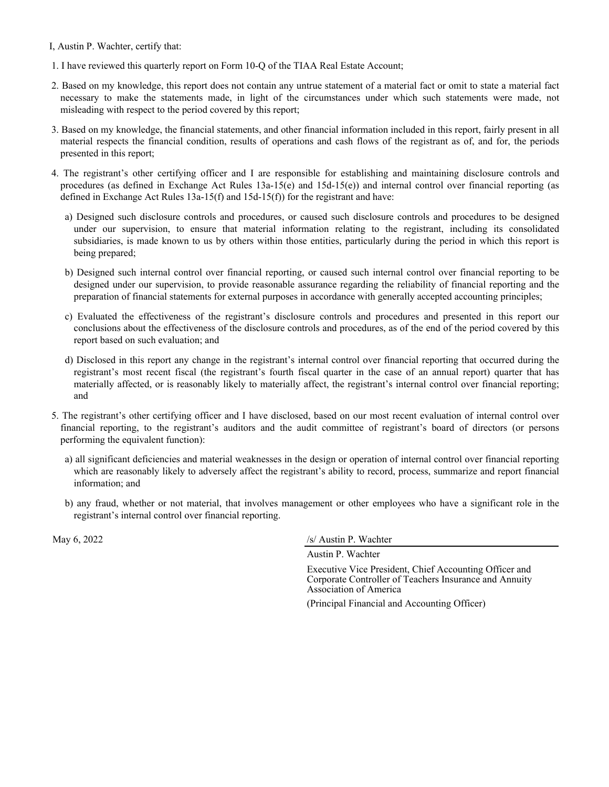- I, Austin P. Wachter, certify that:
- 1. I have reviewed this quarterly report on Form 10-Q of the TIAA Real Estate Account;
- 2. Based on my knowledge, this report does not contain any untrue statement of a material fact or omit to state a material fact necessary to make the statements made, in light of the circumstances under which such statements were made, not misleading with respect to the period covered by this report;
- 3. Based on my knowledge, the financial statements, and other financial information included in this report, fairly present in all material respects the financial condition, results of operations and cash flows of the registrant as of, and for, the periods presented in this report;
- 4. The registrant's other certifying officer and I are responsible for establishing and maintaining disclosure controls and procedures (as defined in Exchange Act Rules 13a-15(e) and 15d-15(e)) and internal control over financial reporting (as defined in Exchange Act Rules 13a-15(f) and 15d-15(f)) for the registrant and have:
	- a) Designed such disclosure controls and procedures, or caused such disclosure controls and procedures to be designed under our supervision, to ensure that material information relating to the registrant, including its consolidated subsidiaries, is made known to us by others within those entities, particularly during the period in which this report is being prepared;
	- b) Designed such internal control over financial reporting, or caused such internal control over financial reporting to be designed under our supervision, to provide reasonable assurance regarding the reliability of financial reporting and the preparation of financial statements for external purposes in accordance with generally accepted accounting principles;
	- c) Evaluated the effectiveness of the registrant's disclosure controls and procedures and presented in this report our conclusions about the effectiveness of the disclosure controls and procedures, as of the end of the period covered by this report based on such evaluation; and
	- d) Disclosed in this report any change in the registrant's internal control over financial reporting that occurred during the registrant's most recent fiscal (the registrant's fourth fiscal quarter in the case of an annual report) quarter that has materially affected, or is reasonably likely to materially affect, the registrant's internal control over financial reporting; and
- 5. The registrant's other certifying officer and I have disclosed, based on our most recent evaluation of internal control over financial reporting, to the registrant's auditors and the audit committee of registrant's board of directors (or persons performing the equivalent function):
	- a) all significant deficiencies and material weaknesses in the design or operation of internal control over financial reporting which are reasonably likely to adversely affect the registrant's ability to record, process, summarize and report financial information; and
	- b) any fraud, whether or not material, that involves management or other employees who have a significant role in the registrant's internal control over financial reporting.

May 6, 2022 /s/ Austin P. Wachter

Austin P. Wachter

Executive Vice President, Chief Accounting Officer and Corporate Controller of Teachers Insurance and Annuity Association of America

(Principal Financial and Accounting Officer)